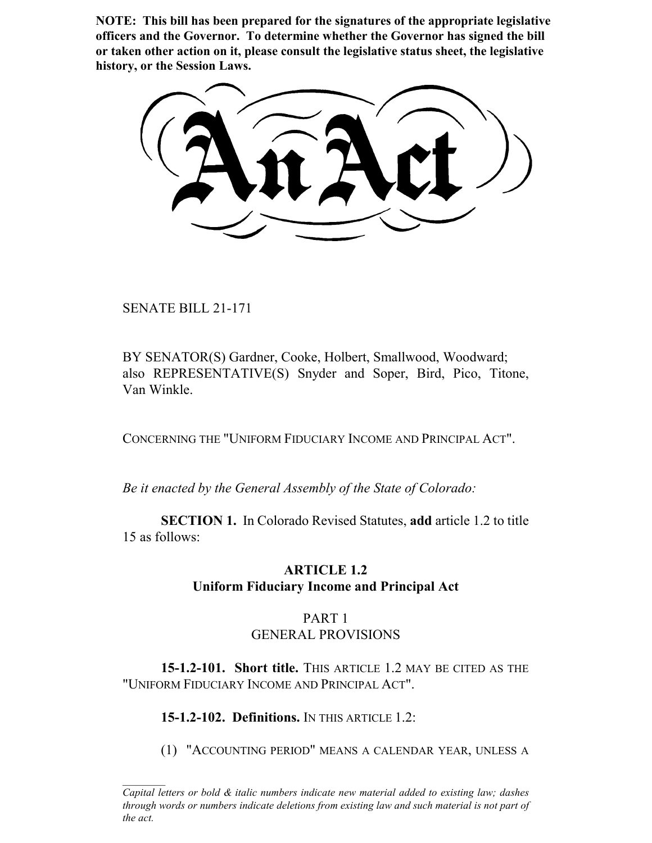**NOTE: This bill has been prepared for the signatures of the appropriate legislative officers and the Governor. To determine whether the Governor has signed the bill or taken other action on it, please consult the legislative status sheet, the legislative history, or the Session Laws.**

SENATE BILL 21-171

BY SENATOR(S) Gardner, Cooke, Holbert, Smallwood, Woodward; also REPRESENTATIVE(S) Snyder and Soper, Bird, Pico, Titone, Van Winkle.

CONCERNING THE "UNIFORM FIDUCIARY INCOME AND PRINCIPAL ACT".

*Be it enacted by the General Assembly of the State of Colorado:*

**SECTION 1.** In Colorado Revised Statutes, **add** article 1.2 to title 15 as follows:

## **ARTICLE 1.2 Uniform Fiduciary Income and Principal Act**

## PART 1 GENERAL PROVISIONS

**15-1.2-101. Short title.** THIS ARTICLE 1.2 MAY BE CITED AS THE "UNIFORM FIDUCIARY INCOME AND PRINCIPAL ACT".

**15-1.2-102. Definitions.** IN THIS ARTICLE 1.2:

(1) "ACCOUNTING PERIOD" MEANS A CALENDAR YEAR, UNLESS A

*Capital letters or bold & italic numbers indicate new material added to existing law; dashes through words or numbers indicate deletions from existing law and such material is not part of the act.*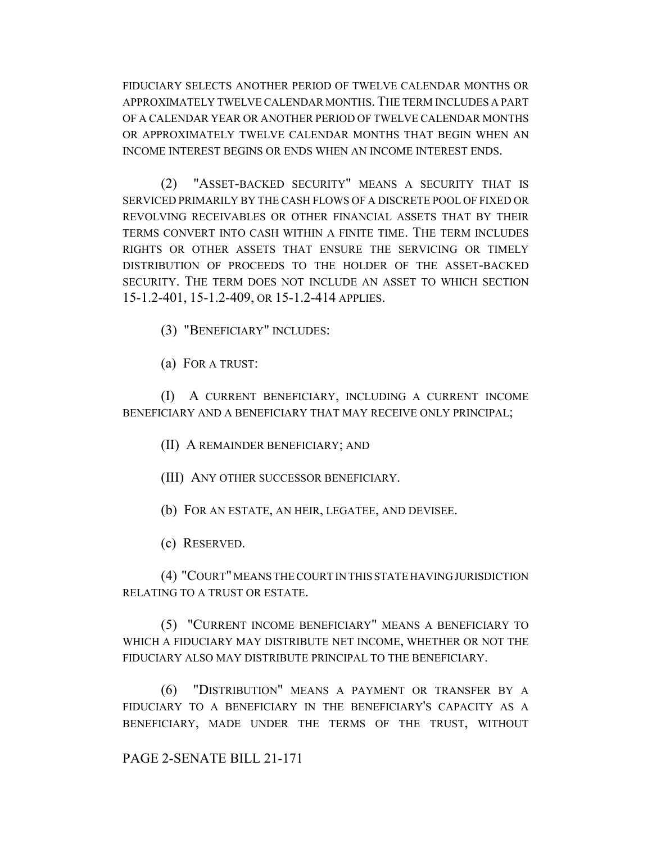FIDUCIARY SELECTS ANOTHER PERIOD OF TWELVE CALENDAR MONTHS OR APPROXIMATELY TWELVE CALENDAR MONTHS.THE TERM INCLUDES A PART OF A CALENDAR YEAR OR ANOTHER PERIOD OF TWELVE CALENDAR MONTHS OR APPROXIMATELY TWELVE CALENDAR MONTHS THAT BEGIN WHEN AN INCOME INTEREST BEGINS OR ENDS WHEN AN INCOME INTEREST ENDS.

(2) "ASSET-BACKED SECURITY" MEANS A SECURITY THAT IS SERVICED PRIMARILY BY THE CASH FLOWS OF A DISCRETE POOL OF FIXED OR REVOLVING RECEIVABLES OR OTHER FINANCIAL ASSETS THAT BY THEIR TERMS CONVERT INTO CASH WITHIN A FINITE TIME. THE TERM INCLUDES RIGHTS OR OTHER ASSETS THAT ENSURE THE SERVICING OR TIMELY DISTRIBUTION OF PROCEEDS TO THE HOLDER OF THE ASSET-BACKED SECURITY. THE TERM DOES NOT INCLUDE AN ASSET TO WHICH SECTION 15-1.2-401, 15-1.2-409, OR 15-1.2-414 APPLIES.

(3) "BENEFICIARY" INCLUDES:

(a) FOR A TRUST:

(I) A CURRENT BENEFICIARY, INCLUDING A CURRENT INCOME BENEFICIARY AND A BENEFICIARY THAT MAY RECEIVE ONLY PRINCIPAL;

(II) A REMAINDER BENEFICIARY; AND

(III) ANY OTHER SUCCESSOR BENEFICIARY.

(b) FOR AN ESTATE, AN HEIR, LEGATEE, AND DEVISEE.

(c) RESERVED.

(4) "COURT" MEANS THE COURT IN THIS STATE HAVING JURISDICTION RELATING TO A TRUST OR ESTATE.

(5) "CURRENT INCOME BENEFICIARY" MEANS A BENEFICIARY TO WHICH A FIDUCIARY MAY DISTRIBUTE NET INCOME, WHETHER OR NOT THE FIDUCIARY ALSO MAY DISTRIBUTE PRINCIPAL TO THE BENEFICIARY.

(6) "DISTRIBUTION" MEANS A PAYMENT OR TRANSFER BY A FIDUCIARY TO A BENEFICIARY IN THE BENEFICIARY'S CAPACITY AS A BENEFICIARY, MADE UNDER THE TERMS OF THE TRUST, WITHOUT

PAGE 2-SENATE BILL 21-171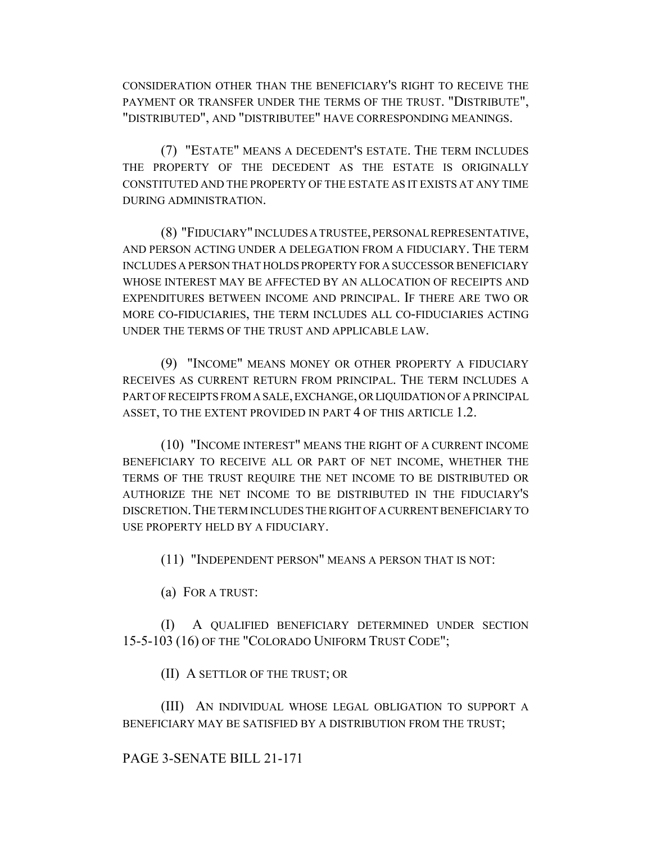CONSIDERATION OTHER THAN THE BENEFICIARY'S RIGHT TO RECEIVE THE PAYMENT OR TRANSFER UNDER THE TERMS OF THE TRUST. "DISTRIBUTE", "DISTRIBUTED", AND "DISTRIBUTEE" HAVE CORRESPONDING MEANINGS.

(7) "ESTATE" MEANS A DECEDENT'S ESTATE. THE TERM INCLUDES THE PROPERTY OF THE DECEDENT AS THE ESTATE IS ORIGINALLY CONSTITUTED AND THE PROPERTY OF THE ESTATE AS IT EXISTS AT ANY TIME DURING ADMINISTRATION.

(8) "FIDUCIARY" INCLUDES A TRUSTEE, PERSONAL REPRESENTATIVE, AND PERSON ACTING UNDER A DELEGATION FROM A FIDUCIARY. THE TERM INCLUDES A PERSON THAT HOLDS PROPERTY FOR A SUCCESSOR BENEFICIARY WHOSE INTEREST MAY BE AFFECTED BY AN ALLOCATION OF RECEIPTS AND EXPENDITURES BETWEEN INCOME AND PRINCIPAL. IF THERE ARE TWO OR MORE CO-FIDUCIARIES, THE TERM INCLUDES ALL CO-FIDUCIARIES ACTING UNDER THE TERMS OF THE TRUST AND APPLICABLE LAW.

(9) "INCOME" MEANS MONEY OR OTHER PROPERTY A FIDUCIARY RECEIVES AS CURRENT RETURN FROM PRINCIPAL. THE TERM INCLUDES A PART OF RECEIPTS FROM A SALE, EXCHANGE, OR LIQUIDATION OF A PRINCIPAL ASSET, TO THE EXTENT PROVIDED IN PART 4 OF THIS ARTICLE 1.2.

(10) "INCOME INTEREST" MEANS THE RIGHT OF A CURRENT INCOME BENEFICIARY TO RECEIVE ALL OR PART OF NET INCOME, WHETHER THE TERMS OF THE TRUST REQUIRE THE NET INCOME TO BE DISTRIBUTED OR AUTHORIZE THE NET INCOME TO BE DISTRIBUTED IN THE FIDUCIARY'S DISCRETION.THE TERM INCLUDES THE RIGHT OF A CURRENT BENEFICIARY TO USE PROPERTY HELD BY A FIDUCIARY.

(11) "INDEPENDENT PERSON" MEANS A PERSON THAT IS NOT:

(a) FOR A TRUST:

(I) A QUALIFIED BENEFICIARY DETERMINED UNDER SECTION 15-5-103 (16) OF THE "COLORADO UNIFORM TRUST CODE";

(II) A SETTLOR OF THE TRUST; OR

(III) AN INDIVIDUAL WHOSE LEGAL OBLIGATION TO SUPPORT A BENEFICIARY MAY BE SATISFIED BY A DISTRIBUTION FROM THE TRUST;

#### PAGE 3-SENATE BILL 21-171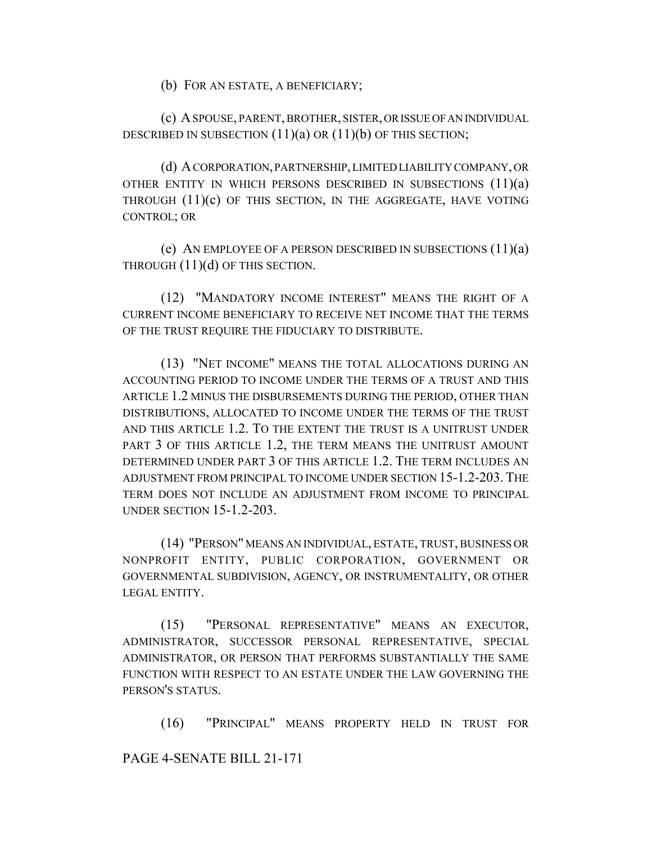(b) FOR AN ESTATE, A BENEFICIARY;

(c) A SPOUSE, PARENT, BROTHER, SISTER, OR ISSUE OF AN INDIVIDUAL DESCRIBED IN SUBSECTION  $(11)(a)$  OR  $(11)(b)$  OF THIS SECTION;

(d) A CORPORATION, PARTNERSHIP, LIMITED LIABILITY COMPANY, OR OTHER ENTITY IN WHICH PERSONS DESCRIBED IN SUBSECTIONS  $(11)(a)$ THROUGH (11)(c) OF THIS SECTION, IN THE AGGREGATE, HAVE VOTING CONTROL; OR

(e) AN EMPLOYEE OF A PERSON DESCRIBED IN SUBSECTIONS  $(11)(a)$ THROUGH (11)(d) OF THIS SECTION.

(12) "MANDATORY INCOME INTEREST" MEANS THE RIGHT OF A CURRENT INCOME BENEFICIARY TO RECEIVE NET INCOME THAT THE TERMS OF THE TRUST REQUIRE THE FIDUCIARY TO DISTRIBUTE.

(13) "NET INCOME" MEANS THE TOTAL ALLOCATIONS DURING AN ACCOUNTING PERIOD TO INCOME UNDER THE TERMS OF A TRUST AND THIS ARTICLE 1.2 MINUS THE DISBURSEMENTS DURING THE PERIOD, OTHER THAN DISTRIBUTIONS, ALLOCATED TO INCOME UNDER THE TERMS OF THE TRUST AND THIS ARTICLE 1.2. TO THE EXTENT THE TRUST IS A UNITRUST UNDER PART 3 OF THIS ARTICLE 1.2, THE TERM MEANS THE UNITRUST AMOUNT DETERMINED UNDER PART 3 OF THIS ARTICLE 1.2. THE TERM INCLUDES AN ADJUSTMENT FROM PRINCIPAL TO INCOME UNDER SECTION 15-1.2-203. THE TERM DOES NOT INCLUDE AN ADJUSTMENT FROM INCOME TO PRINCIPAL UNDER SECTION 15-1.2-203.

(14) "PERSON" MEANS AN INDIVIDUAL, ESTATE, TRUST, BUSINESS OR NONPROFIT ENTITY, PUBLIC CORPORATION, GOVERNMENT OR GOVERNMENTAL SUBDIVISION, AGENCY, OR INSTRUMENTALITY, OR OTHER LEGAL ENTITY.

(15) "PERSONAL REPRESENTATIVE" MEANS AN EXECUTOR, ADMINISTRATOR, SUCCESSOR PERSONAL REPRESENTATIVE, SPECIAL ADMINISTRATOR, OR PERSON THAT PERFORMS SUBSTANTIALLY THE SAME FUNCTION WITH RESPECT TO AN ESTATE UNDER THE LAW GOVERNING THE PERSON'S STATUS.

(16) "PRINCIPAL" MEANS PROPERTY HELD IN TRUST FOR

PAGE 4-SENATE BILL 21-171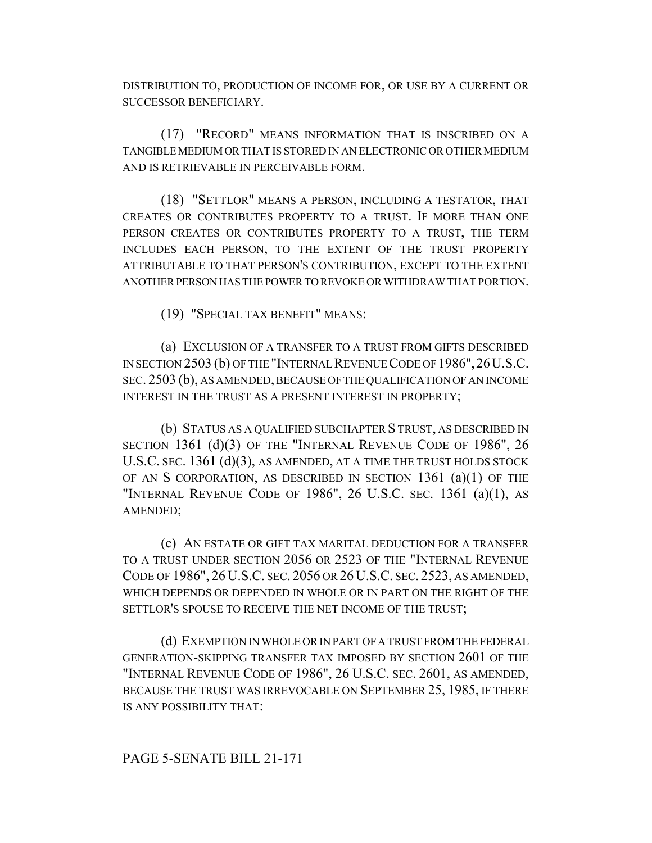DISTRIBUTION TO, PRODUCTION OF INCOME FOR, OR USE BY A CURRENT OR SUCCESSOR BENEFICIARY.

(17) "RECORD" MEANS INFORMATION THAT IS INSCRIBED ON A TANGIBLE MEDIUM OR THAT IS STORED IN AN ELECTRONIC OR OTHER MEDIUM AND IS RETRIEVABLE IN PERCEIVABLE FORM.

(18) "SETTLOR" MEANS A PERSON, INCLUDING A TESTATOR, THAT CREATES OR CONTRIBUTES PROPERTY TO A TRUST. IF MORE THAN ONE PERSON CREATES OR CONTRIBUTES PROPERTY TO A TRUST, THE TERM INCLUDES EACH PERSON, TO THE EXTENT OF THE TRUST PROPERTY ATTRIBUTABLE TO THAT PERSON'S CONTRIBUTION, EXCEPT TO THE EXTENT ANOTHER PERSON HAS THE POWER TO REVOKE OR WITHDRAW THAT PORTION.

(19) "SPECIAL TAX BENEFIT" MEANS:

(a) EXCLUSION OF A TRANSFER TO A TRUST FROM GIFTS DESCRIBED IN SECTION 2503 (b) OF THE "INTERNAL REVENUE CODE OF 1986",26U.S.C. SEC. 2503 (b), AS AMENDED, BECAUSE OF THE QUALIFICATION OF AN INCOME INTEREST IN THE TRUST AS A PRESENT INTEREST IN PROPERTY;

(b) STATUS AS A QUALIFIED SUBCHAPTER S TRUST, AS DESCRIBED IN SECTION 1361 (d)(3) OF THE "INTERNAL REVENUE CODE OF 1986", 26 U.S.C. SEC. 1361 (d)(3), AS AMENDED, AT A TIME THE TRUST HOLDS STOCK OF AN S CORPORATION, AS DESCRIBED IN SECTION 1361 (a)(1) OF THE "INTERNAL REVENUE CODE OF 1986", 26 U.S.C. SEC. 1361 (a)(1), AS AMENDED;

(c) AN ESTATE OR GIFT TAX MARITAL DEDUCTION FOR A TRANSFER TO A TRUST UNDER SECTION 2056 OR 2523 OF THE "INTERNAL REVENUE CODE OF 1986", 26 U.S.C. SEC. 2056 OR 26 U.S.C. SEC. 2523, AS AMENDED, WHICH DEPENDS OR DEPENDED IN WHOLE OR IN PART ON THE RIGHT OF THE SETTLOR'S SPOUSE TO RECEIVE THE NET INCOME OF THE TRUST;

(d) EXEMPTION IN WHOLE OR IN PART OF A TRUST FROM THE FEDERAL GENERATION-SKIPPING TRANSFER TAX IMPOSED BY SECTION 2601 OF THE "INTERNAL REVENUE CODE OF 1986", 26 U.S.C. SEC. 2601, AS AMENDED, BECAUSE THE TRUST WAS IRREVOCABLE ON SEPTEMBER 25, 1985, IF THERE IS ANY POSSIBILITY THAT:

#### PAGE 5-SENATE BILL 21-171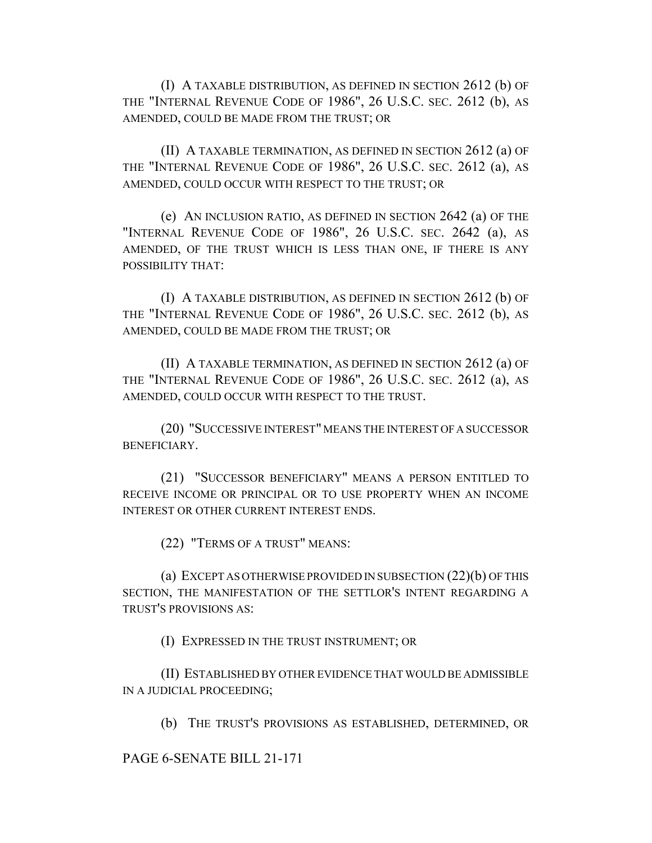(I) A TAXABLE DISTRIBUTION, AS DEFINED IN SECTION 2612 (b) OF THE "INTERNAL REVENUE CODE OF 1986", 26 U.S.C. SEC. 2612 (b), AS AMENDED, COULD BE MADE FROM THE TRUST; OR

(II) A TAXABLE TERMINATION, AS DEFINED IN SECTION 2612 (a) OF THE "INTERNAL REVENUE CODE OF 1986", 26 U.S.C. SEC. 2612 (a), AS AMENDED, COULD OCCUR WITH RESPECT TO THE TRUST; OR

(e) AN INCLUSION RATIO, AS DEFINED IN SECTION 2642 (a) OF THE "INTERNAL REVENUE CODE OF 1986", 26 U.S.C. SEC. 2642 (a), AS AMENDED, OF THE TRUST WHICH IS LESS THAN ONE, IF THERE IS ANY POSSIBILITY THAT:

(I) A TAXABLE DISTRIBUTION, AS DEFINED IN SECTION 2612 (b) OF THE "INTERNAL REVENUE CODE OF 1986", 26 U.S.C. SEC. 2612 (b), AS AMENDED, COULD BE MADE FROM THE TRUST; OR

(II) A TAXABLE TERMINATION, AS DEFINED IN SECTION 2612 (a) OF THE "INTERNAL REVENUE CODE OF 1986", 26 U.S.C. SEC. 2612 (a), AS AMENDED, COULD OCCUR WITH RESPECT TO THE TRUST.

(20) "SUCCESSIVE INTEREST" MEANS THE INTEREST OF A SUCCESSOR BENEFICIARY.

(21) "SUCCESSOR BENEFICIARY" MEANS A PERSON ENTITLED TO RECEIVE INCOME OR PRINCIPAL OR TO USE PROPERTY WHEN AN INCOME INTEREST OR OTHER CURRENT INTEREST ENDS.

(22) "TERMS OF A TRUST" MEANS:

(a) EXCEPT AS OTHERWISE PROVIDED IN SUBSECTION (22)(b) OF THIS SECTION, THE MANIFESTATION OF THE SETTLOR'S INTENT REGARDING A TRUST'S PROVISIONS AS:

(I) EXPRESSED IN THE TRUST INSTRUMENT; OR

(II) ESTABLISHED BY OTHER EVIDENCE THAT WOULD BE ADMISSIBLE IN A JUDICIAL PROCEEDING;

(b) THE TRUST'S PROVISIONS AS ESTABLISHED, DETERMINED, OR

PAGE 6-SENATE BILL 21-171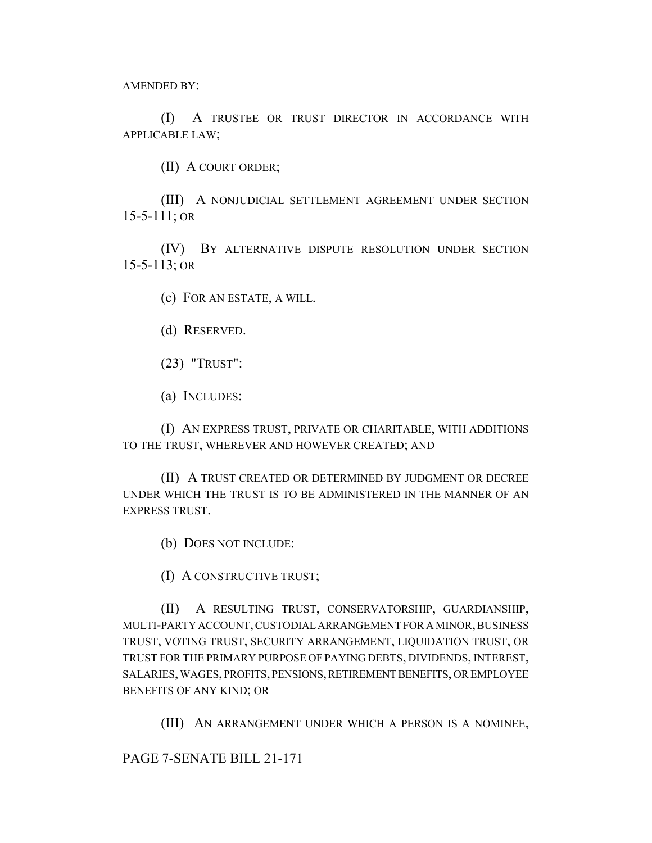AMENDED BY:

(I) A TRUSTEE OR TRUST DIRECTOR IN ACCORDANCE WITH APPLICABLE LAW;

(II) A COURT ORDER;

(III) A NONJUDICIAL SETTLEMENT AGREEMENT UNDER SECTION 15-5-111; OR

(IV) BY ALTERNATIVE DISPUTE RESOLUTION UNDER SECTION 15-5-113; OR

(c) FOR AN ESTATE, A WILL.

- (d) RESERVED.
- (23) "TRUST":
- (a) INCLUDES:

(I) AN EXPRESS TRUST, PRIVATE OR CHARITABLE, WITH ADDITIONS TO THE TRUST, WHEREVER AND HOWEVER CREATED; AND

(II) A TRUST CREATED OR DETERMINED BY JUDGMENT OR DECREE UNDER WHICH THE TRUST IS TO BE ADMINISTERED IN THE MANNER OF AN EXPRESS TRUST.

(b) DOES NOT INCLUDE:

(I) A CONSTRUCTIVE TRUST;

(II) A RESULTING TRUST, CONSERVATORSHIP, GUARDIANSHIP, MULTI-PARTY ACCOUNT, CUSTODIAL ARRANGEMENT FOR A MINOR, BUSINESS TRUST, VOTING TRUST, SECURITY ARRANGEMENT, LIQUIDATION TRUST, OR TRUST FOR THE PRIMARY PURPOSE OF PAYING DEBTS, DIVIDENDS, INTEREST, SALARIES, WAGES, PROFITS, PENSIONS, RETIREMENT BENEFITS, OR EMPLOYEE BENEFITS OF ANY KIND; OR

(III) AN ARRANGEMENT UNDER WHICH A PERSON IS A NOMINEE,

PAGE 7-SENATE BILL 21-171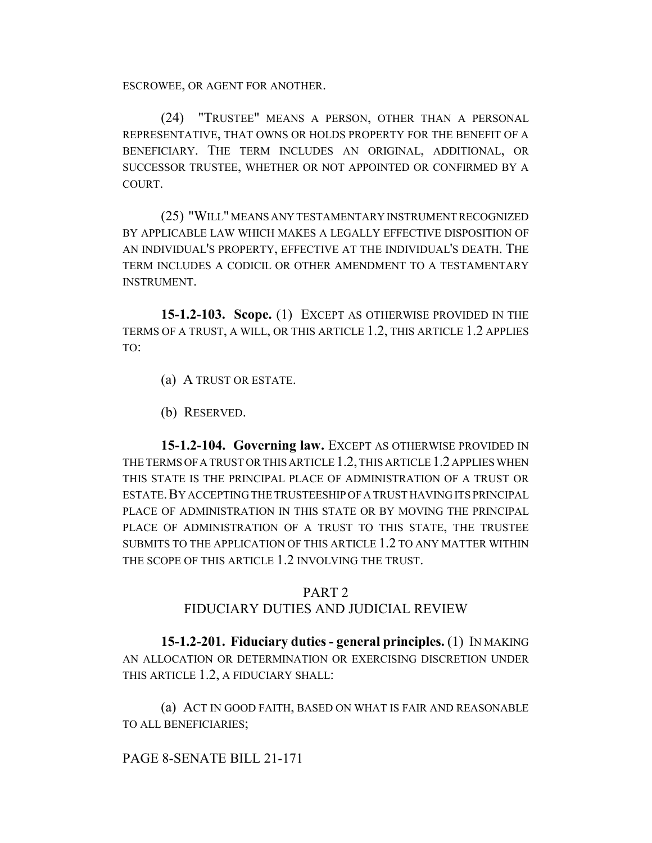ESCROWEE, OR AGENT FOR ANOTHER.

(24) "TRUSTEE" MEANS A PERSON, OTHER THAN A PERSONAL REPRESENTATIVE, THAT OWNS OR HOLDS PROPERTY FOR THE BENEFIT OF A BENEFICIARY. THE TERM INCLUDES AN ORIGINAL, ADDITIONAL, OR SUCCESSOR TRUSTEE, WHETHER OR NOT APPOINTED OR CONFIRMED BY A COURT.

(25) "WILL" MEANS ANY TESTAMENTARY INSTRUMENT RECOGNIZED BY APPLICABLE LAW WHICH MAKES A LEGALLY EFFECTIVE DISPOSITION OF AN INDIVIDUAL'S PROPERTY, EFFECTIVE AT THE INDIVIDUAL'S DEATH. THE TERM INCLUDES A CODICIL OR OTHER AMENDMENT TO A TESTAMENTARY INSTRUMENT.

**15-1.2-103. Scope.** (1) EXCEPT AS OTHERWISE PROVIDED IN THE TERMS OF A TRUST, A WILL, OR THIS ARTICLE 1.2, THIS ARTICLE 1.2 APPLIES TO:

(a) A TRUST OR ESTATE.

(b) RESERVED.

**15-1.2-104. Governing law.** EXCEPT AS OTHERWISE PROVIDED IN THE TERMS OF A TRUST OR THIS ARTICLE 1.2, THIS ARTICLE 1.2 APPLIES WHEN THIS STATE IS THE PRINCIPAL PLACE OF ADMINISTRATION OF A TRUST OR ESTATE.BY ACCEPTING THE TRUSTEESHIP OF A TRUST HAVING ITS PRINCIPAL PLACE OF ADMINISTRATION IN THIS STATE OR BY MOVING THE PRINCIPAL PLACE OF ADMINISTRATION OF A TRUST TO THIS STATE, THE TRUSTEE SUBMITS TO THE APPLICATION OF THIS ARTICLE 1.2 TO ANY MATTER WITHIN THE SCOPE OF THIS ARTICLE 1.2 INVOLVING THE TRUST.

### PART 2

### FIDUCIARY DUTIES AND JUDICIAL REVIEW

**15-1.2-201. Fiduciary duties - general principles.** (1) IN MAKING AN ALLOCATION OR DETERMINATION OR EXERCISING DISCRETION UNDER THIS ARTICLE 1.2, A FIDUCIARY SHALL:

(a) ACT IN GOOD FAITH, BASED ON WHAT IS FAIR AND REASONABLE TO ALL BENEFICIARIES;

### PAGE 8-SENATE BILL 21-171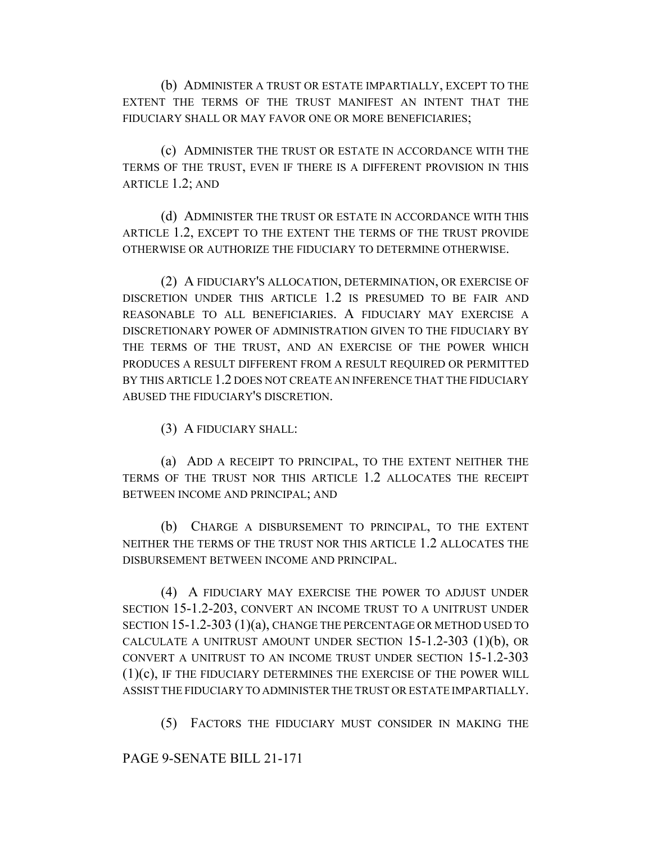(b) ADMINISTER A TRUST OR ESTATE IMPARTIALLY, EXCEPT TO THE EXTENT THE TERMS OF THE TRUST MANIFEST AN INTENT THAT THE FIDUCIARY SHALL OR MAY FAVOR ONE OR MORE BENEFICIARIES;

(c) ADMINISTER THE TRUST OR ESTATE IN ACCORDANCE WITH THE TERMS OF THE TRUST, EVEN IF THERE IS A DIFFERENT PROVISION IN THIS ARTICLE 1.2; AND

(d) ADMINISTER THE TRUST OR ESTATE IN ACCORDANCE WITH THIS ARTICLE 1.2, EXCEPT TO THE EXTENT THE TERMS OF THE TRUST PROVIDE OTHERWISE OR AUTHORIZE THE FIDUCIARY TO DETERMINE OTHERWISE.

(2) A FIDUCIARY'S ALLOCATION, DETERMINATION, OR EXERCISE OF DISCRETION UNDER THIS ARTICLE 1.2 IS PRESUMED TO BE FAIR AND REASONABLE TO ALL BENEFICIARIES. A FIDUCIARY MAY EXERCISE A DISCRETIONARY POWER OF ADMINISTRATION GIVEN TO THE FIDUCIARY BY THE TERMS OF THE TRUST, AND AN EXERCISE OF THE POWER WHICH PRODUCES A RESULT DIFFERENT FROM A RESULT REQUIRED OR PERMITTED BY THIS ARTICLE 1.2 DOES NOT CREATE AN INFERENCE THAT THE FIDUCIARY ABUSED THE FIDUCIARY'S DISCRETION.

(3) A FIDUCIARY SHALL:

(a) ADD A RECEIPT TO PRINCIPAL, TO THE EXTENT NEITHER THE TERMS OF THE TRUST NOR THIS ARTICLE 1.2 ALLOCATES THE RECEIPT BETWEEN INCOME AND PRINCIPAL; AND

(b) CHARGE A DISBURSEMENT TO PRINCIPAL, TO THE EXTENT NEITHER THE TERMS OF THE TRUST NOR THIS ARTICLE 1.2 ALLOCATES THE DISBURSEMENT BETWEEN INCOME AND PRINCIPAL.

(4) A FIDUCIARY MAY EXERCISE THE POWER TO ADJUST UNDER SECTION 15-1.2-203, CONVERT AN INCOME TRUST TO A UNITRUST UNDER SECTION 15-1.2-303 (1)(a), CHANGE THE PERCENTAGE OR METHOD USED TO CALCULATE A UNITRUST AMOUNT UNDER SECTION  $15$ -1.2-303 (1)(b), OR CONVERT A UNITRUST TO AN INCOME TRUST UNDER SECTION 15-1.2-303 (1)(c), IF THE FIDUCIARY DETERMINES THE EXERCISE OF THE POWER WILL ASSIST THE FIDUCIARY TO ADMINISTER THE TRUST OR ESTATE IMPARTIALLY.

(5) FACTORS THE FIDUCIARY MUST CONSIDER IN MAKING THE

PAGE 9-SENATE BILL 21-171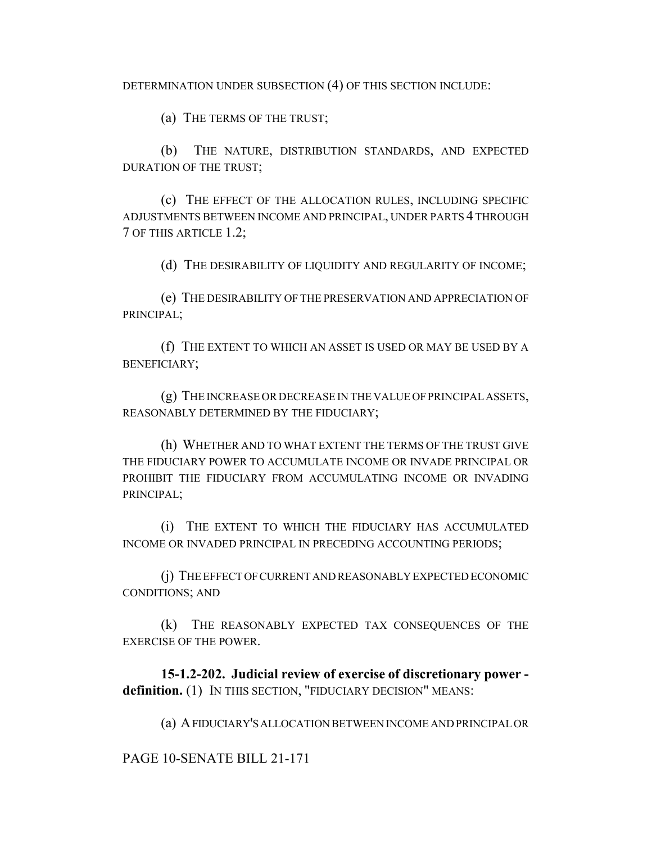DETERMINATION UNDER SUBSECTION (4) OF THIS SECTION INCLUDE:

(a) THE TERMS OF THE TRUST;

(b) THE NATURE, DISTRIBUTION STANDARDS, AND EXPECTED DURATION OF THE TRUST;

(c) THE EFFECT OF THE ALLOCATION RULES, INCLUDING SPECIFIC ADJUSTMENTS BETWEEN INCOME AND PRINCIPAL, UNDER PARTS 4 THROUGH 7 OF THIS ARTICLE 1.2;

(d) THE DESIRABILITY OF LIQUIDITY AND REGULARITY OF INCOME;

(e) THE DESIRABILITY OF THE PRESERVATION AND APPRECIATION OF PRINCIPAL;

(f) THE EXTENT TO WHICH AN ASSET IS USED OR MAY BE USED BY A BENEFICIARY;

(g) THE INCREASE OR DECREASE IN THE VALUE OF PRINCIPAL ASSETS, REASONABLY DETERMINED BY THE FIDUCIARY;

(h) WHETHER AND TO WHAT EXTENT THE TERMS OF THE TRUST GIVE THE FIDUCIARY POWER TO ACCUMULATE INCOME OR INVADE PRINCIPAL OR PROHIBIT THE FIDUCIARY FROM ACCUMULATING INCOME OR INVADING PRINCIPAL;

(i) THE EXTENT TO WHICH THE FIDUCIARY HAS ACCUMULATED INCOME OR INVADED PRINCIPAL IN PRECEDING ACCOUNTING PERIODS;

(j) THE EFFECT OF CURRENT AND REASONABLY EXPECTED ECONOMIC CONDITIONS; AND

(k) THE REASONABLY EXPECTED TAX CONSEQUENCES OF THE EXERCISE OF THE POWER.

**15-1.2-202. Judicial review of exercise of discretionary power definition.** (1) IN THIS SECTION, "FIDUCIARY DECISION" MEANS:

(a) A FIDUCIARY'S ALLOCATION BETWEEN INCOME AND PRINCIPAL OR

PAGE 10-SENATE BILL 21-171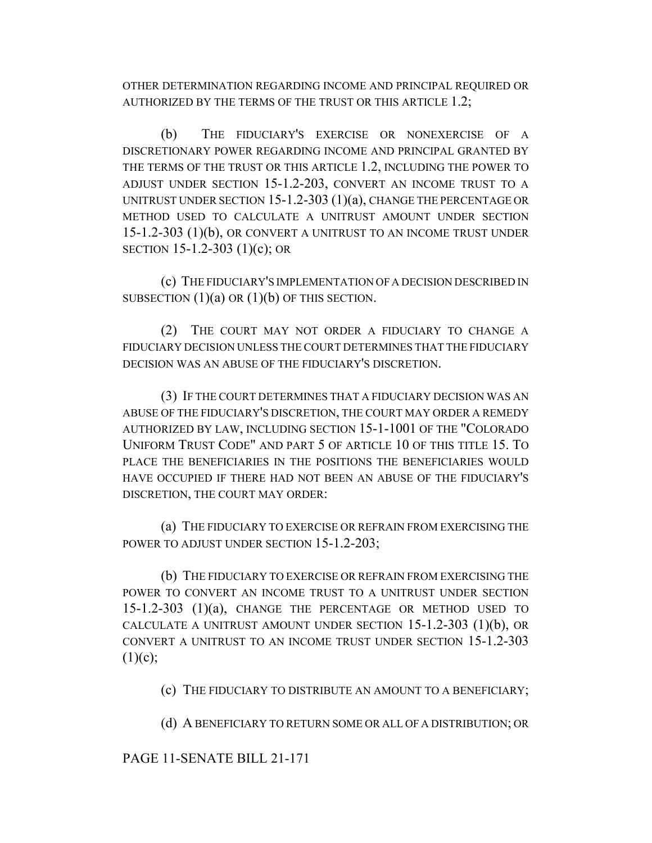OTHER DETERMINATION REGARDING INCOME AND PRINCIPAL REQUIRED OR AUTHORIZED BY THE TERMS OF THE TRUST OR THIS ARTICLE 1.2;

(b) THE FIDUCIARY'S EXERCISE OR NONEXERCISE OF A DISCRETIONARY POWER REGARDING INCOME AND PRINCIPAL GRANTED BY THE TERMS OF THE TRUST OR THIS ARTICLE 1.2, INCLUDING THE POWER TO ADJUST UNDER SECTION 15-1.2-203, CONVERT AN INCOME TRUST TO A UNITRUST UNDER SECTION 15-1.2-303 (1)(a), CHANGE THE PERCENTAGE OR METHOD USED TO CALCULATE A UNITRUST AMOUNT UNDER SECTION 15-1.2-303 (1)(b), OR CONVERT A UNITRUST TO AN INCOME TRUST UNDER SECTION 15-1.2-303 (1)(c); OR

(c) THE FIDUCIARY'S IMPLEMENTATION OF A DECISION DESCRIBED IN SUBSECTION  $(1)(a)$  OR  $(1)(b)$  OF THIS SECTION.

(2) THE COURT MAY NOT ORDER A FIDUCIARY TO CHANGE A FIDUCIARY DECISION UNLESS THE COURT DETERMINES THAT THE FIDUCIARY DECISION WAS AN ABUSE OF THE FIDUCIARY'S DISCRETION.

(3) IF THE COURT DETERMINES THAT A FIDUCIARY DECISION WAS AN ABUSE OF THE FIDUCIARY'S DISCRETION, THE COURT MAY ORDER A REMEDY AUTHORIZED BY LAW, INCLUDING SECTION 15-1-1001 OF THE "COLORADO UNIFORM TRUST CODE" AND PART 5 OF ARTICLE 10 OF THIS TITLE 15. TO PLACE THE BENEFICIARIES IN THE POSITIONS THE BENEFICIARIES WOULD HAVE OCCUPIED IF THERE HAD NOT BEEN AN ABUSE OF THE FIDUCIARY'S DISCRETION, THE COURT MAY ORDER:

(a) THE FIDUCIARY TO EXERCISE OR REFRAIN FROM EXERCISING THE POWER TO ADJUST UNDER SECTION 15-1.2-203;

(b) THE FIDUCIARY TO EXERCISE OR REFRAIN FROM EXERCISING THE POWER TO CONVERT AN INCOME TRUST TO A UNITRUST UNDER SECTION 15-1.2-303 (1)(a), CHANGE THE PERCENTAGE OR METHOD USED TO CALCULATE A UNITRUST AMOUNT UNDER SECTION 15-1.2-303 (1)(b), OR CONVERT A UNITRUST TO AN INCOME TRUST UNDER SECTION 15-1.2-303  $(1)(c);$ 

(c) THE FIDUCIARY TO DISTRIBUTE AN AMOUNT TO A BENEFICIARY;

(d) A BENEFICIARY TO RETURN SOME OR ALL OF A DISTRIBUTION; OR

PAGE 11-SENATE BILL 21-171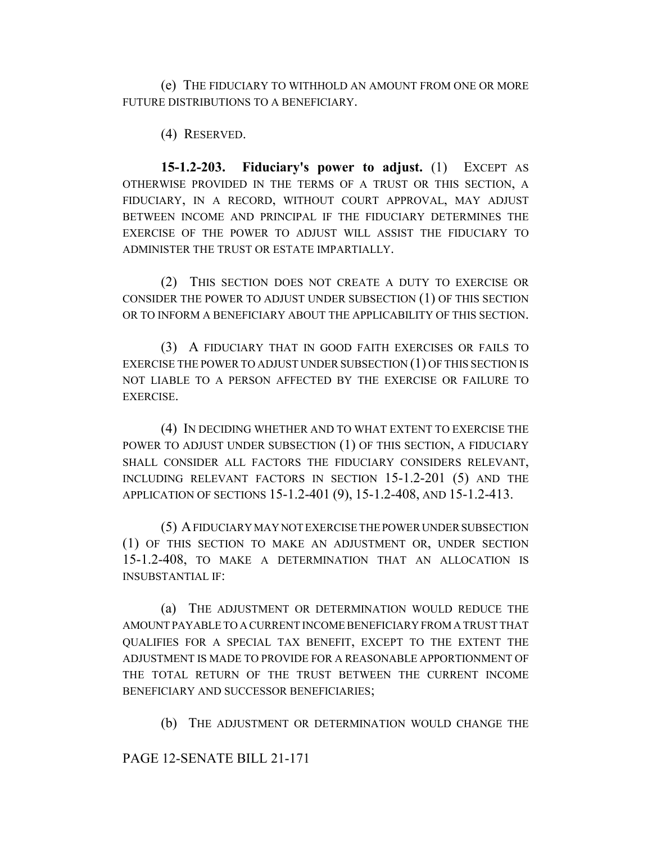(e) THE FIDUCIARY TO WITHHOLD AN AMOUNT FROM ONE OR MORE FUTURE DISTRIBUTIONS TO A BENEFICIARY.

(4) RESERVED.

**15-1.2-203. Fiduciary's power to adjust.** (1) EXCEPT AS OTHERWISE PROVIDED IN THE TERMS OF A TRUST OR THIS SECTION, A FIDUCIARY, IN A RECORD, WITHOUT COURT APPROVAL, MAY ADJUST BETWEEN INCOME AND PRINCIPAL IF THE FIDUCIARY DETERMINES THE EXERCISE OF THE POWER TO ADJUST WILL ASSIST THE FIDUCIARY TO ADMINISTER THE TRUST OR ESTATE IMPARTIALLY.

(2) THIS SECTION DOES NOT CREATE A DUTY TO EXERCISE OR CONSIDER THE POWER TO ADJUST UNDER SUBSECTION (1) OF THIS SECTION OR TO INFORM A BENEFICIARY ABOUT THE APPLICABILITY OF THIS SECTION.

(3) A FIDUCIARY THAT IN GOOD FAITH EXERCISES OR FAILS TO EXERCISE THE POWER TO ADJUST UNDER SUBSECTION (1) OF THIS SECTION IS NOT LIABLE TO A PERSON AFFECTED BY THE EXERCISE OR FAILURE TO EXERCISE.

(4) IN DECIDING WHETHER AND TO WHAT EXTENT TO EXERCISE THE POWER TO ADJUST UNDER SUBSECTION (1) OF THIS SECTION, A FIDUCIARY SHALL CONSIDER ALL FACTORS THE FIDUCIARY CONSIDERS RELEVANT, INCLUDING RELEVANT FACTORS IN SECTION 15-1.2-201 (5) AND THE APPLICATION OF SECTIONS 15-1.2-401 (9), 15-1.2-408, AND 15-1.2-413.

(5) A FIDUCIARY MAY NOT EXERCISE THE POWER UNDER SUBSECTION (1) OF THIS SECTION TO MAKE AN ADJUSTMENT OR, UNDER SECTION 15-1.2-408, TO MAKE A DETERMINATION THAT AN ALLOCATION IS INSUBSTANTIAL IF:

(a) THE ADJUSTMENT OR DETERMINATION WOULD REDUCE THE AMOUNT PAYABLE TO A CURRENT INCOME BENEFICIARY FROM A TRUST THAT QUALIFIES FOR A SPECIAL TAX BENEFIT, EXCEPT TO THE EXTENT THE ADJUSTMENT IS MADE TO PROVIDE FOR A REASONABLE APPORTIONMENT OF THE TOTAL RETURN OF THE TRUST BETWEEN THE CURRENT INCOME BENEFICIARY AND SUCCESSOR BENEFICIARIES;

(b) THE ADJUSTMENT OR DETERMINATION WOULD CHANGE THE

PAGE 12-SENATE BILL 21-171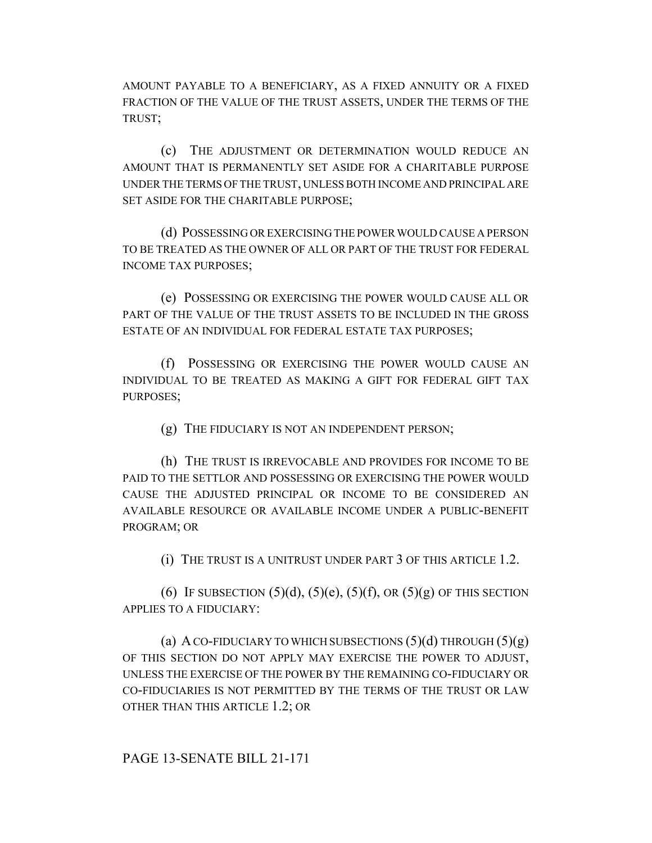AMOUNT PAYABLE TO A BENEFICIARY, AS A FIXED ANNUITY OR A FIXED FRACTION OF THE VALUE OF THE TRUST ASSETS, UNDER THE TERMS OF THE TRUST;

(c) THE ADJUSTMENT OR DETERMINATION WOULD REDUCE AN AMOUNT THAT IS PERMANENTLY SET ASIDE FOR A CHARITABLE PURPOSE UNDER THE TERMS OF THE TRUST, UNLESS BOTH INCOME AND PRINCIPAL ARE SET ASIDE FOR THE CHARITABLE PURPOSE;

(d) POSSESSING OR EXERCISING THE POWER WOULD CAUSE A PERSON TO BE TREATED AS THE OWNER OF ALL OR PART OF THE TRUST FOR FEDERAL INCOME TAX PURPOSES;

(e) POSSESSING OR EXERCISING THE POWER WOULD CAUSE ALL OR PART OF THE VALUE OF THE TRUST ASSETS TO BE INCLUDED IN THE GROSS ESTATE OF AN INDIVIDUAL FOR FEDERAL ESTATE TAX PURPOSES;

(f) POSSESSING OR EXERCISING THE POWER WOULD CAUSE AN INDIVIDUAL TO BE TREATED AS MAKING A GIFT FOR FEDERAL GIFT TAX PURPOSES;

(g) THE FIDUCIARY IS NOT AN INDEPENDENT PERSON;

(h) THE TRUST IS IRREVOCABLE AND PROVIDES FOR INCOME TO BE PAID TO THE SETTLOR AND POSSESSING OR EXERCISING THE POWER WOULD CAUSE THE ADJUSTED PRINCIPAL OR INCOME TO BE CONSIDERED AN AVAILABLE RESOURCE OR AVAILABLE INCOME UNDER A PUBLIC-BENEFIT PROGRAM; OR

(i) THE TRUST IS A UNITRUST UNDER PART 3 OF THIS ARTICLE 1.2.

(6) IF SUBSECTION  $(5)(d)$ ,  $(5)(e)$ ,  $(5)(f)$ , OR  $(5)(g)$  OF THIS SECTION APPLIES TO A FIDUCIARY:

(a) A CO-FIDUCIARY TO WHICH SUBSECTIONS  $(5)(d)$  THROUGH  $(5)(g)$ OF THIS SECTION DO NOT APPLY MAY EXERCISE THE POWER TO ADJUST, UNLESS THE EXERCISE OF THE POWER BY THE REMAINING CO-FIDUCIARY OR CO-FIDUCIARIES IS NOT PERMITTED BY THE TERMS OF THE TRUST OR LAW OTHER THAN THIS ARTICLE 1.2; OR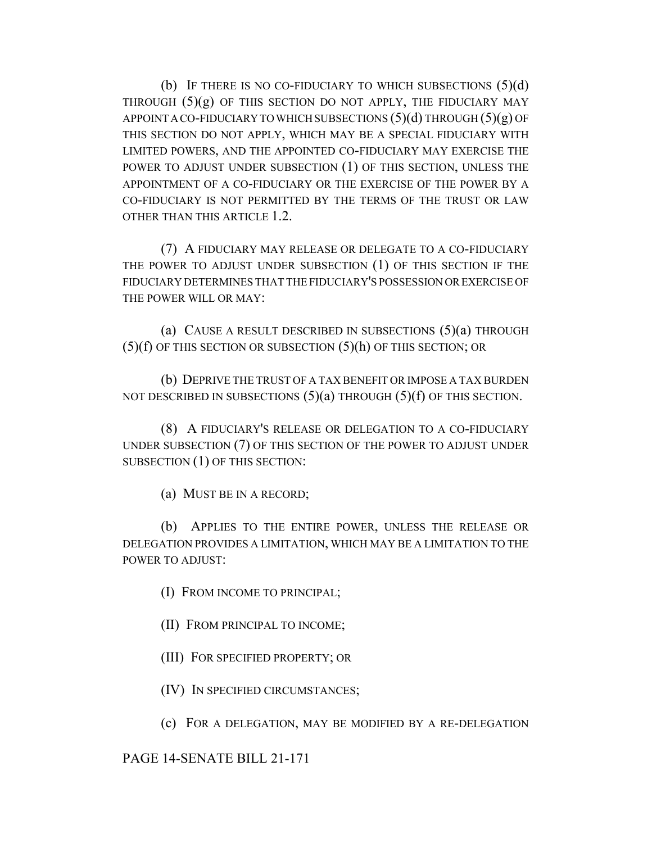(b) IF THERE IS NO CO-FIDUCIARY TO WHICH SUBSECTIONS  $(5)(d)$ THROUGH  $(5)(g)$  OF THIS SECTION DO NOT APPLY, THE FIDUCIARY MAY APPOINT A CO-FIDUCIARY TO WHICH SUBSECTIONS  $(5)(d)$  THROUGH  $(5)(g)$  OF THIS SECTION DO NOT APPLY, WHICH MAY BE A SPECIAL FIDUCIARY WITH LIMITED POWERS, AND THE APPOINTED CO-FIDUCIARY MAY EXERCISE THE POWER TO ADJUST UNDER SUBSECTION (1) OF THIS SECTION, UNLESS THE APPOINTMENT OF A CO-FIDUCIARY OR THE EXERCISE OF THE POWER BY A CO-FIDUCIARY IS NOT PERMITTED BY THE TERMS OF THE TRUST OR LAW OTHER THAN THIS ARTICLE 1.2.

(7) A FIDUCIARY MAY RELEASE OR DELEGATE TO A CO-FIDUCIARY THE POWER TO ADJUST UNDER SUBSECTION (1) OF THIS SECTION IF THE FIDUCIARY DETERMINES THAT THE FIDUCIARY'S POSSESSION OR EXERCISE OF THE POWER WILL OR MAY:

(a) CAUSE A RESULT DESCRIBED IN SUBSECTIONS  $(5)(a)$  THROUGH (5)(f) OF THIS SECTION OR SUBSECTION (5)(h) OF THIS SECTION; OR

(b) DEPRIVE THE TRUST OF A TAX BENEFIT OR IMPOSE A TAX BURDEN NOT DESCRIBED IN SUBSECTIONS  $(5)(a)$  THROUGH  $(5)(f)$  OF THIS SECTION.

(8) A FIDUCIARY'S RELEASE OR DELEGATION TO A CO-FIDUCIARY UNDER SUBSECTION (7) OF THIS SECTION OF THE POWER TO ADJUST UNDER SUBSECTION (1) OF THIS SECTION:

(a) MUST BE IN A RECORD;

(b) APPLIES TO THE ENTIRE POWER, UNLESS THE RELEASE OR DELEGATION PROVIDES A LIMITATION, WHICH MAY BE A LIMITATION TO THE POWER TO ADJUST:

(I) FROM INCOME TO PRINCIPAL;

(II) FROM PRINCIPAL TO INCOME;

(III) FOR SPECIFIED PROPERTY; OR

(IV) IN SPECIFIED CIRCUMSTANCES;

(c) FOR A DELEGATION, MAY BE MODIFIED BY A RE-DELEGATION

PAGE 14-SENATE BILL 21-171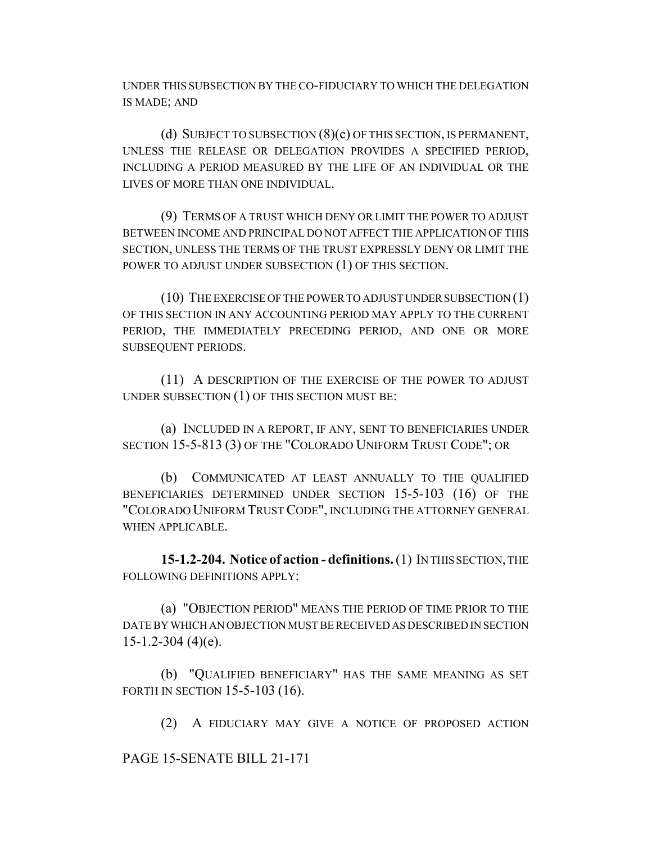UNDER THIS SUBSECTION BY THE CO-FIDUCIARY TO WHICH THE DELEGATION IS MADE; AND

(d) SUBJECT TO SUBSECTION (8)(c) OF THIS SECTION, IS PERMANENT, UNLESS THE RELEASE OR DELEGATION PROVIDES A SPECIFIED PERIOD, INCLUDING A PERIOD MEASURED BY THE LIFE OF AN INDIVIDUAL OR THE LIVES OF MORE THAN ONE INDIVIDUAL.

(9) TERMS OF A TRUST WHICH DENY OR LIMIT THE POWER TO ADJUST BETWEEN INCOME AND PRINCIPAL DO NOT AFFECT THE APPLICATION OF THIS SECTION, UNLESS THE TERMS OF THE TRUST EXPRESSLY DENY OR LIMIT THE POWER TO ADJUST UNDER SUBSECTION (1) OF THIS SECTION.

(10) THE EXERCISE OF THE POWER TO ADJUST UNDER SUBSECTION (1) OF THIS SECTION IN ANY ACCOUNTING PERIOD MAY APPLY TO THE CURRENT PERIOD, THE IMMEDIATELY PRECEDING PERIOD, AND ONE OR MORE SUBSEQUENT PERIODS.

(11) A DESCRIPTION OF THE EXERCISE OF THE POWER TO ADJUST UNDER SUBSECTION (1) OF THIS SECTION MUST BE:

(a) INCLUDED IN A REPORT, IF ANY, SENT TO BENEFICIARIES UNDER SECTION 15-5-813 (3) OF THE "COLORADO UNIFORM TRUST CODE"; OR

(b) COMMUNICATED AT LEAST ANNUALLY TO THE QUALIFIED BENEFICIARIES DETERMINED UNDER SECTION 15-5-103 (16) OF THE "COLORADO UNIFORM TRUST CODE", INCLUDING THE ATTORNEY GENERAL WHEN APPLICABLE.

**15-1.2-204. Notice of action - definitions.** (1) IN THIS SECTION, THE FOLLOWING DEFINITIONS APPLY:

(a) "OBJECTION PERIOD" MEANS THE PERIOD OF TIME PRIOR TO THE DATE BY WHICH AN OBJECTION MUST BE RECEIVED AS DESCRIBED IN SECTION  $15-1.2-304$  (4)(e).

(b) "QUALIFIED BENEFICIARY" HAS THE SAME MEANING AS SET FORTH IN SECTION 15-5-103 (16).

(2) A FIDUCIARY MAY GIVE A NOTICE OF PROPOSED ACTION

PAGE 15-SENATE BILL 21-171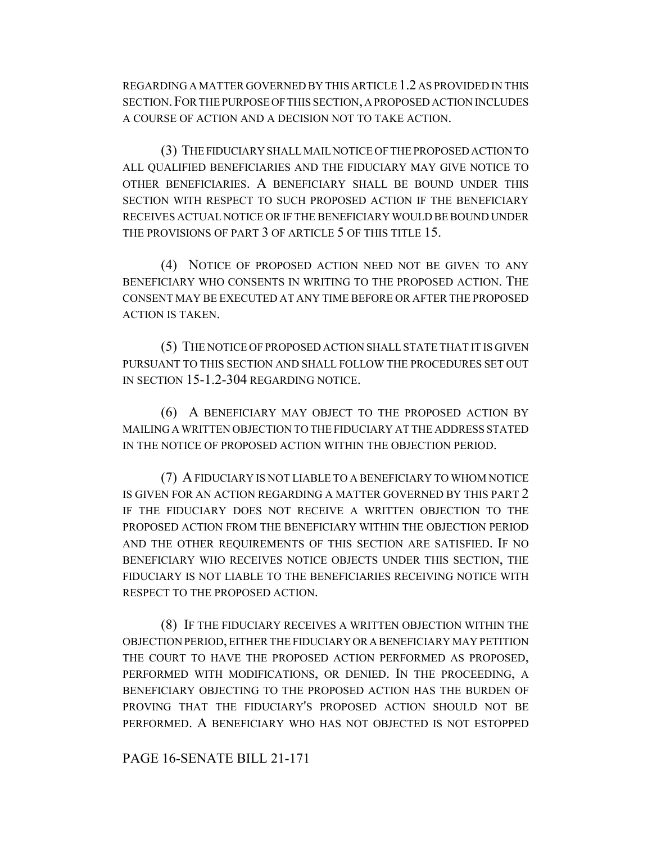REGARDING A MATTER GOVERNED BY THIS ARTICLE 1.2 AS PROVIDED IN THIS SECTION.FOR THE PURPOSE OF THIS SECTION, A PROPOSED ACTION INCLUDES A COURSE OF ACTION AND A DECISION NOT TO TAKE ACTION.

(3) THE FIDUCIARY SHALL MAIL NOTICE OF THE PROPOSED ACTION TO ALL QUALIFIED BENEFICIARIES AND THE FIDUCIARY MAY GIVE NOTICE TO OTHER BENEFICIARIES. A BENEFICIARY SHALL BE BOUND UNDER THIS SECTION WITH RESPECT TO SUCH PROPOSED ACTION IF THE BENEFICIARY RECEIVES ACTUAL NOTICE OR IF THE BENEFICIARY WOULD BE BOUND UNDER THE PROVISIONS OF PART 3 OF ARTICLE 5 OF THIS TITLE 15.

(4) NOTICE OF PROPOSED ACTION NEED NOT BE GIVEN TO ANY BENEFICIARY WHO CONSENTS IN WRITING TO THE PROPOSED ACTION. THE CONSENT MAY BE EXECUTED AT ANY TIME BEFORE OR AFTER THE PROPOSED ACTION IS TAKEN.

(5) THE NOTICE OF PROPOSED ACTION SHALL STATE THAT IT IS GIVEN PURSUANT TO THIS SECTION AND SHALL FOLLOW THE PROCEDURES SET OUT IN SECTION 15-1.2-304 REGARDING NOTICE.

(6) A BENEFICIARY MAY OBJECT TO THE PROPOSED ACTION BY MAILING A WRITTEN OBJECTION TO THE FIDUCIARY AT THE ADDRESS STATED IN THE NOTICE OF PROPOSED ACTION WITHIN THE OBJECTION PERIOD.

(7) A FIDUCIARY IS NOT LIABLE TO A BENEFICIARY TO WHOM NOTICE IS GIVEN FOR AN ACTION REGARDING A MATTER GOVERNED BY THIS PART 2 IF THE FIDUCIARY DOES NOT RECEIVE A WRITTEN OBJECTION TO THE PROPOSED ACTION FROM THE BENEFICIARY WITHIN THE OBJECTION PERIOD AND THE OTHER REQUIREMENTS OF THIS SECTION ARE SATISFIED. IF NO BENEFICIARY WHO RECEIVES NOTICE OBJECTS UNDER THIS SECTION, THE FIDUCIARY IS NOT LIABLE TO THE BENEFICIARIES RECEIVING NOTICE WITH RESPECT TO THE PROPOSED ACTION.

(8) IF THE FIDUCIARY RECEIVES A WRITTEN OBJECTION WITHIN THE OBJECTION PERIOD, EITHER THE FIDUCIARY OR A BENEFICIARY MAY PETITION THE COURT TO HAVE THE PROPOSED ACTION PERFORMED AS PROPOSED, PERFORMED WITH MODIFICATIONS, OR DENIED. IN THE PROCEEDING, A BENEFICIARY OBJECTING TO THE PROPOSED ACTION HAS THE BURDEN OF PROVING THAT THE FIDUCIARY'S PROPOSED ACTION SHOULD NOT BE PERFORMED. A BENEFICIARY WHO HAS NOT OBJECTED IS NOT ESTOPPED

PAGE 16-SENATE BILL 21-171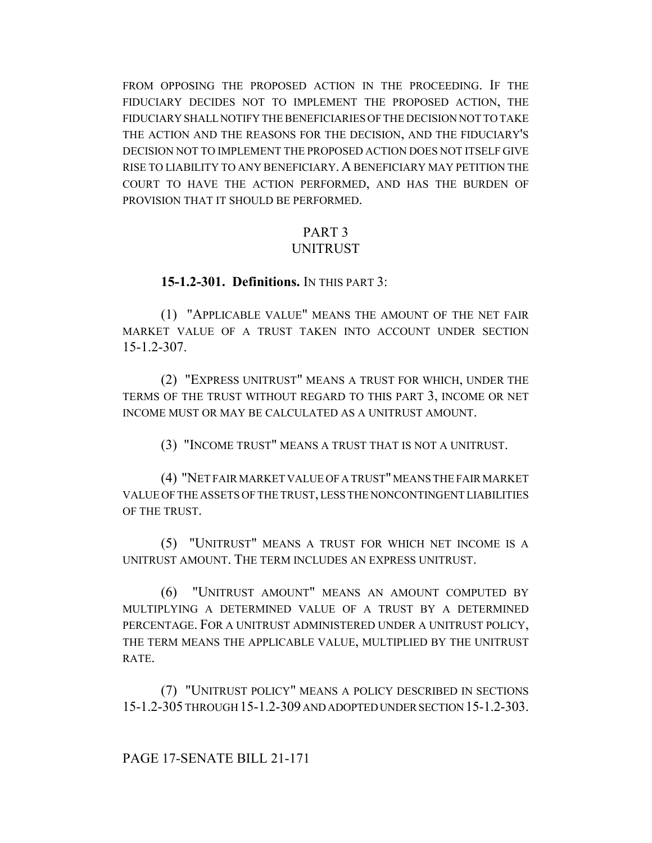FROM OPPOSING THE PROPOSED ACTION IN THE PROCEEDING. IF THE FIDUCIARY DECIDES NOT TO IMPLEMENT THE PROPOSED ACTION, THE FIDUCIARY SHALL NOTIFY THE BENEFICIARIES OF THE DECISION NOT TO TAKE THE ACTION AND THE REASONS FOR THE DECISION, AND THE FIDUCIARY'S DECISION NOT TO IMPLEMENT THE PROPOSED ACTION DOES NOT ITSELF GIVE RISE TO LIABILITY TO ANY BENEFICIARY. A BENEFICIARY MAY PETITION THE COURT TO HAVE THE ACTION PERFORMED, AND HAS THE BURDEN OF PROVISION THAT IT SHOULD BE PERFORMED.

# PART 3

### UNITRUST

### **15-1.2-301. Definitions.** IN THIS PART 3:

(1) "APPLICABLE VALUE" MEANS THE AMOUNT OF THE NET FAIR MARKET VALUE OF A TRUST TAKEN INTO ACCOUNT UNDER SECTION 15-1.2-307.

(2) "EXPRESS UNITRUST" MEANS A TRUST FOR WHICH, UNDER THE TERMS OF THE TRUST WITHOUT REGARD TO THIS PART 3, INCOME OR NET INCOME MUST OR MAY BE CALCULATED AS A UNITRUST AMOUNT.

(3) "INCOME TRUST" MEANS A TRUST THAT IS NOT A UNITRUST.

(4) "NET FAIR MARKET VALUE OF A TRUST" MEANS THE FAIR MARKET VALUE OF THE ASSETS OF THE TRUST, LESS THE NONCONTINGENT LIABILITIES OF THE TRUST.

(5) "UNITRUST" MEANS A TRUST FOR WHICH NET INCOME IS A UNITRUST AMOUNT. THE TERM INCLUDES AN EXPRESS UNITRUST.

(6) "UNITRUST AMOUNT" MEANS AN AMOUNT COMPUTED BY MULTIPLYING A DETERMINED VALUE OF A TRUST BY A DETERMINED PERCENTAGE. FOR A UNITRUST ADMINISTERED UNDER A UNITRUST POLICY, THE TERM MEANS THE APPLICABLE VALUE, MULTIPLIED BY THE UNITRUST RATE.

(7) "UNITRUST POLICY" MEANS A POLICY DESCRIBED IN SECTIONS 15-1.2-305 THROUGH 15-1.2-309 AND ADOPTED UNDER SECTION 15-1.2-303.

PAGE 17-SENATE BILL 21-171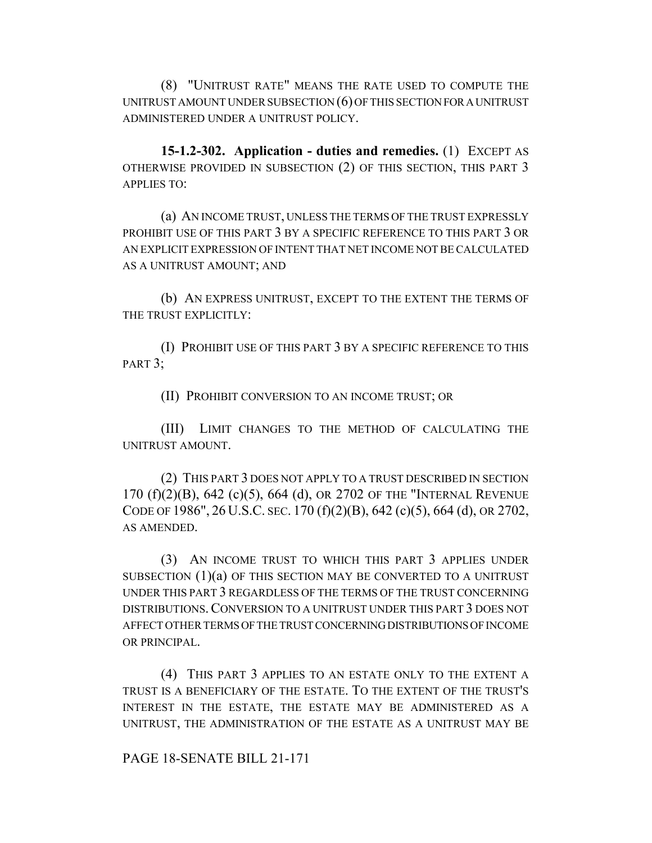(8) "UNITRUST RATE" MEANS THE RATE USED TO COMPUTE THE UNITRUST AMOUNT UNDER SUBSECTION (6) OF THIS SECTION FOR A UNITRUST ADMINISTERED UNDER A UNITRUST POLICY.

**15-1.2-302. Application - duties and remedies.** (1) EXCEPT AS OTHERWISE PROVIDED IN SUBSECTION (2) OF THIS SECTION, THIS PART 3 APPLIES TO:

(a) AN INCOME TRUST, UNLESS THE TERMS OF THE TRUST EXPRESSLY PROHIBIT USE OF THIS PART 3 BY A SPECIFIC REFERENCE TO THIS PART 3 OR AN EXPLICIT EXPRESSION OF INTENT THAT NET INCOME NOT BE CALCULATED AS A UNITRUST AMOUNT; AND

(b) AN EXPRESS UNITRUST, EXCEPT TO THE EXTENT THE TERMS OF THE TRUST EXPLICITLY:

(I) PROHIBIT USE OF THIS PART 3 BY A SPECIFIC REFERENCE TO THIS PART 3;

(II) PROHIBIT CONVERSION TO AN INCOME TRUST; OR

(III) LIMIT CHANGES TO THE METHOD OF CALCULATING THE UNITRUST AMOUNT.

(2) THIS PART 3 DOES NOT APPLY TO A TRUST DESCRIBED IN SECTION 170 (f)(2)(B), 642 (c)(5), 664 (d), OR 2702 OF THE "INTERNAL REVENUE CODE OF 1986", 26 U.S.C. SEC. 170 (f)(2)(B), 642 (c)(5), 664 (d), OR 2702, AS AMENDED.

(3) AN INCOME TRUST TO WHICH THIS PART 3 APPLIES UNDER SUBSECTION  $(1)(a)$  OF THIS SECTION MAY BE CONVERTED TO A UNITRUST UNDER THIS PART 3 REGARDLESS OF THE TERMS OF THE TRUST CONCERNING DISTRIBUTIONS.CONVERSION TO A UNITRUST UNDER THIS PART 3 DOES NOT AFFECT OTHER TERMS OF THE TRUST CONCERNING DISTRIBUTIONS OF INCOME OR PRINCIPAL.

(4) THIS PART 3 APPLIES TO AN ESTATE ONLY TO THE EXTENT A TRUST IS A BENEFICIARY OF THE ESTATE. TO THE EXTENT OF THE TRUST'S INTEREST IN THE ESTATE, THE ESTATE MAY BE ADMINISTERED AS A UNITRUST, THE ADMINISTRATION OF THE ESTATE AS A UNITRUST MAY BE

PAGE 18-SENATE BILL 21-171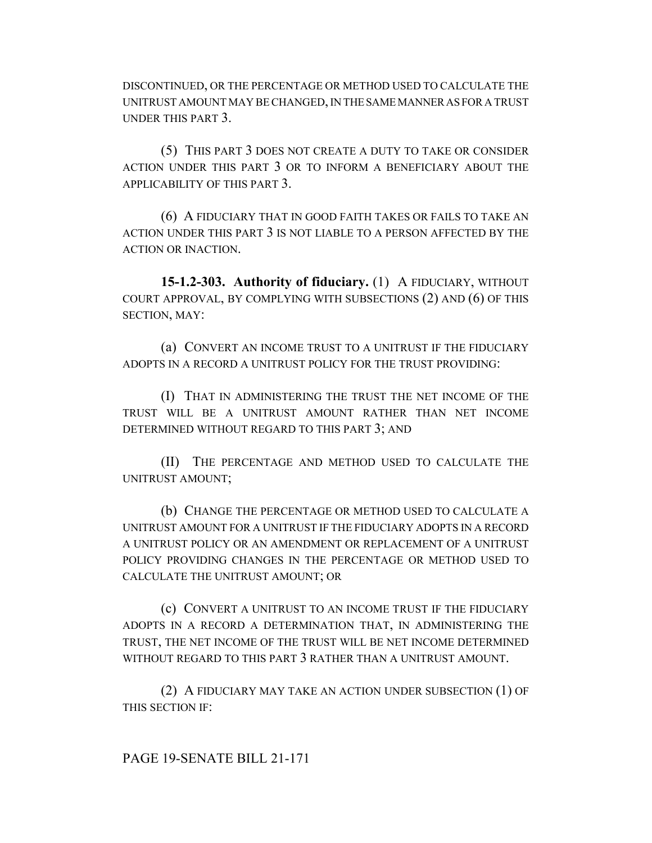DISCONTINUED, OR THE PERCENTAGE OR METHOD USED TO CALCULATE THE UNITRUST AMOUNT MAY BE CHANGED, IN THE SAME MANNER AS FOR A TRUST UNDER THIS PART 3.

(5) THIS PART 3 DOES NOT CREATE A DUTY TO TAKE OR CONSIDER ACTION UNDER THIS PART 3 OR TO INFORM A BENEFICIARY ABOUT THE APPLICABILITY OF THIS PART 3.

(6) A FIDUCIARY THAT IN GOOD FAITH TAKES OR FAILS TO TAKE AN ACTION UNDER THIS PART 3 IS NOT LIABLE TO A PERSON AFFECTED BY THE ACTION OR INACTION.

**15-1.2-303. Authority of fiduciary.** (1) A FIDUCIARY, WITHOUT COURT APPROVAL, BY COMPLYING WITH SUBSECTIONS (2) AND (6) OF THIS SECTION, MAY:

(a) CONVERT AN INCOME TRUST TO A UNITRUST IF THE FIDUCIARY ADOPTS IN A RECORD A UNITRUST POLICY FOR THE TRUST PROVIDING:

(I) THAT IN ADMINISTERING THE TRUST THE NET INCOME OF THE TRUST WILL BE A UNITRUST AMOUNT RATHER THAN NET INCOME DETERMINED WITHOUT REGARD TO THIS PART 3; AND

(II) THE PERCENTAGE AND METHOD USED TO CALCULATE THE UNITRUST AMOUNT;

(b) CHANGE THE PERCENTAGE OR METHOD USED TO CALCULATE A UNITRUST AMOUNT FOR A UNITRUST IF THE FIDUCIARY ADOPTS IN A RECORD A UNITRUST POLICY OR AN AMENDMENT OR REPLACEMENT OF A UNITRUST POLICY PROVIDING CHANGES IN THE PERCENTAGE OR METHOD USED TO CALCULATE THE UNITRUST AMOUNT; OR

(c) CONVERT A UNITRUST TO AN INCOME TRUST IF THE FIDUCIARY ADOPTS IN A RECORD A DETERMINATION THAT, IN ADMINISTERING THE TRUST, THE NET INCOME OF THE TRUST WILL BE NET INCOME DETERMINED WITHOUT REGARD TO THIS PART 3 RATHER THAN A UNITRUST AMOUNT.

(2) A FIDUCIARY MAY TAKE AN ACTION UNDER SUBSECTION (1) OF THIS SECTION IF:

PAGE 19-SENATE BILL 21-171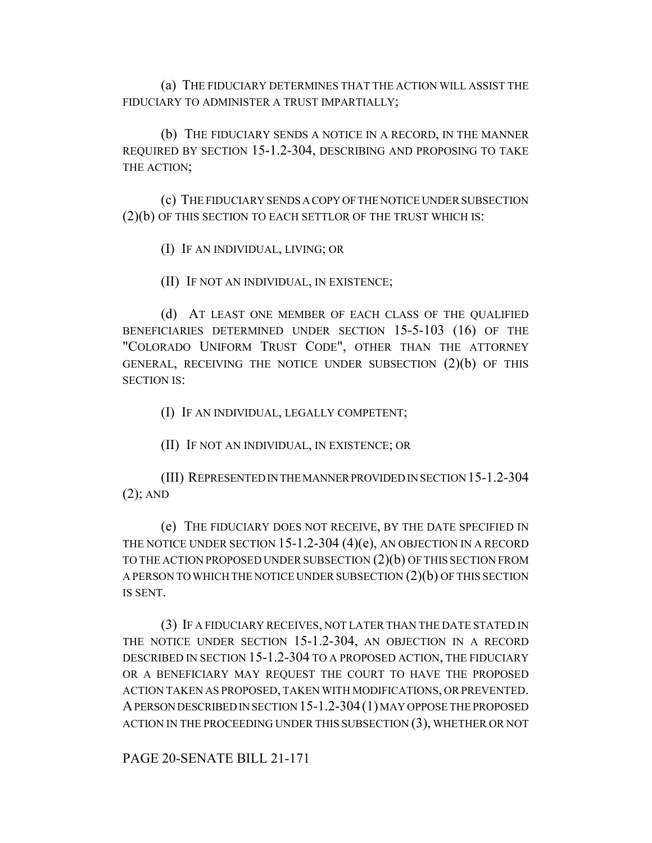(a) THE FIDUCIARY DETERMINES THAT THE ACTION WILL ASSIST THE FIDUCIARY TO ADMINISTER A TRUST IMPARTIALLY;

(b) THE FIDUCIARY SENDS A NOTICE IN A RECORD, IN THE MANNER REQUIRED BY SECTION 15-1.2-304, DESCRIBING AND PROPOSING TO TAKE THE ACTION;

(c) THE FIDUCIARY SENDS A COPY OF THE NOTICE UNDER SUBSECTION (2)(b) OF THIS SECTION TO EACH SETTLOR OF THE TRUST WHICH IS:

(I) IF AN INDIVIDUAL, LIVING; OR

(II) IF NOT AN INDIVIDUAL, IN EXISTENCE;

(d) AT LEAST ONE MEMBER OF EACH CLASS OF THE QUALIFIED BENEFICIARIES DETERMINED UNDER SECTION 15-5-103 (16) OF THE "COLORADO UNIFORM TRUST CODE", OTHER THAN THE ATTORNEY GENERAL, RECEIVING THE NOTICE UNDER SUBSECTION (2)(b) OF THIS SECTION IS:

(I) IF AN INDIVIDUAL, LEGALLY COMPETENT;

(II) IF NOT AN INDIVIDUAL, IN EXISTENCE; OR

(III) REPRESENTED IN THE MANNER PROVIDED IN SECTION 15-1.2-304 (2); AND

(e) THE FIDUCIARY DOES NOT RECEIVE, BY THE DATE SPECIFIED IN THE NOTICE UNDER SECTION 15-1.2-304  $(4)(e)$ , AN OBJECTION IN A RECORD TO THE ACTION PROPOSED UNDER SUBSECTION (2)(b) OF THIS SECTION FROM A PERSON TO WHICH THE NOTICE UNDER SUBSECTION (2)(b) OF THIS SECTION IS SENT.

(3) IF A FIDUCIARY RECEIVES, NOT LATER THAN THE DATE STATED IN THE NOTICE UNDER SECTION 15-1.2-304, AN OBJECTION IN A RECORD DESCRIBED IN SECTION 15-1.2-304 TO A PROPOSED ACTION, THE FIDUCIARY OR A BENEFICIARY MAY REQUEST THE COURT TO HAVE THE PROPOSED ACTION TAKEN AS PROPOSED, TAKEN WITH MODIFICATIONS, OR PREVENTED. A PERSON DESCRIBED IN SECTION 15-1.2-304(1) MAY OPPOSE THE PROPOSED ACTION IN THE PROCEEDING UNDER THIS SUBSECTION (3), WHETHER OR NOT

PAGE 20-SENATE BILL 21-171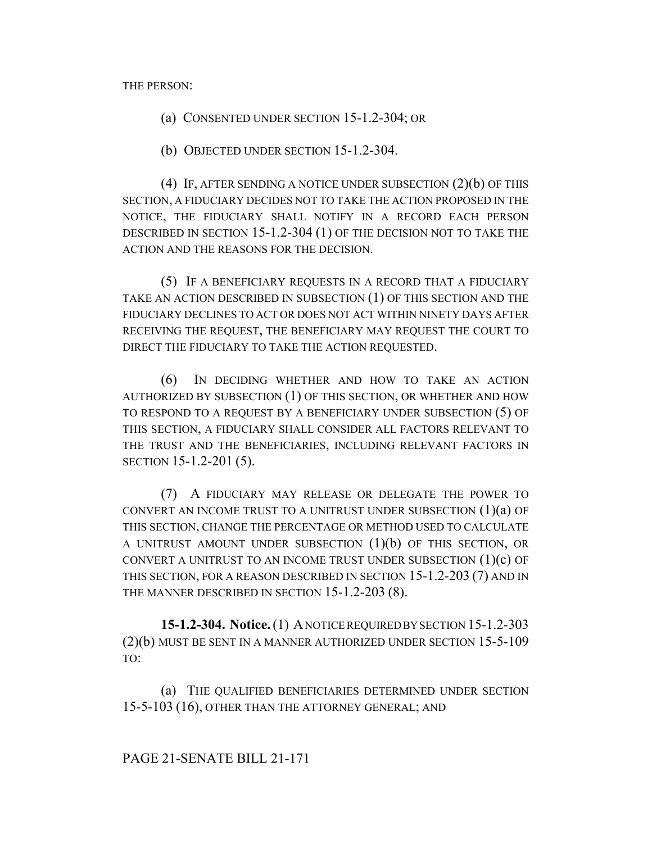THE PERSON:

(a) CONSENTED UNDER SECTION 15-1.2-304; OR

(b) OBJECTED UNDER SECTION 15-1.2-304.

(4) IF, AFTER SENDING A NOTICE UNDER SUBSECTION (2)(b) OF THIS SECTION, A FIDUCIARY DECIDES NOT TO TAKE THE ACTION PROPOSED IN THE NOTICE, THE FIDUCIARY SHALL NOTIFY IN A RECORD EACH PERSON DESCRIBED IN SECTION 15-1.2-304 (1) OF THE DECISION NOT TO TAKE THE ACTION AND THE REASONS FOR THE DECISION.

(5) IF A BENEFICIARY REQUESTS IN A RECORD THAT A FIDUCIARY TAKE AN ACTION DESCRIBED IN SUBSECTION (1) OF THIS SECTION AND THE FIDUCIARY DECLINES TO ACT OR DOES NOT ACT WITHIN NINETY DAYS AFTER RECEIVING THE REQUEST, THE BENEFICIARY MAY REQUEST THE COURT TO DIRECT THE FIDUCIARY TO TAKE THE ACTION REQUESTED.

(6) IN DECIDING WHETHER AND HOW TO TAKE AN ACTION AUTHORIZED BY SUBSECTION (1) OF THIS SECTION, OR WHETHER AND HOW TO RESPOND TO A REQUEST BY A BENEFICIARY UNDER SUBSECTION (5) OF THIS SECTION, A FIDUCIARY SHALL CONSIDER ALL FACTORS RELEVANT TO THE TRUST AND THE BENEFICIARIES, INCLUDING RELEVANT FACTORS IN SECTION 15-1.2-201 (5).

(7) A FIDUCIARY MAY RELEASE OR DELEGATE THE POWER TO CONVERT AN INCOME TRUST TO A UNITRUST UNDER SUBSECTION  $(1)(a)$  OF THIS SECTION, CHANGE THE PERCENTAGE OR METHOD USED TO CALCULATE A UNITRUST AMOUNT UNDER SUBSECTION  $(1)(b)$  of this section, or CONVERT A UNITRUST TO AN INCOME TRUST UNDER SUBSECTION  $(1)(c)$  OF THIS SECTION, FOR A REASON DESCRIBED IN SECTION 15-1.2-203 (7) AND IN THE MANNER DESCRIBED IN SECTION 15-1.2-203 (8).

**15-1.2-304. Notice.** (1) A NOTICE REQUIRED BY SECTION 15-1.2-303 (2)(b) MUST BE SENT IN A MANNER AUTHORIZED UNDER SECTION 15-5-109 TO:

(a) THE QUALIFIED BENEFICIARIES DETERMINED UNDER SECTION 15-5-103 (16), OTHER THAN THE ATTORNEY GENERAL; AND

### PAGE 21-SENATE BILL 21-171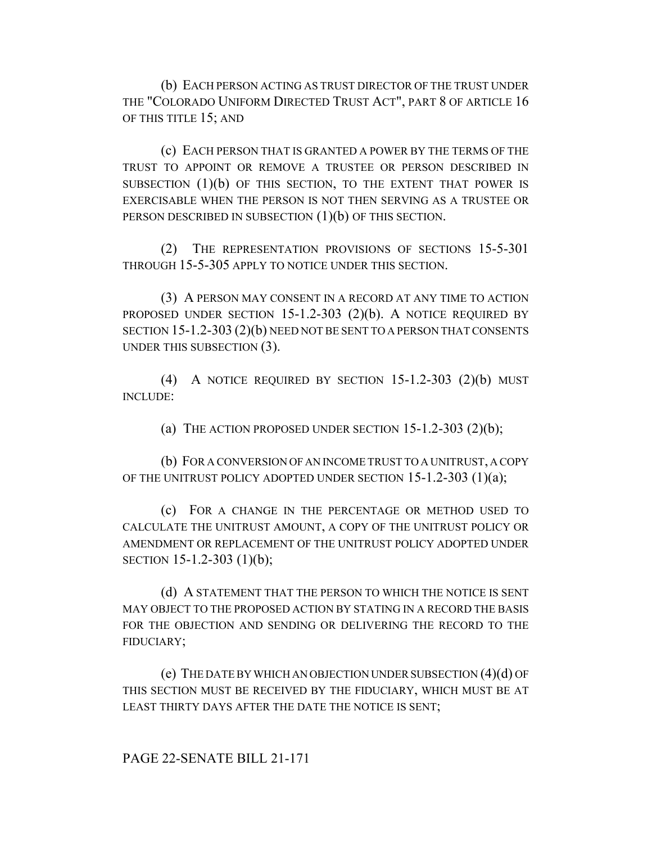(b) EACH PERSON ACTING AS TRUST DIRECTOR OF THE TRUST UNDER THE "COLORADO UNIFORM DIRECTED TRUST ACT", PART 8 OF ARTICLE 16 OF THIS TITLE 15; AND

(c) EACH PERSON THAT IS GRANTED A POWER BY THE TERMS OF THE TRUST TO APPOINT OR REMOVE A TRUSTEE OR PERSON DESCRIBED IN SUBSECTION  $(1)(b)$  OF THIS SECTION, TO THE EXTENT THAT POWER IS EXERCISABLE WHEN THE PERSON IS NOT THEN SERVING AS A TRUSTEE OR PERSON DESCRIBED IN SUBSECTION (1)(b) OF THIS SECTION.

(2) THE REPRESENTATION PROVISIONS OF SECTIONS 15-5-301 THROUGH 15-5-305 APPLY TO NOTICE UNDER THIS SECTION.

(3) A PERSON MAY CONSENT IN A RECORD AT ANY TIME TO ACTION PROPOSED UNDER SECTION 15-1.2-303 (2)(b). A NOTICE REQUIRED BY SECTION 15-1.2-303 (2)(b) NEED NOT BE SENT TO A PERSON THAT CONSENTS UNDER THIS SUBSECTION (3).

(4) A NOTICE REQUIRED BY SECTION  $15-1.2-303$  (2)(b) MUST INCLUDE:

(a) THE ACTION PROPOSED UNDER SECTION  $15-1.2-303$   $(2)(b)$ ;

(b) FOR A CONVERSION OF AN INCOME TRUST TO A UNITRUST, A COPY OF THE UNITRUST POLICY ADOPTED UNDER SECTION  $15-1.2-303$   $(1)(a)$ ;

(c) FOR A CHANGE IN THE PERCENTAGE OR METHOD USED TO CALCULATE THE UNITRUST AMOUNT, A COPY OF THE UNITRUST POLICY OR AMENDMENT OR REPLACEMENT OF THE UNITRUST POLICY ADOPTED UNDER SECTION 15-1.2-303 (1)(b);

(d) A STATEMENT THAT THE PERSON TO WHICH THE NOTICE IS SENT MAY OBJECT TO THE PROPOSED ACTION BY STATING IN A RECORD THE BASIS FOR THE OBJECTION AND SENDING OR DELIVERING THE RECORD TO THE FIDUCIARY;

(e) THE DATE BY WHICH AN OBJECTION UNDER SUBSECTION (4)(d) OF THIS SECTION MUST BE RECEIVED BY THE FIDUCIARY, WHICH MUST BE AT LEAST THIRTY DAYS AFTER THE DATE THE NOTICE IS SENT;

PAGE 22-SENATE BILL 21-171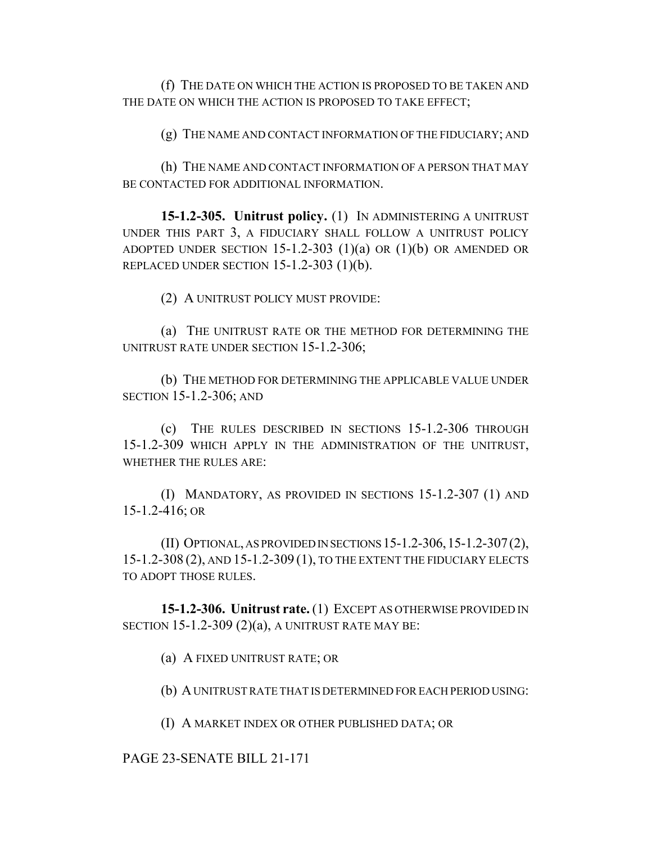(f) THE DATE ON WHICH THE ACTION IS PROPOSED TO BE TAKEN AND THE DATE ON WHICH THE ACTION IS PROPOSED TO TAKE EFFECT;

(g) THE NAME AND CONTACT INFORMATION OF THE FIDUCIARY; AND

(h) THE NAME AND CONTACT INFORMATION OF A PERSON THAT MAY BE CONTACTED FOR ADDITIONAL INFORMATION.

**15-1.2-305. Unitrust policy.** (1) IN ADMINISTERING A UNITRUST UNDER THIS PART 3, A FIDUCIARY SHALL FOLLOW A UNITRUST POLICY ADOPTED UNDER SECTION 15-1.2-303  $(1)(a)$  OR  $(1)(b)$  OR AMENDED OR REPLACED UNDER SECTION 15-1.2-303 (1)(b).

(2) A UNITRUST POLICY MUST PROVIDE:

(a) THE UNITRUST RATE OR THE METHOD FOR DETERMINING THE UNITRUST RATE UNDER SECTION 15-1.2-306;

(b) THE METHOD FOR DETERMINING THE APPLICABLE VALUE UNDER SECTION 15-1.2-306; AND

(c) THE RULES DESCRIBED IN SECTIONS 15-1.2-306 THROUGH 15-1.2-309 WHICH APPLY IN THE ADMINISTRATION OF THE UNITRUST, WHETHER THE RULES ARE:

(I) MANDATORY, AS PROVIDED IN SECTIONS 15-1.2-307 (1) AND 15-1.2-416; OR

(II) OPTIONAL, AS PROVIDED IN SECTIONS 15-1.2-306,15-1.2-307(2), 15-1.2-308 (2), AND 15-1.2-309 (1), TO THE EXTENT THE FIDUCIARY ELECTS TO ADOPT THOSE RULES.

**15-1.2-306. Unitrust rate.** (1) EXCEPT AS OTHERWISE PROVIDED IN SECTION  $15-1.2-309(2)(a)$ , A UNITRUST RATE MAY BE:

(a) A FIXED UNITRUST RATE; OR

(b) A UNITRUST RATE THAT IS DETERMINED FOR EACH PERIOD USING:

(I) A MARKET INDEX OR OTHER PUBLISHED DATA; OR

PAGE 23-SENATE BILL 21-171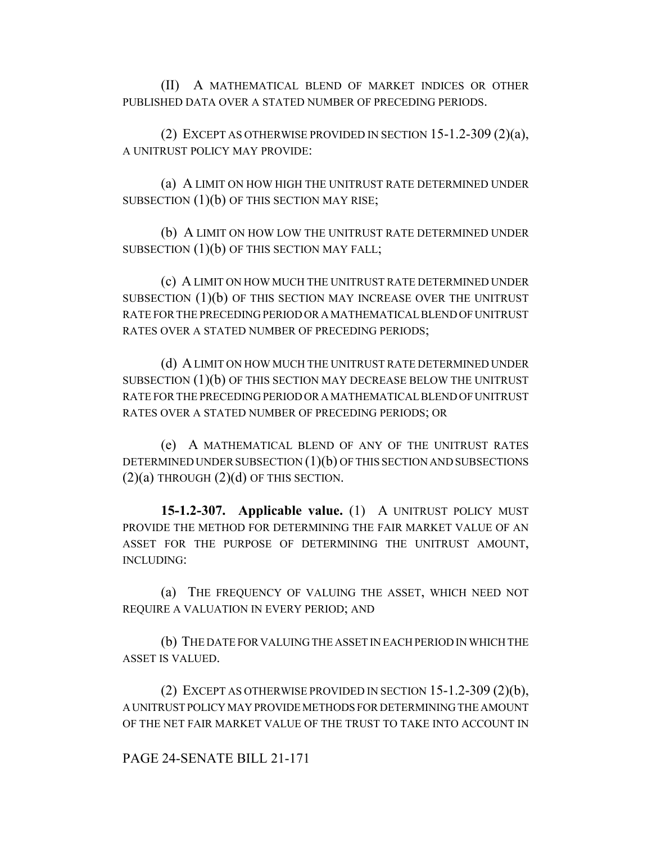(II) A MATHEMATICAL BLEND OF MARKET INDICES OR OTHER PUBLISHED DATA OVER A STATED NUMBER OF PRECEDING PERIODS.

(2) EXCEPT AS OTHERWISE PROVIDED IN SECTION  $15-1.2-309(2)(a)$ , A UNITRUST POLICY MAY PROVIDE:

(a) A LIMIT ON HOW HIGH THE UNITRUST RATE DETERMINED UNDER SUBSECTION  $(1)(b)$  OF THIS SECTION MAY RISE;

(b) A LIMIT ON HOW LOW THE UNITRUST RATE DETERMINED UNDER SUBSECTION (1)(b) OF THIS SECTION MAY FALL;

(c) A LIMIT ON HOW MUCH THE UNITRUST RATE DETERMINED UNDER SUBSECTION  $(1)(b)$  OF THIS SECTION MAY INCREASE OVER THE UNITRUST RATE FOR THE PRECEDING PERIOD OR A MATHEMATICAL BLEND OF UNITRUST RATES OVER A STATED NUMBER OF PRECEDING PERIODS;

(d) A LIMIT ON HOW MUCH THE UNITRUST RATE DETERMINED UNDER SUBSECTION (1)(b) OF THIS SECTION MAY DECREASE BELOW THE UNITRUST RATE FOR THE PRECEDING PERIOD OR A MATHEMATICAL BLEND OF UNITRUST RATES OVER A STATED NUMBER OF PRECEDING PERIODS; OR

(e) A MATHEMATICAL BLEND OF ANY OF THE UNITRUST RATES DETERMINED UNDER SUBSECTION (1)(b) OF THIS SECTION AND SUBSECTIONS  $(2)(a)$  THROUGH  $(2)(d)$  OF THIS SECTION.

**15-1.2-307. Applicable value.** (1) A UNITRUST POLICY MUST PROVIDE THE METHOD FOR DETERMINING THE FAIR MARKET VALUE OF AN ASSET FOR THE PURPOSE OF DETERMINING THE UNITRUST AMOUNT, INCLUDING:

(a) THE FREQUENCY OF VALUING THE ASSET, WHICH NEED NOT REQUIRE A VALUATION IN EVERY PERIOD; AND

(b) THE DATE FOR VALUING THE ASSET IN EACH PERIOD IN WHICH THE ASSET IS VALUED.

(2) EXCEPT AS OTHERWISE PROVIDED IN SECTION 15-1.2-309 (2)(b), A UNITRUST POLICY MAY PROVIDE METHODS FOR DETERMINING THE AMOUNT OF THE NET FAIR MARKET VALUE OF THE TRUST TO TAKE INTO ACCOUNT IN

#### PAGE 24-SENATE BILL 21-171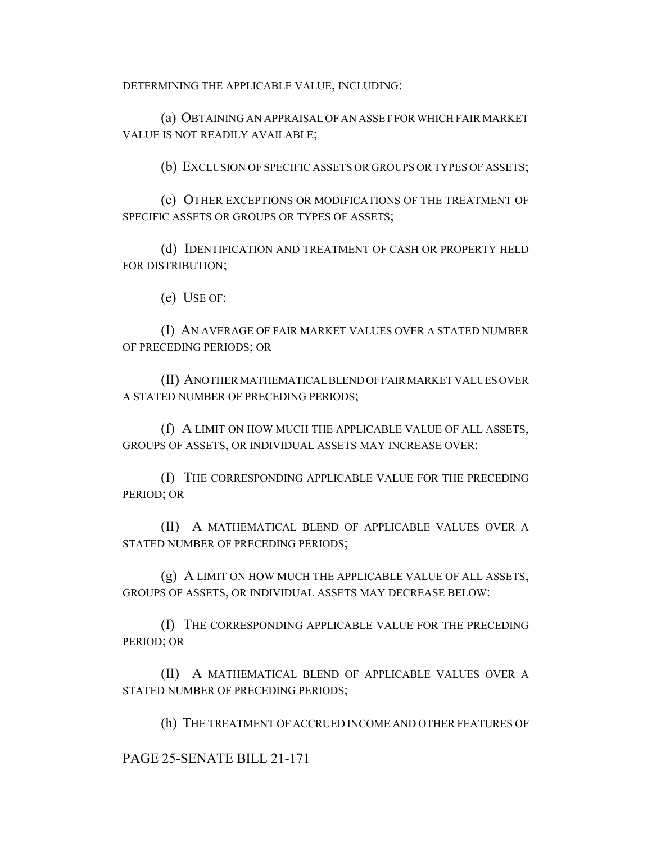DETERMINING THE APPLICABLE VALUE, INCLUDING:

(a) OBTAINING AN APPRAISAL OF AN ASSET FOR WHICH FAIR MARKET VALUE IS NOT READILY AVAILABLE;

(b) EXCLUSION OF SPECIFIC ASSETS OR GROUPS OR TYPES OF ASSETS;

(c) OTHER EXCEPTIONS OR MODIFICATIONS OF THE TREATMENT OF SPECIFIC ASSETS OR GROUPS OR TYPES OF ASSETS;

(d) IDENTIFICATION AND TREATMENT OF CASH OR PROPERTY HELD FOR DISTRIBUTION;

(e) USE OF:

(I) AN AVERAGE OF FAIR MARKET VALUES OVER A STATED NUMBER OF PRECEDING PERIODS; OR

(II) ANOTHER MATHEMATICAL BLEND OF FAIR MARKET VALUES OVER A STATED NUMBER OF PRECEDING PERIODS;

(f) A LIMIT ON HOW MUCH THE APPLICABLE VALUE OF ALL ASSETS, GROUPS OF ASSETS, OR INDIVIDUAL ASSETS MAY INCREASE OVER:

(I) THE CORRESPONDING APPLICABLE VALUE FOR THE PRECEDING PERIOD; OR

(II) A MATHEMATICAL BLEND OF APPLICABLE VALUES OVER A STATED NUMBER OF PRECEDING PERIODS;

(g) A LIMIT ON HOW MUCH THE APPLICABLE VALUE OF ALL ASSETS, GROUPS OF ASSETS, OR INDIVIDUAL ASSETS MAY DECREASE BELOW:

(I) THE CORRESPONDING APPLICABLE VALUE FOR THE PRECEDING PERIOD; OR

(II) A MATHEMATICAL BLEND OF APPLICABLE VALUES OVER A STATED NUMBER OF PRECEDING PERIODS;

(h) THE TREATMENT OF ACCRUED INCOME AND OTHER FEATURES OF

PAGE 25-SENATE BILL 21-171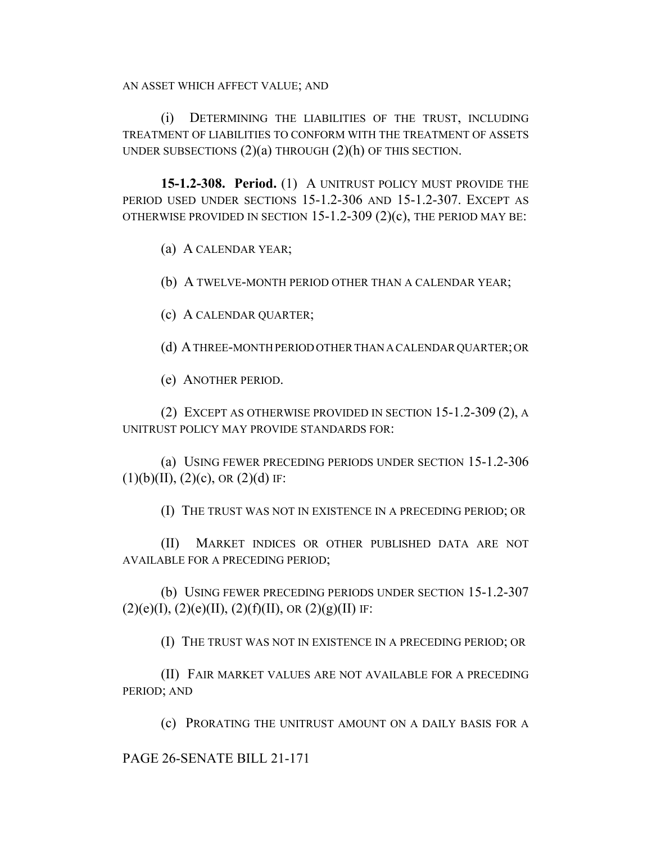AN ASSET WHICH AFFECT VALUE; AND

(i) DETERMINING THE LIABILITIES OF THE TRUST, INCLUDING TREATMENT OF LIABILITIES TO CONFORM WITH THE TREATMENT OF ASSETS UNDER SUBSECTIONS  $(2)(a)$  THROUGH  $(2)(h)$  OF THIS SECTION.

**15-1.2-308. Period.** (1) A UNITRUST POLICY MUST PROVIDE THE PERIOD USED UNDER SECTIONS 15-1.2-306 AND 15-1.2-307. EXCEPT AS OTHERWISE PROVIDED IN SECTION 15-1.2-309 (2)(c), THE PERIOD MAY BE:

(a) A CALENDAR YEAR;

(b) A TWELVE-MONTH PERIOD OTHER THAN A CALENDAR YEAR;

(c) A CALENDAR QUARTER;

(d) A THREE-MONTH PERIOD OTHER THAN A CALENDAR QUARTER; OR

(e) ANOTHER PERIOD.

(2) EXCEPT AS OTHERWISE PROVIDED IN SECTION 15-1.2-309 (2), A UNITRUST POLICY MAY PROVIDE STANDARDS FOR:

(a) USING FEWER PRECEDING PERIODS UNDER SECTION 15-1.2-306  $(1)(b)(II), (2)(c), OR (2)(d)$  IF:

(I) THE TRUST WAS NOT IN EXISTENCE IN A PRECEDING PERIOD; OR

(II) MARKET INDICES OR OTHER PUBLISHED DATA ARE NOT AVAILABLE FOR A PRECEDING PERIOD;

(b) USING FEWER PRECEDING PERIODS UNDER SECTION 15-1.2-307  $(2)(e)(I), (2)(e)(II), (2)(f)(II), OR (2)(g)(II)$  IF:

(I) THE TRUST WAS NOT IN EXISTENCE IN A PRECEDING PERIOD; OR

(II) FAIR MARKET VALUES ARE NOT AVAILABLE FOR A PRECEDING PERIOD; AND

(c) PRORATING THE UNITRUST AMOUNT ON A DAILY BASIS FOR A

PAGE 26-SENATE BILL 21-171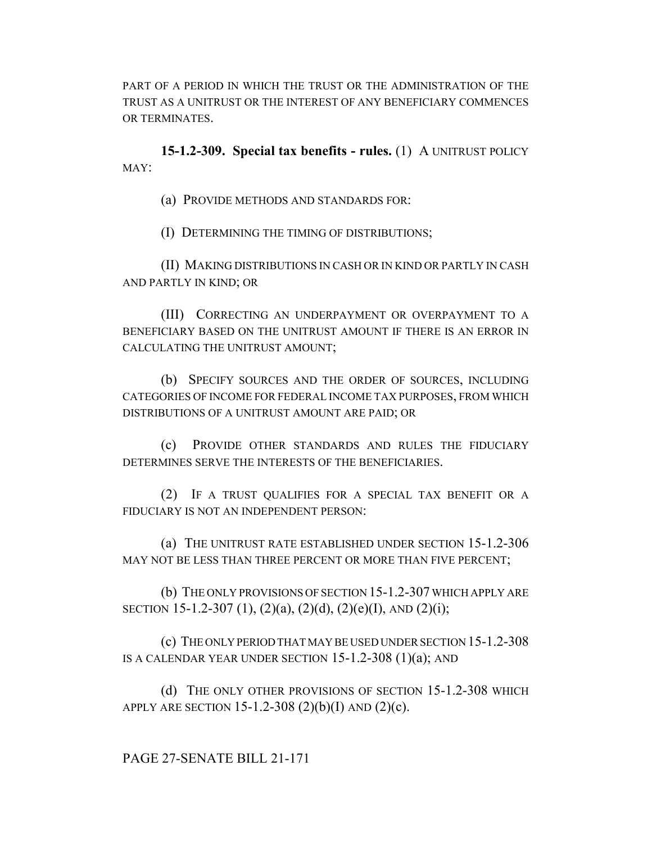PART OF A PERIOD IN WHICH THE TRUST OR THE ADMINISTRATION OF THE TRUST AS A UNITRUST OR THE INTEREST OF ANY BENEFICIARY COMMENCES OR TERMINATES.

**15-1.2-309. Special tax benefits - rules.** (1) A UNITRUST POLICY MAY:

(a) PROVIDE METHODS AND STANDARDS FOR:

(I) DETERMINING THE TIMING OF DISTRIBUTIONS;

(II) MAKING DISTRIBUTIONS IN CASH OR IN KIND OR PARTLY IN CASH AND PARTLY IN KIND; OR

(III) CORRECTING AN UNDERPAYMENT OR OVERPAYMENT TO A BENEFICIARY BASED ON THE UNITRUST AMOUNT IF THERE IS AN ERROR IN CALCULATING THE UNITRUST AMOUNT;

(b) SPECIFY SOURCES AND THE ORDER OF SOURCES, INCLUDING CATEGORIES OF INCOME FOR FEDERAL INCOME TAX PURPOSES, FROM WHICH DISTRIBUTIONS OF A UNITRUST AMOUNT ARE PAID; OR

(c) PROVIDE OTHER STANDARDS AND RULES THE FIDUCIARY DETERMINES SERVE THE INTERESTS OF THE BENEFICIARIES.

(2) IF A TRUST QUALIFIES FOR A SPECIAL TAX BENEFIT OR A FIDUCIARY IS NOT AN INDEPENDENT PERSON:

(a) THE UNITRUST RATE ESTABLISHED UNDER SECTION 15-1.2-306 MAY NOT BE LESS THAN THREE PERCENT OR MORE THAN FIVE PERCENT;

(b) THE ONLY PROVISIONS OF SECTION 15-1.2-307 WHICH APPLY ARE SECTION 15-1.2-307 (1), (2)(a), (2)(d), (2)(e)(I), AND (2)(i);

(c) THE ONLY PERIOD THAT MAY BE USED UNDER SECTION 15-1.2-308 IS A CALENDAR YEAR UNDER SECTION  $15-1.2-308$   $(1)(a)$ ; AND

(d) THE ONLY OTHER PROVISIONS OF SECTION 15-1.2-308 WHICH APPLY ARE SECTION 15-1.2-308  $(2)(b)(I)$  AND  $(2)(c)$ .

PAGE 27-SENATE BILL 21-171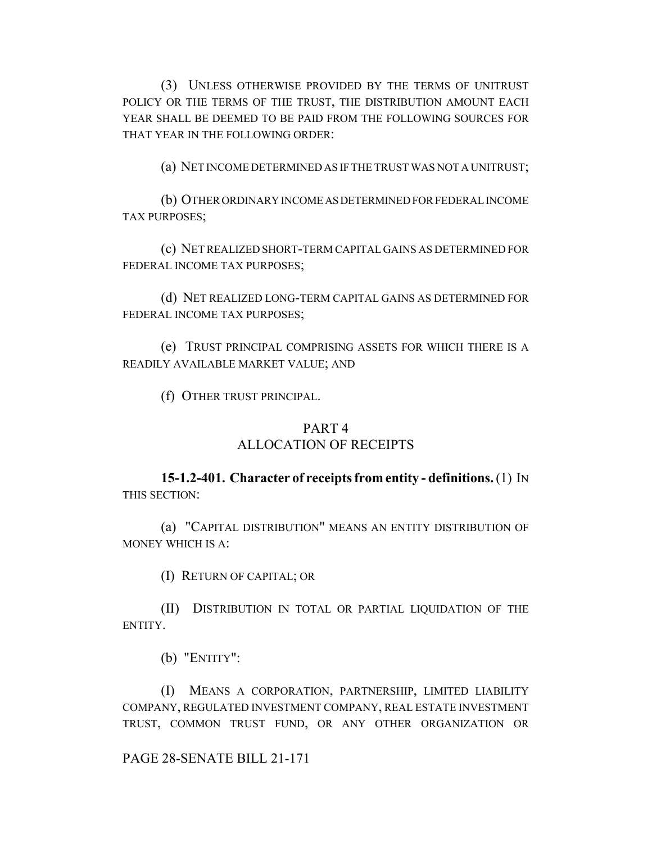(3) UNLESS OTHERWISE PROVIDED BY THE TERMS OF UNITRUST POLICY OR THE TERMS OF THE TRUST, THE DISTRIBUTION AMOUNT EACH YEAR SHALL BE DEEMED TO BE PAID FROM THE FOLLOWING SOURCES FOR THAT YEAR IN THE FOLLOWING ORDER:

(a) NET INCOME DETERMINED AS IF THE TRUST WAS NOT A UNITRUST;

(b) OTHER ORDINARY INCOME AS DETERMINED FOR FEDERAL INCOME TAX PURPOSES;

(c) NET REALIZED SHORT-TERM CAPITAL GAINS AS DETERMINED FOR FEDERAL INCOME TAX PURPOSES;

(d) NET REALIZED LONG-TERM CAPITAL GAINS AS DETERMINED FOR FEDERAL INCOME TAX PURPOSES;

(e) TRUST PRINCIPAL COMPRISING ASSETS FOR WHICH THERE IS A READILY AVAILABLE MARKET VALUE; AND

(f) OTHER TRUST PRINCIPAL.

### PART 4

### ALLOCATION OF RECEIPTS

## **15-1.2-401. Character of receipts from entity - definitions.** (1) IN THIS SECTION:

(a) "CAPITAL DISTRIBUTION" MEANS AN ENTITY DISTRIBUTION OF MONEY WHICH IS A:

(I) RETURN OF CAPITAL; OR

(II) DISTRIBUTION IN TOTAL OR PARTIAL LIQUIDATION OF THE ENTITY.

(b) "ENTITY":

(I) MEANS A CORPORATION, PARTNERSHIP, LIMITED LIABILITY COMPANY, REGULATED INVESTMENT COMPANY, REAL ESTATE INVESTMENT TRUST, COMMON TRUST FUND, OR ANY OTHER ORGANIZATION OR

### PAGE 28-SENATE BILL 21-171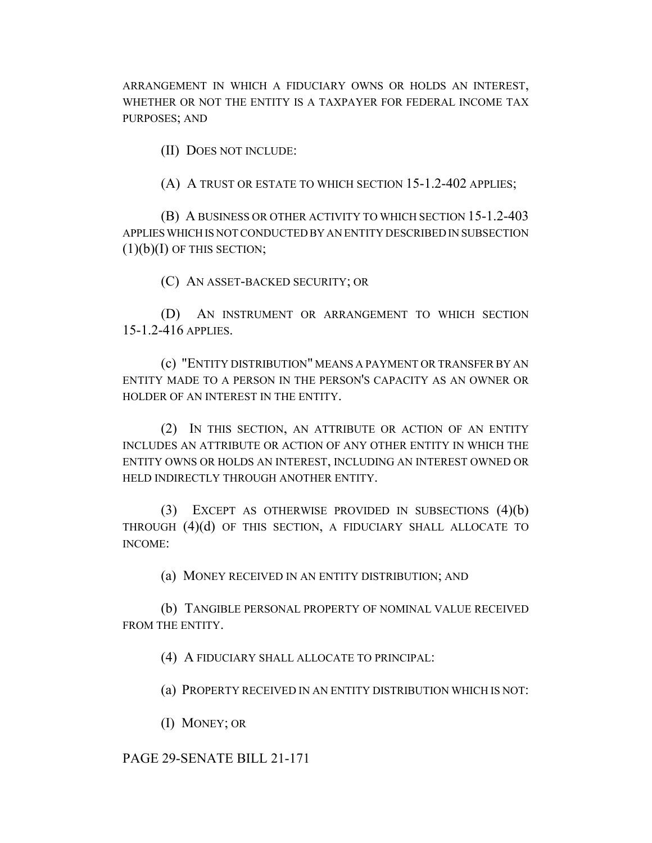ARRANGEMENT IN WHICH A FIDUCIARY OWNS OR HOLDS AN INTEREST, WHETHER OR NOT THE ENTITY IS A TAXPAYER FOR FEDERAL INCOME TAX PURPOSES; AND

(II) DOES NOT INCLUDE:

(A) A TRUST OR ESTATE TO WHICH SECTION 15-1.2-402 APPLIES;

(B) A BUSINESS OR OTHER ACTIVITY TO WHICH SECTION 15-1.2-403 APPLIES WHICH IS NOT CONDUCTED BY AN ENTITY DESCRIBED IN SUBSECTION  $(1)(b)(I)$  OF THIS SECTION;

(C) AN ASSET-BACKED SECURITY; OR

(D) AN INSTRUMENT OR ARRANGEMENT TO WHICH SECTION 15-1.2-416 APPLIES.

(c) "ENTITY DISTRIBUTION" MEANS A PAYMENT OR TRANSFER BY AN ENTITY MADE TO A PERSON IN THE PERSON'S CAPACITY AS AN OWNER OR HOLDER OF AN INTEREST IN THE ENTITY.

(2) IN THIS SECTION, AN ATTRIBUTE OR ACTION OF AN ENTITY INCLUDES AN ATTRIBUTE OR ACTION OF ANY OTHER ENTITY IN WHICH THE ENTITY OWNS OR HOLDS AN INTEREST, INCLUDING AN INTEREST OWNED OR HELD INDIRECTLY THROUGH ANOTHER ENTITY.

(3) EXCEPT AS OTHERWISE PROVIDED IN SUBSECTIONS (4)(b) THROUGH (4)(d) OF THIS SECTION, A FIDUCIARY SHALL ALLOCATE TO INCOME:

(a) MONEY RECEIVED IN AN ENTITY DISTRIBUTION; AND

(b) TANGIBLE PERSONAL PROPERTY OF NOMINAL VALUE RECEIVED FROM THE ENTITY.

(4) A FIDUCIARY SHALL ALLOCATE TO PRINCIPAL:

(a) PROPERTY RECEIVED IN AN ENTITY DISTRIBUTION WHICH IS NOT:

(I) MONEY; OR

PAGE 29-SENATE BILL 21-171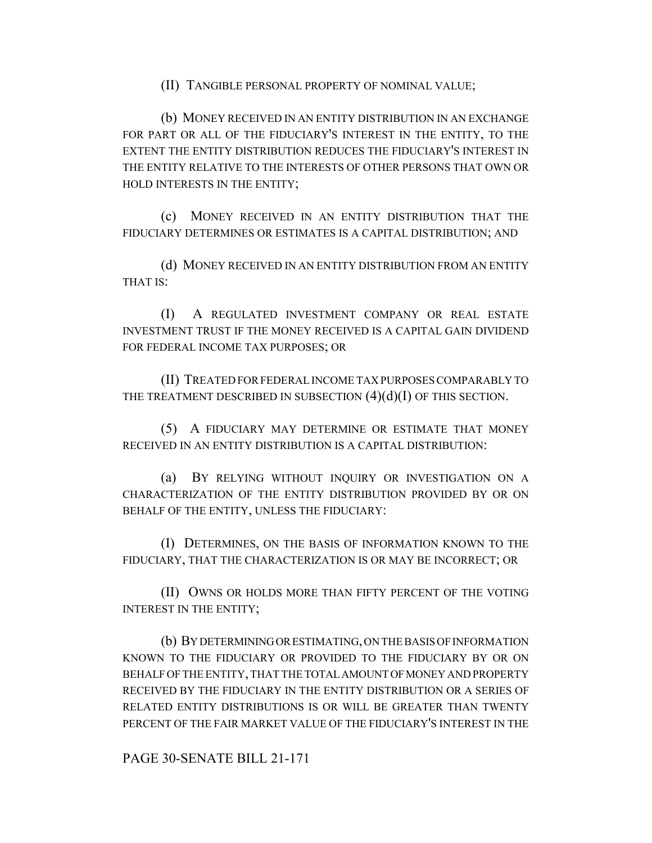(II) TANGIBLE PERSONAL PROPERTY OF NOMINAL VALUE;

(b) MONEY RECEIVED IN AN ENTITY DISTRIBUTION IN AN EXCHANGE FOR PART OR ALL OF THE FIDUCIARY'S INTEREST IN THE ENTITY, TO THE EXTENT THE ENTITY DISTRIBUTION REDUCES THE FIDUCIARY'S INTEREST IN THE ENTITY RELATIVE TO THE INTERESTS OF OTHER PERSONS THAT OWN OR HOLD INTERESTS IN THE ENTITY;

(c) MONEY RECEIVED IN AN ENTITY DISTRIBUTION THAT THE FIDUCIARY DETERMINES OR ESTIMATES IS A CAPITAL DISTRIBUTION; AND

(d) MONEY RECEIVED IN AN ENTITY DISTRIBUTION FROM AN ENTITY THAT IS:

(I) A REGULATED INVESTMENT COMPANY OR REAL ESTATE INVESTMENT TRUST IF THE MONEY RECEIVED IS A CAPITAL GAIN DIVIDEND FOR FEDERAL INCOME TAX PURPOSES; OR

(II) TREATED FOR FEDERAL INCOME TAX PURPOSES COMPARABLY TO THE TREATMENT DESCRIBED IN SUBSECTION  $(4)(d)(I)$  OF THIS SECTION.

(5) A FIDUCIARY MAY DETERMINE OR ESTIMATE THAT MONEY RECEIVED IN AN ENTITY DISTRIBUTION IS A CAPITAL DISTRIBUTION:

(a) BY RELYING WITHOUT INQUIRY OR INVESTIGATION ON A CHARACTERIZATION OF THE ENTITY DISTRIBUTION PROVIDED BY OR ON BEHALF OF THE ENTITY, UNLESS THE FIDUCIARY:

(I) DETERMINES, ON THE BASIS OF INFORMATION KNOWN TO THE FIDUCIARY, THAT THE CHARACTERIZATION IS OR MAY BE INCORRECT; OR

(II) OWNS OR HOLDS MORE THAN FIFTY PERCENT OF THE VOTING INTEREST IN THE ENTITY;

(b) BY DETERMINING OR ESTIMATING, ON THE BASIS OF INFORMATION KNOWN TO THE FIDUCIARY OR PROVIDED TO THE FIDUCIARY BY OR ON BEHALF OF THE ENTITY, THAT THE TOTAL AMOUNT OF MONEY AND PROPERTY RECEIVED BY THE FIDUCIARY IN THE ENTITY DISTRIBUTION OR A SERIES OF RELATED ENTITY DISTRIBUTIONS IS OR WILL BE GREATER THAN TWENTY PERCENT OF THE FAIR MARKET VALUE OF THE FIDUCIARY'S INTEREST IN THE

PAGE 30-SENATE BILL 21-171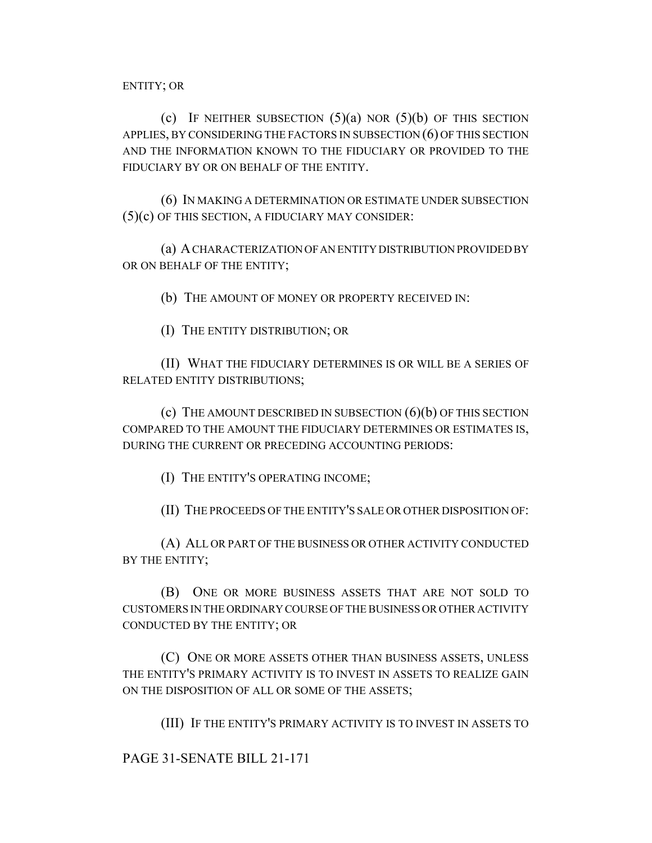ENTITY; OR

(c) IF NEITHER SUBSECTION  $(5)(a)$  NOR  $(5)(b)$  OF THIS SECTION APPLIES, BY CONSIDERING THE FACTORS IN SUBSECTION (6) OF THIS SECTION AND THE INFORMATION KNOWN TO THE FIDUCIARY OR PROVIDED TO THE FIDUCIARY BY OR ON BEHALF OF THE ENTITY.

(6) IN MAKING A DETERMINATION OR ESTIMATE UNDER SUBSECTION (5)(c) OF THIS SECTION, A FIDUCIARY MAY CONSIDER:

(a) A CHARACTERIZATION OF AN ENTITY DISTRIBUTION PROVIDED BY OR ON BEHALF OF THE ENTITY;

(b) THE AMOUNT OF MONEY OR PROPERTY RECEIVED IN:

(I) THE ENTITY DISTRIBUTION; OR

(II) WHAT THE FIDUCIARY DETERMINES IS OR WILL BE A SERIES OF RELATED ENTITY DISTRIBUTIONS;

(c) THE AMOUNT DESCRIBED IN SUBSECTION (6)(b) OF THIS SECTION COMPARED TO THE AMOUNT THE FIDUCIARY DETERMINES OR ESTIMATES IS, DURING THE CURRENT OR PRECEDING ACCOUNTING PERIODS:

(I) THE ENTITY'S OPERATING INCOME;

(II) THE PROCEEDS OF THE ENTITY'S SALE OR OTHER DISPOSITION OF:

(A) ALL OR PART OF THE BUSINESS OR OTHER ACTIVITY CONDUCTED BY THE ENTITY;

(B) ONE OR MORE BUSINESS ASSETS THAT ARE NOT SOLD TO CUSTOMERS IN THE ORDINARY COURSE OF THE BUSINESS OR OTHER ACTIVITY CONDUCTED BY THE ENTITY; OR

(C) ONE OR MORE ASSETS OTHER THAN BUSINESS ASSETS, UNLESS THE ENTITY'S PRIMARY ACTIVITY IS TO INVEST IN ASSETS TO REALIZE GAIN ON THE DISPOSITION OF ALL OR SOME OF THE ASSETS;

(III) IF THE ENTITY'S PRIMARY ACTIVITY IS TO INVEST IN ASSETS TO

PAGE 31-SENATE BILL 21-171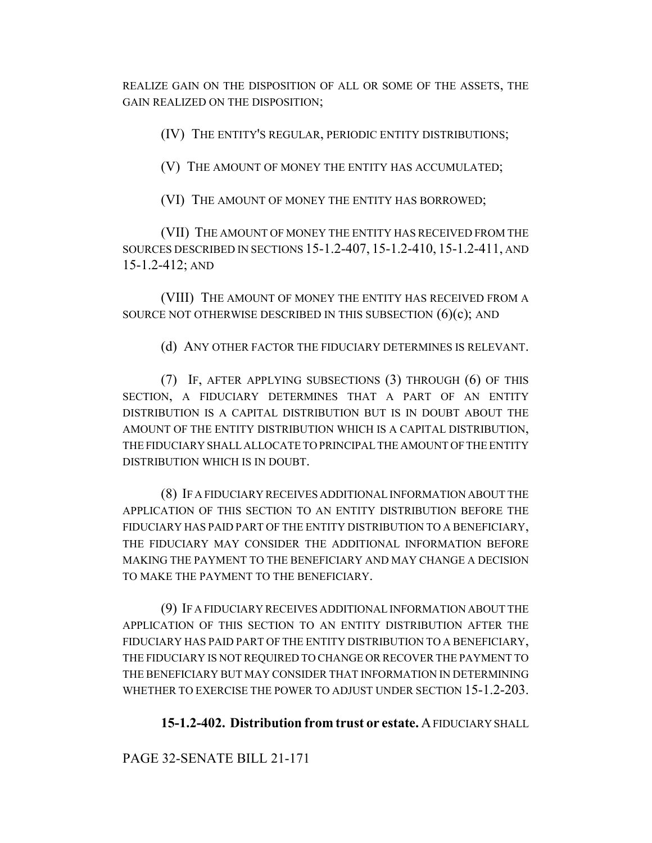REALIZE GAIN ON THE DISPOSITION OF ALL OR SOME OF THE ASSETS, THE GAIN REALIZED ON THE DISPOSITION;

(IV) THE ENTITY'S REGULAR, PERIODIC ENTITY DISTRIBUTIONS;

(V) THE AMOUNT OF MONEY THE ENTITY HAS ACCUMULATED;

(VI) THE AMOUNT OF MONEY THE ENTITY HAS BORROWED;

(VII) THE AMOUNT OF MONEY THE ENTITY HAS RECEIVED FROM THE SOURCES DESCRIBED IN SECTIONS 15-1.2-407, 15-1.2-410, 15-1.2-411, AND 15-1.2-412; AND

(VIII) THE AMOUNT OF MONEY THE ENTITY HAS RECEIVED FROM A SOURCE NOT OTHERWISE DESCRIBED IN THIS SUBSECTION  $(6)(c)$ ; AND

(d) ANY OTHER FACTOR THE FIDUCIARY DETERMINES IS RELEVANT.

(7) IF, AFTER APPLYING SUBSECTIONS (3) THROUGH (6) OF THIS SECTION, A FIDUCIARY DETERMINES THAT A PART OF AN ENTITY DISTRIBUTION IS A CAPITAL DISTRIBUTION BUT IS IN DOUBT ABOUT THE AMOUNT OF THE ENTITY DISTRIBUTION WHICH IS A CAPITAL DISTRIBUTION, THE FIDUCIARY SHALL ALLOCATE TO PRINCIPAL THE AMOUNT OF THE ENTITY DISTRIBUTION WHICH IS IN DOUBT.

(8) IF A FIDUCIARY RECEIVES ADDITIONAL INFORMATION ABOUT THE APPLICATION OF THIS SECTION TO AN ENTITY DISTRIBUTION BEFORE THE FIDUCIARY HAS PAID PART OF THE ENTITY DISTRIBUTION TO A BENEFICIARY, THE FIDUCIARY MAY CONSIDER THE ADDITIONAL INFORMATION BEFORE MAKING THE PAYMENT TO THE BENEFICIARY AND MAY CHANGE A DECISION TO MAKE THE PAYMENT TO THE BENEFICIARY.

(9) IF A FIDUCIARY RECEIVES ADDITIONAL INFORMATION ABOUT THE APPLICATION OF THIS SECTION TO AN ENTITY DISTRIBUTION AFTER THE FIDUCIARY HAS PAID PART OF THE ENTITY DISTRIBUTION TO A BENEFICIARY, THE FIDUCIARY IS NOT REQUIRED TO CHANGE OR RECOVER THE PAYMENT TO THE BENEFICIARY BUT MAY CONSIDER THAT INFORMATION IN DETERMINING WHETHER TO EXERCISE THE POWER TO ADJUST UNDER SECTION 15-1.2-203.

**15-1.2-402. Distribution from trust or estate.** A FIDUCIARY SHALL

PAGE 32-SENATE BILL 21-171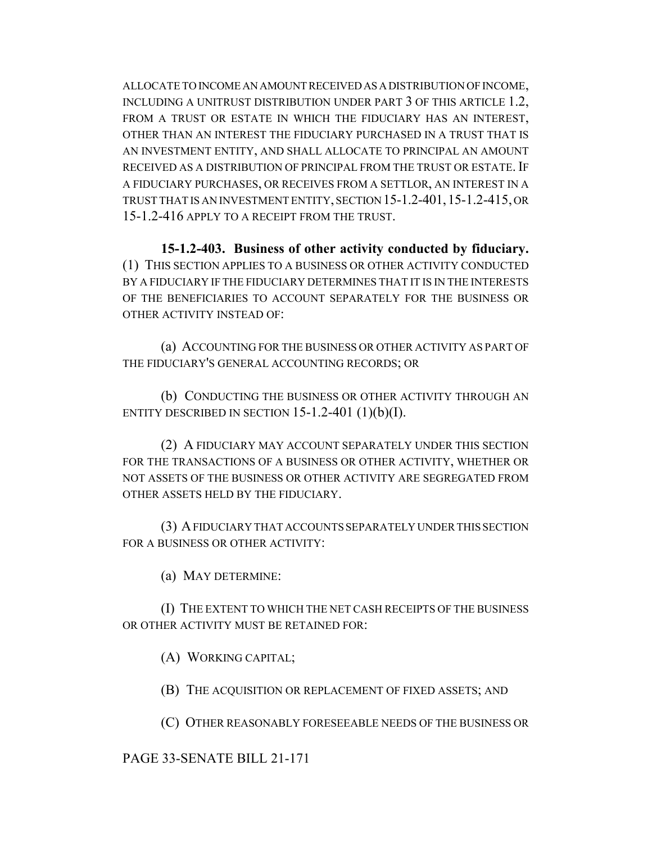ALLOCATE TO INCOME AN AMOUNT RECEIVED AS A DISTRIBUTION OF INCOME, INCLUDING A UNITRUST DISTRIBUTION UNDER PART 3 OF THIS ARTICLE 1.2, FROM A TRUST OR ESTATE IN WHICH THE FIDUCIARY HAS AN INTEREST, OTHER THAN AN INTEREST THE FIDUCIARY PURCHASED IN A TRUST THAT IS AN INVESTMENT ENTITY, AND SHALL ALLOCATE TO PRINCIPAL AN AMOUNT RECEIVED AS A DISTRIBUTION OF PRINCIPAL FROM THE TRUST OR ESTATE. IF A FIDUCIARY PURCHASES, OR RECEIVES FROM A SETTLOR, AN INTEREST IN A TRUST THAT IS AN INVESTMENT ENTITY, SECTION 15-1.2-401,15-1.2-415, OR 15-1.2-416 APPLY TO A RECEIPT FROM THE TRUST.

**15-1.2-403. Business of other activity conducted by fiduciary.** (1) THIS SECTION APPLIES TO A BUSINESS OR OTHER ACTIVITY CONDUCTED BY A FIDUCIARY IF THE FIDUCIARY DETERMINES THAT IT IS IN THE INTERESTS OF THE BENEFICIARIES TO ACCOUNT SEPARATELY FOR THE BUSINESS OR OTHER ACTIVITY INSTEAD OF:

(a) ACCOUNTING FOR THE BUSINESS OR OTHER ACTIVITY AS PART OF THE FIDUCIARY'S GENERAL ACCOUNTING RECORDS; OR

(b) CONDUCTING THE BUSINESS OR OTHER ACTIVITY THROUGH AN ENTITY DESCRIBED IN SECTION  $15-1.2-401$   $(1)(b)(I)$ .

(2) A FIDUCIARY MAY ACCOUNT SEPARATELY UNDER THIS SECTION FOR THE TRANSACTIONS OF A BUSINESS OR OTHER ACTIVITY, WHETHER OR NOT ASSETS OF THE BUSINESS OR OTHER ACTIVITY ARE SEGREGATED FROM OTHER ASSETS HELD BY THE FIDUCIARY.

(3) A FIDUCIARY THAT ACCOUNTS SEPARATELY UNDER THIS SECTION FOR A BUSINESS OR OTHER ACTIVITY:

(a) MAY DETERMINE:

(I) THE EXTENT TO WHICH THE NET CASH RECEIPTS OF THE BUSINESS OR OTHER ACTIVITY MUST BE RETAINED FOR:

(A) WORKING CAPITAL;

(B) THE ACQUISITION OR REPLACEMENT OF FIXED ASSETS; AND

(C) OTHER REASONABLY FORESEEABLE NEEDS OF THE BUSINESS OR

PAGE 33-SENATE BILL 21-171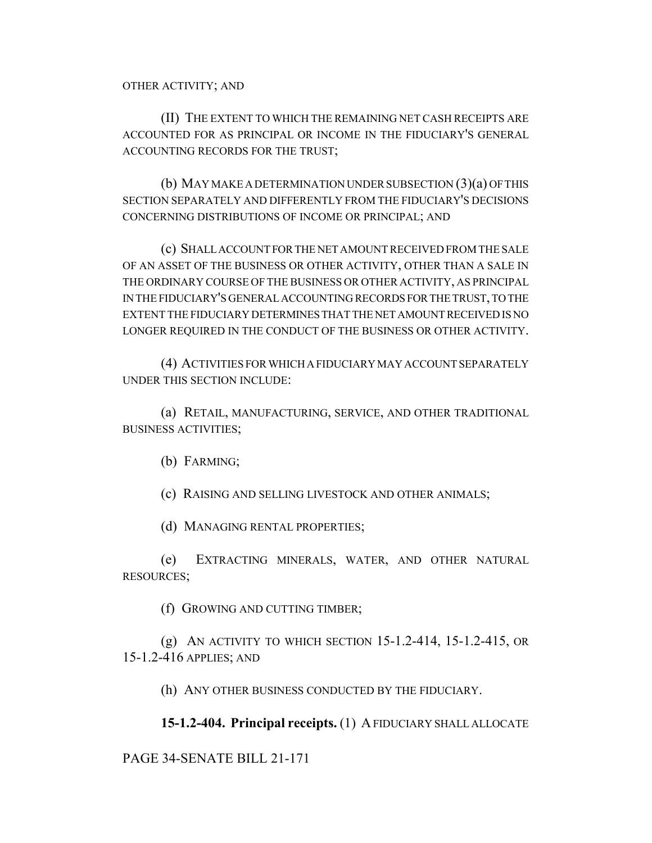(II) THE EXTENT TO WHICH THE REMAINING NET CASH RECEIPTS ARE ACCOUNTED FOR AS PRINCIPAL OR INCOME IN THE FIDUCIARY'S GENERAL ACCOUNTING RECORDS FOR THE TRUST;

(b) MAY MAKE A DETERMINATION UNDER SUBSECTION (3)(a) OF THIS SECTION SEPARATELY AND DIFFERENTLY FROM THE FIDUCIARY'S DECISIONS CONCERNING DISTRIBUTIONS OF INCOME OR PRINCIPAL; AND

(c) SHALL ACCOUNT FOR THE NET AMOUNT RECEIVED FROM THE SALE OF AN ASSET OF THE BUSINESS OR OTHER ACTIVITY, OTHER THAN A SALE IN THE ORDINARY COURSE OF THE BUSINESS OR OTHER ACTIVITY, AS PRINCIPAL IN THE FIDUCIARY'S GENERAL ACCOUNTING RECORDS FOR THE TRUST, TO THE EXTENT THE FIDUCIARY DETERMINES THAT THE NET AMOUNT RECEIVED IS NO LONGER REQUIRED IN THE CONDUCT OF THE BUSINESS OR OTHER ACTIVITY.

(4) ACTIVITIES FOR WHICH A FIDUCIARY MAY ACCOUNT SEPARATELY UNDER THIS SECTION INCLUDE:

(a) RETAIL, MANUFACTURING, SERVICE, AND OTHER TRADITIONAL BUSINESS ACTIVITIES;

(b) FARMING;

(c) RAISING AND SELLING LIVESTOCK AND OTHER ANIMALS;

(d) MANAGING RENTAL PROPERTIES;

(e) EXTRACTING MINERALS, WATER, AND OTHER NATURAL RESOURCES;

(f) GROWING AND CUTTING TIMBER;

(g) AN ACTIVITY TO WHICH SECTION 15-1.2-414, 15-1.2-415, OR 15-1.2-416 APPLIES; AND

(h) ANY OTHER BUSINESS CONDUCTED BY THE FIDUCIARY.

**15-1.2-404. Principal receipts.** (1) A FIDUCIARY SHALL ALLOCATE

### PAGE 34-SENATE BILL 21-171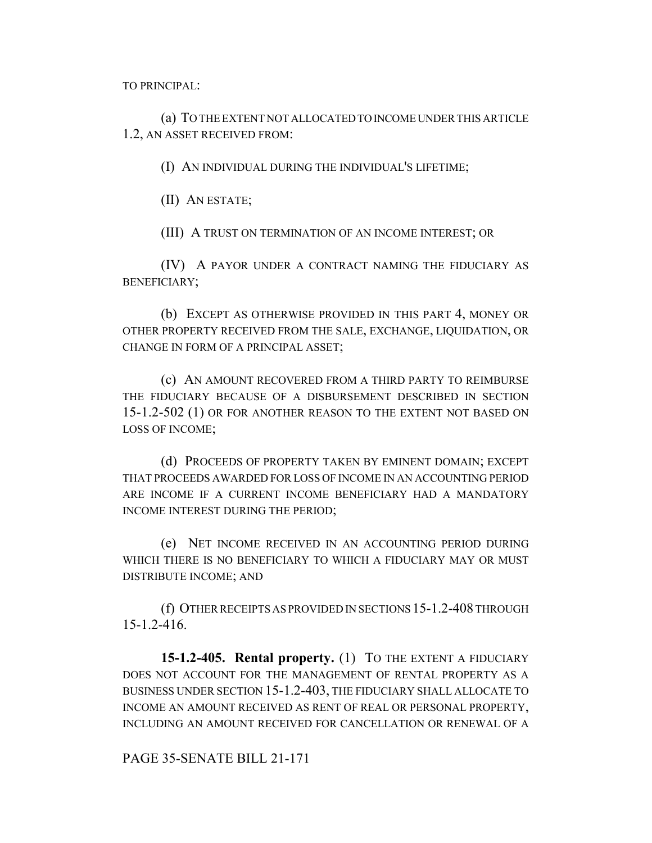TO PRINCIPAL:

(a) TO THE EXTENT NOT ALLOCATED TO INCOME UNDER THIS ARTICLE 1.2, AN ASSET RECEIVED FROM:

(I) AN INDIVIDUAL DURING THE INDIVIDUAL'S LIFETIME;

(II) AN ESTATE;

(III) A TRUST ON TERMINATION OF AN INCOME INTEREST; OR

(IV) A PAYOR UNDER A CONTRACT NAMING THE FIDUCIARY AS BENEFICIARY;

(b) EXCEPT AS OTHERWISE PROVIDED IN THIS PART 4, MONEY OR OTHER PROPERTY RECEIVED FROM THE SALE, EXCHANGE, LIQUIDATION, OR CHANGE IN FORM OF A PRINCIPAL ASSET;

(c) AN AMOUNT RECOVERED FROM A THIRD PARTY TO REIMBURSE THE FIDUCIARY BECAUSE OF A DISBURSEMENT DESCRIBED IN SECTION 15-1.2-502 (1) OR FOR ANOTHER REASON TO THE EXTENT NOT BASED ON LOSS OF INCOME;

(d) PROCEEDS OF PROPERTY TAKEN BY EMINENT DOMAIN; EXCEPT THAT PROCEEDS AWARDED FOR LOSS OF INCOME IN AN ACCOUNTING PERIOD ARE INCOME IF A CURRENT INCOME BENEFICIARY HAD A MANDATORY INCOME INTEREST DURING THE PERIOD;

(e) NET INCOME RECEIVED IN AN ACCOUNTING PERIOD DURING WHICH THERE IS NO BENEFICIARY TO WHICH A FIDUCIARY MAY OR MUST DISTRIBUTE INCOME; AND

(f) OTHER RECEIPTS AS PROVIDED IN SECTIONS 15-1.2-408 THROUGH 15-1.2-416.

**15-1.2-405. Rental property.** (1) TO THE EXTENT A FIDUCIARY DOES NOT ACCOUNT FOR THE MANAGEMENT OF RENTAL PROPERTY AS A BUSINESS UNDER SECTION 15-1.2-403, THE FIDUCIARY SHALL ALLOCATE TO INCOME AN AMOUNT RECEIVED AS RENT OF REAL OR PERSONAL PROPERTY, INCLUDING AN AMOUNT RECEIVED FOR CANCELLATION OR RENEWAL OF A

PAGE 35-SENATE BILL 21-171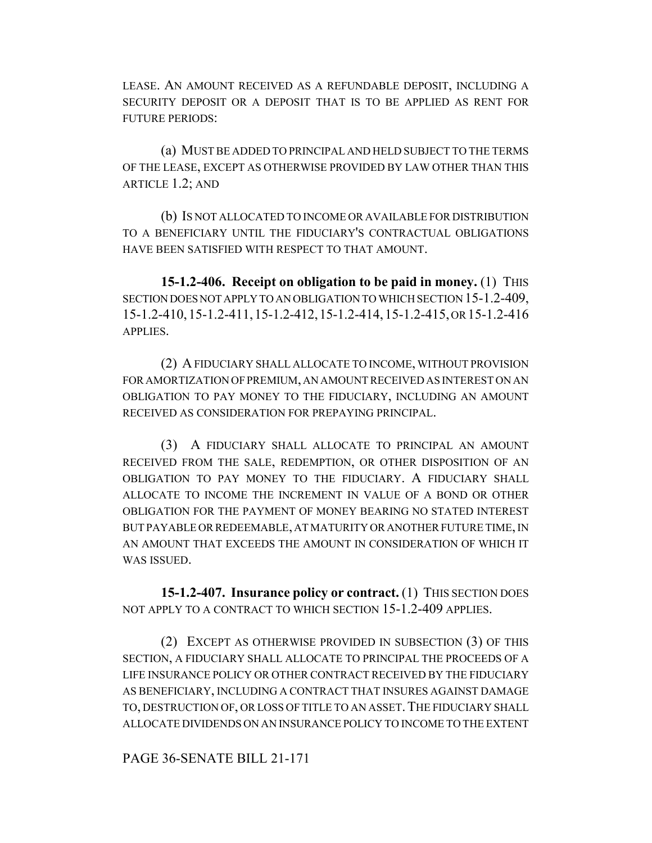LEASE. AN AMOUNT RECEIVED AS A REFUNDABLE DEPOSIT, INCLUDING A SECURITY DEPOSIT OR A DEPOSIT THAT IS TO BE APPLIED AS RENT FOR FUTURE PERIODS:

(a) MUST BE ADDED TO PRINCIPAL AND HELD SUBJECT TO THE TERMS OF THE LEASE, EXCEPT AS OTHERWISE PROVIDED BY LAW OTHER THAN THIS ARTICLE 1.2; AND

(b) IS NOT ALLOCATED TO INCOME OR AVAILABLE FOR DISTRIBUTION TO A BENEFICIARY UNTIL THE FIDUCIARY'S CONTRACTUAL OBLIGATIONS HAVE BEEN SATISFIED WITH RESPECT TO THAT AMOUNT.

**15-1.2-406. Receipt on obligation to be paid in money.** (1) THIS SECTION DOES NOT APPLY TO AN OBLIGATION TO WHICH SECTION 15-1.2-409, 15-1.2-410,15-1.2-411,15-1.2-412,15-1.2-414,15-1.2-415, OR 15-1.2-416 APPLIES.

(2) A FIDUCIARY SHALL ALLOCATE TO INCOME, WITHOUT PROVISION FOR AMORTIZATION OF PREMIUM, AN AMOUNT RECEIVED AS INTEREST ON AN OBLIGATION TO PAY MONEY TO THE FIDUCIARY, INCLUDING AN AMOUNT RECEIVED AS CONSIDERATION FOR PREPAYING PRINCIPAL.

(3) A FIDUCIARY SHALL ALLOCATE TO PRINCIPAL AN AMOUNT RECEIVED FROM THE SALE, REDEMPTION, OR OTHER DISPOSITION OF AN OBLIGATION TO PAY MONEY TO THE FIDUCIARY. A FIDUCIARY SHALL ALLOCATE TO INCOME THE INCREMENT IN VALUE OF A BOND OR OTHER OBLIGATION FOR THE PAYMENT OF MONEY BEARING NO STATED INTEREST BUT PAYABLE OR REDEEMABLE, AT MATURITY OR ANOTHER FUTURE TIME, IN AN AMOUNT THAT EXCEEDS THE AMOUNT IN CONSIDERATION OF WHICH IT WAS ISSUED.

**15-1.2-407. Insurance policy or contract.** (1) THIS SECTION DOES NOT APPLY TO A CONTRACT TO WHICH SECTION 15-1.2-409 APPLIES.

(2) EXCEPT AS OTHERWISE PROVIDED IN SUBSECTION (3) OF THIS SECTION, A FIDUCIARY SHALL ALLOCATE TO PRINCIPAL THE PROCEEDS OF A LIFE INSURANCE POLICY OR OTHER CONTRACT RECEIVED BY THE FIDUCIARY AS BENEFICIARY, INCLUDING A CONTRACT THAT INSURES AGAINST DAMAGE TO, DESTRUCTION OF, OR LOSS OF TITLE TO AN ASSET.THE FIDUCIARY SHALL ALLOCATE DIVIDENDS ON AN INSURANCE POLICY TO INCOME TO THE EXTENT

#### PAGE 36-SENATE BILL 21-171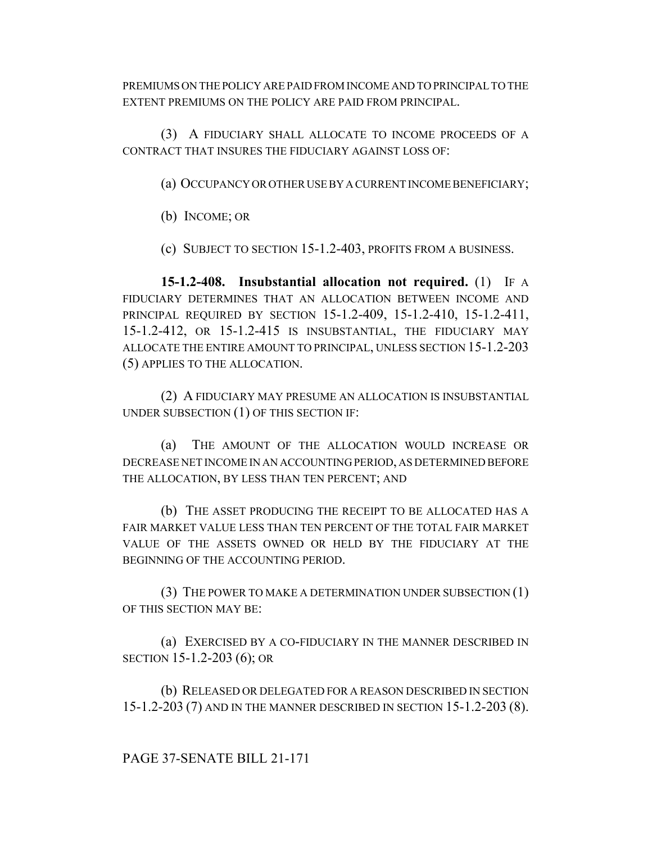PREMIUMS ON THE POLICY ARE PAID FROM INCOME AND TO PRINCIPAL TO THE EXTENT PREMIUMS ON THE POLICY ARE PAID FROM PRINCIPAL.

(3) A FIDUCIARY SHALL ALLOCATE TO INCOME PROCEEDS OF A CONTRACT THAT INSURES THE FIDUCIARY AGAINST LOSS OF:

(a) OCCUPANCY OR OTHER USE BY A CURRENT INCOME BENEFICIARY;

(b) INCOME; OR

(c) SUBJECT TO SECTION 15-1.2-403, PROFITS FROM A BUSINESS.

**15-1.2-408. Insubstantial allocation not required.** (1) IF A FIDUCIARY DETERMINES THAT AN ALLOCATION BETWEEN INCOME AND PRINCIPAL REQUIRED BY SECTION 15-1.2-409, 15-1.2-410, 15-1.2-411, 15-1.2-412, OR 15-1.2-415 IS INSUBSTANTIAL, THE FIDUCIARY MAY ALLOCATE THE ENTIRE AMOUNT TO PRINCIPAL, UNLESS SECTION 15-1.2-203 (5) APPLIES TO THE ALLOCATION.

(2) A FIDUCIARY MAY PRESUME AN ALLOCATION IS INSUBSTANTIAL UNDER SUBSECTION (1) OF THIS SECTION IF:

(a) THE AMOUNT OF THE ALLOCATION WOULD INCREASE OR DECREASE NET INCOME IN AN ACCOUNTING PERIOD, AS DETERMINED BEFORE THE ALLOCATION, BY LESS THAN TEN PERCENT; AND

(b) THE ASSET PRODUCING THE RECEIPT TO BE ALLOCATED HAS A FAIR MARKET VALUE LESS THAN TEN PERCENT OF THE TOTAL FAIR MARKET VALUE OF THE ASSETS OWNED OR HELD BY THE FIDUCIARY AT THE BEGINNING OF THE ACCOUNTING PERIOD.

(3) THE POWER TO MAKE A DETERMINATION UNDER SUBSECTION (1) OF THIS SECTION MAY BE:

(a) EXERCISED BY A CO-FIDUCIARY IN THE MANNER DESCRIBED IN SECTION 15-1.2-203 (6); OR

(b) RELEASED OR DELEGATED FOR A REASON DESCRIBED IN SECTION 15-1.2-203 (7) AND IN THE MANNER DESCRIBED IN SECTION 15-1.2-203 (8).

### PAGE 37-SENATE BILL 21-171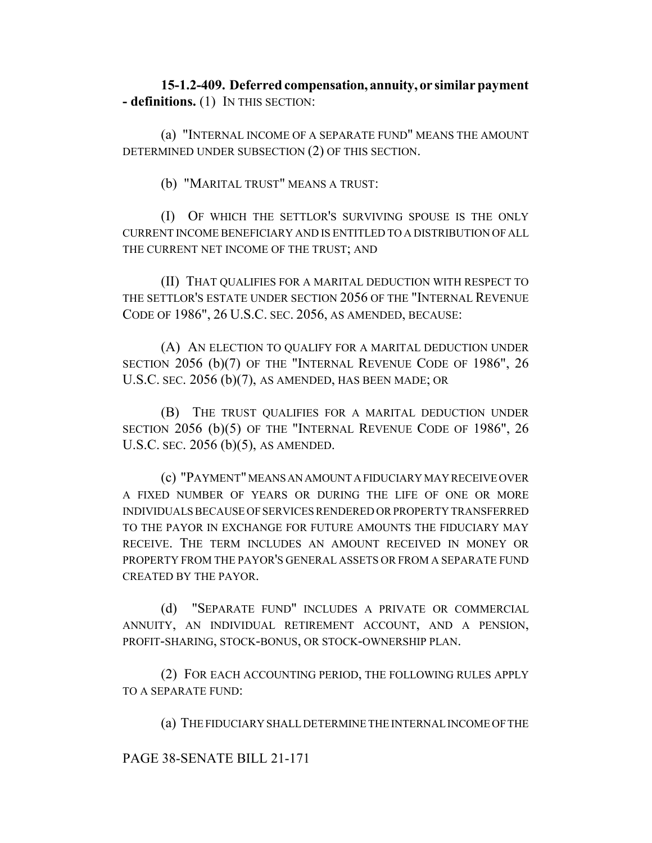**15-1.2-409. Deferred compensation, annuity, or similar payment - definitions.** (1) IN THIS SECTION:

(a) "INTERNAL INCOME OF A SEPARATE FUND" MEANS THE AMOUNT DETERMINED UNDER SUBSECTION (2) OF THIS SECTION.

(b) "MARITAL TRUST" MEANS A TRUST:

(I) OF WHICH THE SETTLOR'S SURVIVING SPOUSE IS THE ONLY CURRENT INCOME BENEFICIARY AND IS ENTITLED TO A DISTRIBUTION OF ALL THE CURRENT NET INCOME OF THE TRUST; AND

(II) THAT QUALIFIES FOR A MARITAL DEDUCTION WITH RESPECT TO THE SETTLOR'S ESTATE UNDER SECTION 2056 OF THE "INTERNAL REVENUE CODE OF 1986", 26 U.S.C. SEC. 2056, AS AMENDED, BECAUSE:

(A) AN ELECTION TO QUALIFY FOR A MARITAL DEDUCTION UNDER SECTION 2056 (b)(7) OF THE "INTERNAL REVENUE CODE OF 1986", 26 U.S.C. SEC. 2056 (b)(7), AS AMENDED, HAS BEEN MADE; OR

(B) THE TRUST QUALIFIES FOR A MARITAL DEDUCTION UNDER SECTION 2056 (b)(5) OF THE "INTERNAL REVENUE CODE OF 1986", 26 U.S.C. SEC. 2056 (b)(5), AS AMENDED.

(c) "PAYMENT" MEANS AN AMOUNT A FIDUCIARY MAY RECEIVE OVER A FIXED NUMBER OF YEARS OR DURING THE LIFE OF ONE OR MORE INDIVIDUALS BECAUSE OF SERVICES RENDERED OR PROPERTY TRANSFERRED TO THE PAYOR IN EXCHANGE FOR FUTURE AMOUNTS THE FIDUCIARY MAY RECEIVE. THE TERM INCLUDES AN AMOUNT RECEIVED IN MONEY OR PROPERTY FROM THE PAYOR'S GENERAL ASSETS OR FROM A SEPARATE FUND CREATED BY THE PAYOR.

(d) "SEPARATE FUND" INCLUDES A PRIVATE OR COMMERCIAL ANNUITY, AN INDIVIDUAL RETIREMENT ACCOUNT, AND A PENSION, PROFIT-SHARING, STOCK-BONUS, OR STOCK-OWNERSHIP PLAN.

(2) FOR EACH ACCOUNTING PERIOD, THE FOLLOWING RULES APPLY TO A SEPARATE FUND:

(a) THE FIDUCIARY SHALL DETERMINE THE INTERNAL INCOME OF THE

PAGE 38-SENATE BILL 21-171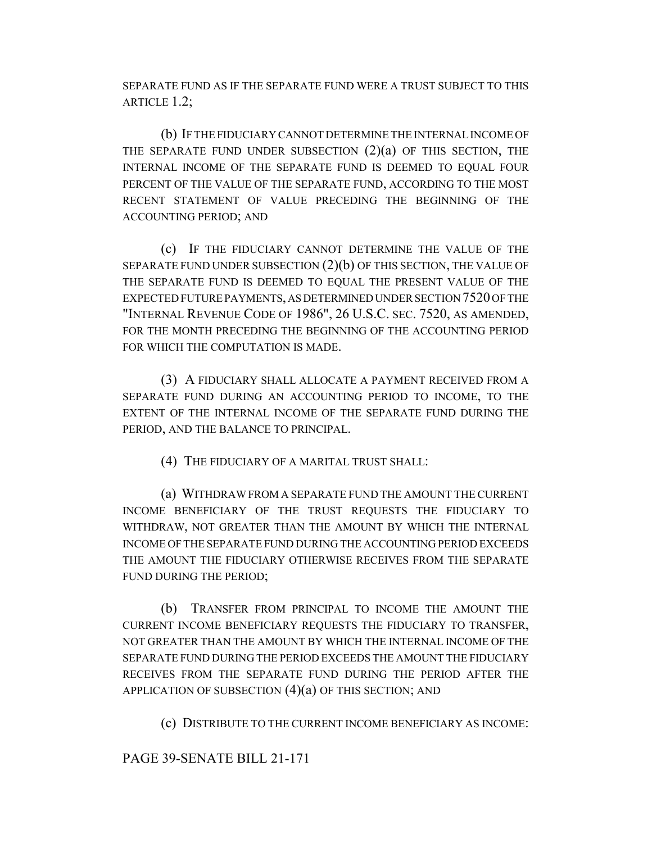SEPARATE FUND AS IF THE SEPARATE FUND WERE A TRUST SUBJECT TO THIS ARTICLE 1.2;

(b) IF THE FIDUCIARY CANNOT DETERMINE THE INTERNAL INCOME OF THE SEPARATE FUND UNDER SUBSECTION  $(2)(a)$  OF THIS SECTION, THE INTERNAL INCOME OF THE SEPARATE FUND IS DEEMED TO EQUAL FOUR PERCENT OF THE VALUE OF THE SEPARATE FUND, ACCORDING TO THE MOST RECENT STATEMENT OF VALUE PRECEDING THE BEGINNING OF THE ACCOUNTING PERIOD; AND

(c) IF THE FIDUCIARY CANNOT DETERMINE THE VALUE OF THE SEPARATE FUND UNDER SUBSECTION (2)(b) OF THIS SECTION, THE VALUE OF THE SEPARATE FUND IS DEEMED TO EQUAL THE PRESENT VALUE OF THE EXPECTED FUTURE PAYMENTS, AS DETERMINED UNDER SECTION 7520 OF THE "INTERNAL REVENUE CODE OF 1986", 26 U.S.C. SEC. 7520, AS AMENDED, FOR THE MONTH PRECEDING THE BEGINNING OF THE ACCOUNTING PERIOD FOR WHICH THE COMPUTATION IS MADE.

(3) A FIDUCIARY SHALL ALLOCATE A PAYMENT RECEIVED FROM A SEPARATE FUND DURING AN ACCOUNTING PERIOD TO INCOME, TO THE EXTENT OF THE INTERNAL INCOME OF THE SEPARATE FUND DURING THE PERIOD, AND THE BALANCE TO PRINCIPAL.

(4) THE FIDUCIARY OF A MARITAL TRUST SHALL:

(a) WITHDRAW FROM A SEPARATE FUND THE AMOUNT THE CURRENT INCOME BENEFICIARY OF THE TRUST REQUESTS THE FIDUCIARY TO WITHDRAW, NOT GREATER THAN THE AMOUNT BY WHICH THE INTERNAL INCOME OF THE SEPARATE FUND DURING THE ACCOUNTING PERIOD EXCEEDS THE AMOUNT THE FIDUCIARY OTHERWISE RECEIVES FROM THE SEPARATE FUND DURING THE PERIOD;

(b) TRANSFER FROM PRINCIPAL TO INCOME THE AMOUNT THE CURRENT INCOME BENEFICIARY REQUESTS THE FIDUCIARY TO TRANSFER, NOT GREATER THAN THE AMOUNT BY WHICH THE INTERNAL INCOME OF THE SEPARATE FUND DURING THE PERIOD EXCEEDS THE AMOUNT THE FIDUCIARY RECEIVES FROM THE SEPARATE FUND DURING THE PERIOD AFTER THE APPLICATION OF SUBSECTION  $(4)(a)$  OF THIS SECTION; AND

(c) DISTRIBUTE TO THE CURRENT INCOME BENEFICIARY AS INCOME:

PAGE 39-SENATE BILL 21-171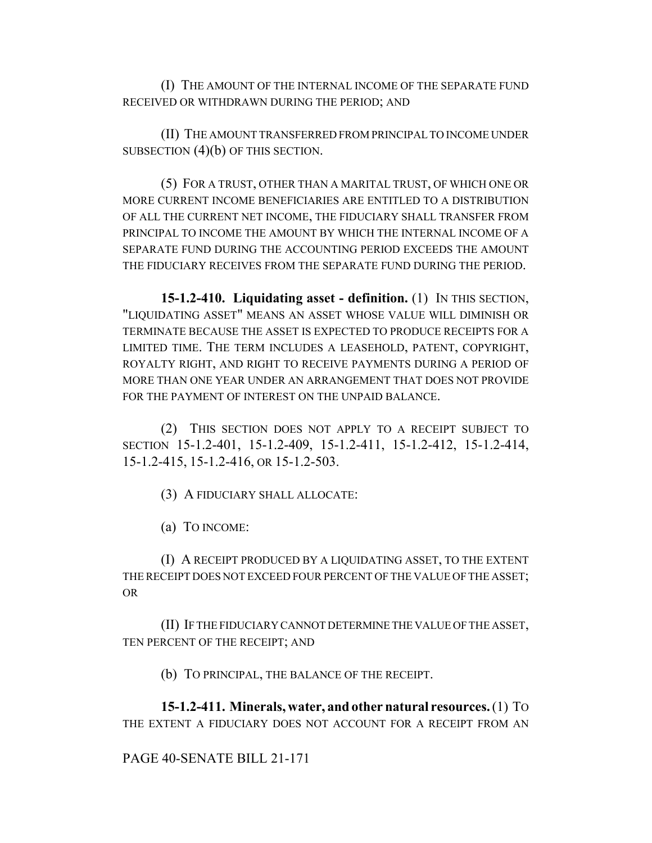(I) THE AMOUNT OF THE INTERNAL INCOME OF THE SEPARATE FUND RECEIVED OR WITHDRAWN DURING THE PERIOD; AND

(II) THE AMOUNT TRANSFERRED FROM PRINCIPAL TO INCOME UNDER SUBSECTION  $(4)(b)$  OF THIS SECTION.

(5) FOR A TRUST, OTHER THAN A MARITAL TRUST, OF WHICH ONE OR MORE CURRENT INCOME BENEFICIARIES ARE ENTITLED TO A DISTRIBUTION OF ALL THE CURRENT NET INCOME, THE FIDUCIARY SHALL TRANSFER FROM PRINCIPAL TO INCOME THE AMOUNT BY WHICH THE INTERNAL INCOME OF A SEPARATE FUND DURING THE ACCOUNTING PERIOD EXCEEDS THE AMOUNT THE FIDUCIARY RECEIVES FROM THE SEPARATE FUND DURING THE PERIOD.

**15-1.2-410. Liquidating asset - definition.** (1) IN THIS SECTION, "LIQUIDATING ASSET" MEANS AN ASSET WHOSE VALUE WILL DIMINISH OR TERMINATE BECAUSE THE ASSET IS EXPECTED TO PRODUCE RECEIPTS FOR A LIMITED TIME. THE TERM INCLUDES A LEASEHOLD, PATENT, COPYRIGHT, ROYALTY RIGHT, AND RIGHT TO RECEIVE PAYMENTS DURING A PERIOD OF MORE THAN ONE YEAR UNDER AN ARRANGEMENT THAT DOES NOT PROVIDE FOR THE PAYMENT OF INTEREST ON THE UNPAID BALANCE.

(2) THIS SECTION DOES NOT APPLY TO A RECEIPT SUBJECT TO SECTION 15-1.2-401, 15-1.2-409, 15-1.2-411, 15-1.2-412, 15-1.2-414, 15-1.2-415, 15-1.2-416, OR 15-1.2-503.

(3) A FIDUCIARY SHALL ALLOCATE:

(a) TO INCOME:

(I) A RECEIPT PRODUCED BY A LIQUIDATING ASSET, TO THE EXTENT THE RECEIPT DOES NOT EXCEED FOUR PERCENT OF THE VALUE OF THE ASSET; OR

(II) IF THE FIDUCIARY CANNOT DETERMINE THE VALUE OF THE ASSET, TEN PERCENT OF THE RECEIPT; AND

(b) TO PRINCIPAL, THE BALANCE OF THE RECEIPT.

**15-1.2-411. Minerals, water, and other natural resources.** (1) TO THE EXTENT A FIDUCIARY DOES NOT ACCOUNT FOR A RECEIPT FROM AN

#### PAGE 40-SENATE BILL 21-171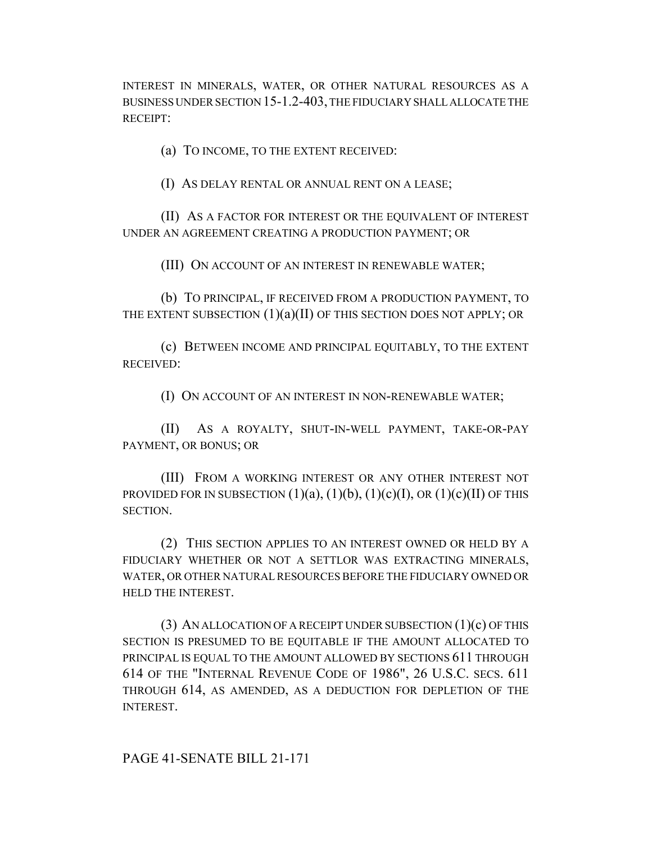INTEREST IN MINERALS, WATER, OR OTHER NATURAL RESOURCES AS A BUSINESS UNDER SECTION 15-1.2-403, THE FIDUCIARY SHALL ALLOCATE THE RECEIPT:

(a) TO INCOME, TO THE EXTENT RECEIVED:

(I) AS DELAY RENTAL OR ANNUAL RENT ON A LEASE;

(II) AS A FACTOR FOR INTEREST OR THE EQUIVALENT OF INTEREST UNDER AN AGREEMENT CREATING A PRODUCTION PAYMENT; OR

(III) ON ACCOUNT OF AN INTEREST IN RENEWABLE WATER;

(b) TO PRINCIPAL, IF RECEIVED FROM A PRODUCTION PAYMENT, TO THE EXTENT SUBSECTION  $(1)(a)(II)$  OF THIS SECTION DOES NOT APPLY; OR

(c) BETWEEN INCOME AND PRINCIPAL EQUITABLY, TO THE EXTENT RECEIVED:

(I) ON ACCOUNT OF AN INTEREST IN NON-RENEWABLE WATER;

(II) AS A ROYALTY, SHUT-IN-WELL PAYMENT, TAKE-OR-PAY PAYMENT, OR BONUS; OR

(III) FROM A WORKING INTEREST OR ANY OTHER INTEREST NOT PROVIDED FOR IN SUBSECTION  $(1)(a)$ ,  $(1)(b)$ ,  $(1)(c)(I)$ , OR  $(1)(c)(II)$  OF THIS SECTION.

(2) THIS SECTION APPLIES TO AN INTEREST OWNED OR HELD BY A FIDUCIARY WHETHER OR NOT A SETTLOR WAS EXTRACTING MINERALS, WATER, OR OTHER NATURAL RESOURCES BEFORE THE FIDUCIARY OWNED OR HELD THE INTEREST.

(3) AN ALLOCATION OF A RECEIPT UNDER SUBSECTION (1)(c) OF THIS SECTION IS PRESUMED TO BE EQUITABLE IF THE AMOUNT ALLOCATED TO PRINCIPAL IS EQUAL TO THE AMOUNT ALLOWED BY SECTIONS 611 THROUGH 614 OF THE "INTERNAL REVENUE CODE OF 1986", 26 U.S.C. SECS. 611 THROUGH 614, AS AMENDED, AS A DEDUCTION FOR DEPLETION OF THE INTEREST.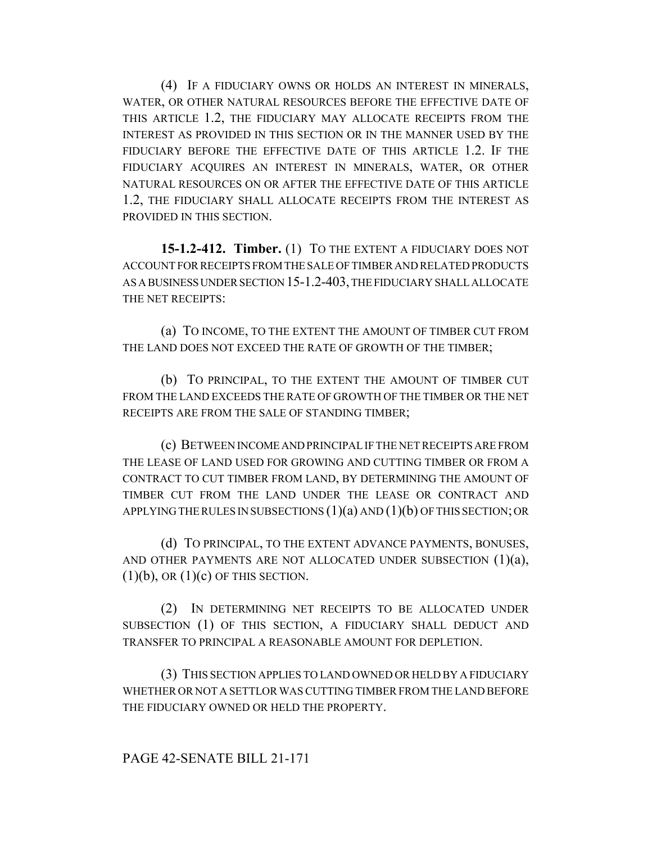(4) IF A FIDUCIARY OWNS OR HOLDS AN INTEREST IN MINERALS, WATER, OR OTHER NATURAL RESOURCES BEFORE THE EFFECTIVE DATE OF THIS ARTICLE 1.2, THE FIDUCIARY MAY ALLOCATE RECEIPTS FROM THE INTEREST AS PROVIDED IN THIS SECTION OR IN THE MANNER USED BY THE FIDUCIARY BEFORE THE EFFECTIVE DATE OF THIS ARTICLE 1.2. IF THE FIDUCIARY ACQUIRES AN INTEREST IN MINERALS, WATER, OR OTHER NATURAL RESOURCES ON OR AFTER THE EFFECTIVE DATE OF THIS ARTICLE 1.2, THE FIDUCIARY SHALL ALLOCATE RECEIPTS FROM THE INTEREST AS PROVIDED IN THIS SECTION.

**15-1.2-412. Timber.** (1) TO THE EXTENT A FIDUCIARY DOES NOT ACCOUNT FOR RECEIPTS FROM THE SALE OF TIMBER AND RELATED PRODUCTS AS A BUSINESS UNDER SECTION 15-1.2-403, THE FIDUCIARY SHALL ALLOCATE THE NET RECEIPTS:

(a) TO INCOME, TO THE EXTENT THE AMOUNT OF TIMBER CUT FROM THE LAND DOES NOT EXCEED THE RATE OF GROWTH OF THE TIMBER;

(b) TO PRINCIPAL, TO THE EXTENT THE AMOUNT OF TIMBER CUT FROM THE LAND EXCEEDS THE RATE OF GROWTH OF THE TIMBER OR THE NET RECEIPTS ARE FROM THE SALE OF STANDING TIMBER;

(c) BETWEEN INCOME AND PRINCIPAL IF THE NET RECEIPTS ARE FROM THE LEASE OF LAND USED FOR GROWING AND CUTTING TIMBER OR FROM A CONTRACT TO CUT TIMBER FROM LAND, BY DETERMINING THE AMOUNT OF TIMBER CUT FROM THE LAND UNDER THE LEASE OR CONTRACT AND APPLYING THE RULES IN SUBSECTIONS  $(1)(a)$  AND  $(1)(b)$  OF THIS SECTION; OR

(d) TO PRINCIPAL, TO THE EXTENT ADVANCE PAYMENTS, BONUSES, AND OTHER PAYMENTS ARE NOT ALLOCATED UNDER SUBSECTION  $(1)(a)$ ,  $(1)(b)$ , OR  $(1)(c)$  OF THIS SECTION.

(2) IN DETERMINING NET RECEIPTS TO BE ALLOCATED UNDER SUBSECTION (1) OF THIS SECTION, A FIDUCIARY SHALL DEDUCT AND TRANSFER TO PRINCIPAL A REASONABLE AMOUNT FOR DEPLETION.

(3) THIS SECTION APPLIES TO LAND OWNED OR HELD BY A FIDUCIARY WHETHER OR NOT A SETTLOR WAS CUTTING TIMBER FROM THE LAND BEFORE THE FIDUCIARY OWNED OR HELD THE PROPERTY.

### PAGE 42-SENATE BILL 21-171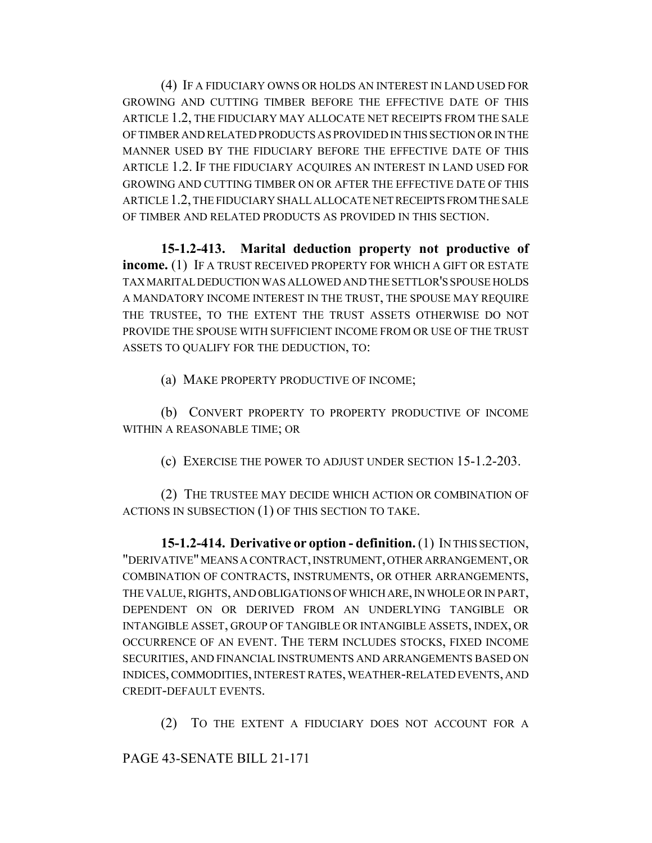(4) IF A FIDUCIARY OWNS OR HOLDS AN INTEREST IN LAND USED FOR GROWING AND CUTTING TIMBER BEFORE THE EFFECTIVE DATE OF THIS ARTICLE 1.2, THE FIDUCIARY MAY ALLOCATE NET RECEIPTS FROM THE SALE OF TIMBER AND RELATED PRODUCTS AS PROVIDED IN THIS SECTION OR IN THE MANNER USED BY THE FIDUCIARY BEFORE THE EFFECTIVE DATE OF THIS ARTICLE 1.2. IF THE FIDUCIARY ACQUIRES AN INTEREST IN LAND USED FOR GROWING AND CUTTING TIMBER ON OR AFTER THE EFFECTIVE DATE OF THIS ARTICLE 1.2, THE FIDUCIARY SHALL ALLOCATE NET RECEIPTS FROM THE SALE OF TIMBER AND RELATED PRODUCTS AS PROVIDED IN THIS SECTION.

**15-1.2-413. Marital deduction property not productive of income.** (1) IF A TRUST RECEIVED PROPERTY FOR WHICH A GIFT OR ESTATE TAX MARITAL DEDUCTION WAS ALLOWED AND THE SETTLOR'S SPOUSE HOLDS A MANDATORY INCOME INTEREST IN THE TRUST, THE SPOUSE MAY REQUIRE THE TRUSTEE, TO THE EXTENT THE TRUST ASSETS OTHERWISE DO NOT PROVIDE THE SPOUSE WITH SUFFICIENT INCOME FROM OR USE OF THE TRUST ASSETS TO QUALIFY FOR THE DEDUCTION, TO:

(a) MAKE PROPERTY PRODUCTIVE OF INCOME;

(b) CONVERT PROPERTY TO PROPERTY PRODUCTIVE OF INCOME WITHIN A REASONABLE TIME; OR

(c) EXERCISE THE POWER TO ADJUST UNDER SECTION 15-1.2-203.

(2) THE TRUSTEE MAY DECIDE WHICH ACTION OR COMBINATION OF ACTIONS IN SUBSECTION (1) OF THIS SECTION TO TAKE.

**15-1.2-414. Derivative or option - definition.** (1) IN THIS SECTION, "DERIVATIVE" MEANS A CONTRACT, INSTRUMENT, OTHER ARRANGEMENT, OR COMBINATION OF CONTRACTS, INSTRUMENTS, OR OTHER ARRANGEMENTS, THE VALUE, RIGHTS, AND OBLIGATIONS OF WHICH ARE, IN WHOLE OR IN PART, DEPENDENT ON OR DERIVED FROM AN UNDERLYING TANGIBLE OR INTANGIBLE ASSET, GROUP OF TANGIBLE OR INTANGIBLE ASSETS, INDEX, OR OCCURRENCE OF AN EVENT. THE TERM INCLUDES STOCKS, FIXED INCOME SECURITIES, AND FINANCIAL INSTRUMENTS AND ARRANGEMENTS BASED ON INDICES, COMMODITIES, INTEREST RATES, WEATHER-RELATED EVENTS, AND CREDIT-DEFAULT EVENTS.

(2) TO THE EXTENT A FIDUCIARY DOES NOT ACCOUNT FOR A

PAGE 43-SENATE BILL 21-171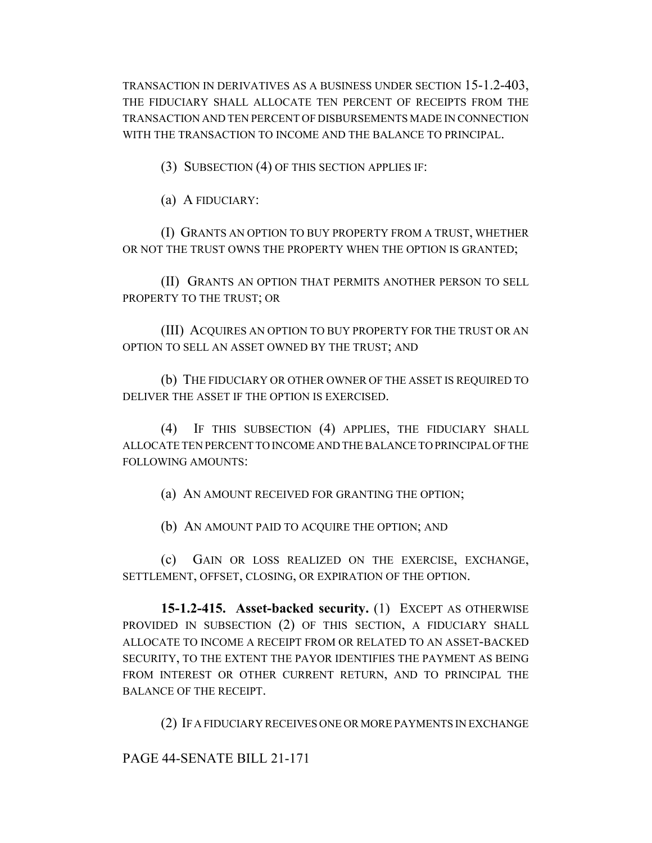TRANSACTION IN DERIVATIVES AS A BUSINESS UNDER SECTION 15-1.2-403, THE FIDUCIARY SHALL ALLOCATE TEN PERCENT OF RECEIPTS FROM THE TRANSACTION AND TEN PERCENT OF DISBURSEMENTS MADE IN CONNECTION WITH THE TRANSACTION TO INCOME AND THE BALANCE TO PRINCIPAL.

(3) SUBSECTION (4) OF THIS SECTION APPLIES IF:

(a) A FIDUCIARY:

(I) GRANTS AN OPTION TO BUY PROPERTY FROM A TRUST, WHETHER OR NOT THE TRUST OWNS THE PROPERTY WHEN THE OPTION IS GRANTED;

(II) GRANTS AN OPTION THAT PERMITS ANOTHER PERSON TO SELL PROPERTY TO THE TRUST; OR

(III) ACQUIRES AN OPTION TO BUY PROPERTY FOR THE TRUST OR AN OPTION TO SELL AN ASSET OWNED BY THE TRUST; AND

(b) THE FIDUCIARY OR OTHER OWNER OF THE ASSET IS REQUIRED TO DELIVER THE ASSET IF THE OPTION IS EXERCISED.

(4) IF THIS SUBSECTION (4) APPLIES, THE FIDUCIARY SHALL ALLOCATE TEN PERCENT TO INCOME AND THE BALANCE TO PRINCIPAL OF THE FOLLOWING AMOUNTS:

(a) AN AMOUNT RECEIVED FOR GRANTING THE OPTION;

(b) AN AMOUNT PAID TO ACQUIRE THE OPTION; AND

(c) GAIN OR LOSS REALIZED ON THE EXERCISE, EXCHANGE, SETTLEMENT, OFFSET, CLOSING, OR EXPIRATION OF THE OPTION.

**15-1.2-415. Asset-backed security.** (1) EXCEPT AS OTHERWISE PROVIDED IN SUBSECTION (2) OF THIS SECTION, A FIDUCIARY SHALL ALLOCATE TO INCOME A RECEIPT FROM OR RELATED TO AN ASSET-BACKED SECURITY, TO THE EXTENT THE PAYOR IDENTIFIES THE PAYMENT AS BEING FROM INTEREST OR OTHER CURRENT RETURN, AND TO PRINCIPAL THE BALANCE OF THE RECEIPT.

(2) IF A FIDUCIARY RECEIVES ONE OR MORE PAYMENTS IN EXCHANGE

PAGE 44-SENATE BILL 21-171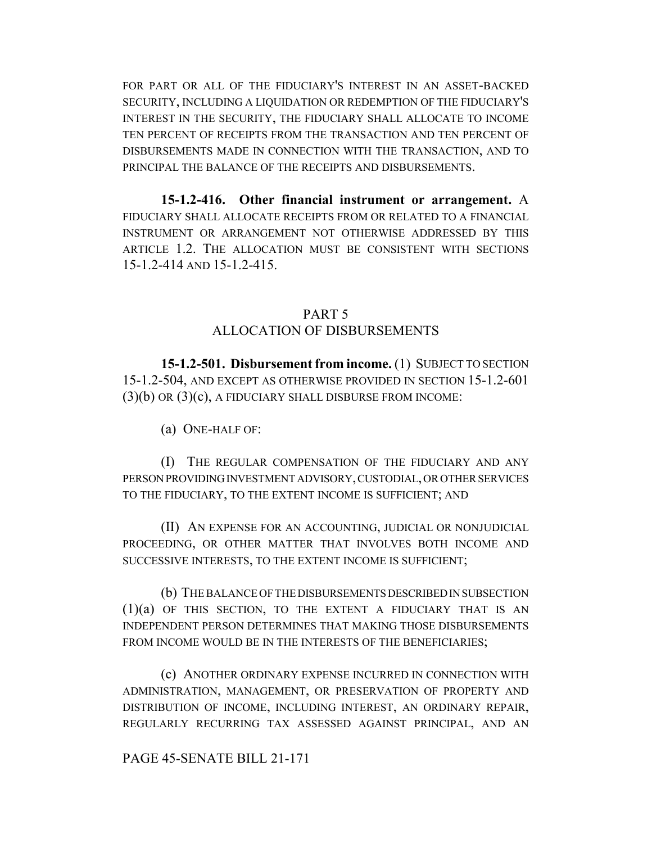FOR PART OR ALL OF THE FIDUCIARY'S INTEREST IN AN ASSET-BACKED SECURITY, INCLUDING A LIQUIDATION OR REDEMPTION OF THE FIDUCIARY'S INTEREST IN THE SECURITY, THE FIDUCIARY SHALL ALLOCATE TO INCOME TEN PERCENT OF RECEIPTS FROM THE TRANSACTION AND TEN PERCENT OF DISBURSEMENTS MADE IN CONNECTION WITH THE TRANSACTION, AND TO PRINCIPAL THE BALANCE OF THE RECEIPTS AND DISBURSEMENTS.

**15-1.2-416. Other financial instrument or arrangement.** A FIDUCIARY SHALL ALLOCATE RECEIPTS FROM OR RELATED TO A FINANCIAL INSTRUMENT OR ARRANGEMENT NOT OTHERWISE ADDRESSED BY THIS ARTICLE 1.2. THE ALLOCATION MUST BE CONSISTENT WITH SECTIONS 15-1.2-414 AND 15-1.2-415.

#### PART 5

#### ALLOCATION OF DISBURSEMENTS

**15-1.2-501. Disbursement from income.** (1) SUBJECT TO SECTION 15-1.2-504, AND EXCEPT AS OTHERWISE PROVIDED IN SECTION 15-1.2-601  $(3)(b)$  OR  $(3)(c)$ , A FIDUCIARY SHALL DISBURSE FROM INCOME:

(a) ONE-HALF OF:

(I) THE REGULAR COMPENSATION OF THE FIDUCIARY AND ANY PERSON PROVIDING INVESTMENT ADVISORY, CUSTODIAL, OR OTHER SERVICES TO THE FIDUCIARY, TO THE EXTENT INCOME IS SUFFICIENT; AND

(II) AN EXPENSE FOR AN ACCOUNTING, JUDICIAL OR NONJUDICIAL PROCEEDING, OR OTHER MATTER THAT INVOLVES BOTH INCOME AND SUCCESSIVE INTERESTS, TO THE EXTENT INCOME IS SUFFICIENT;

(b) THE BALANCE OF THE DISBURSEMENTS DESCRIBED IN SUBSECTION (1)(a) OF THIS SECTION, TO THE EXTENT A FIDUCIARY THAT IS AN INDEPENDENT PERSON DETERMINES THAT MAKING THOSE DISBURSEMENTS FROM INCOME WOULD BE IN THE INTERESTS OF THE BENEFICIARIES;

(c) ANOTHER ORDINARY EXPENSE INCURRED IN CONNECTION WITH ADMINISTRATION, MANAGEMENT, OR PRESERVATION OF PROPERTY AND DISTRIBUTION OF INCOME, INCLUDING INTEREST, AN ORDINARY REPAIR, REGULARLY RECURRING TAX ASSESSED AGAINST PRINCIPAL, AND AN

#### PAGE 45-SENATE BILL 21-171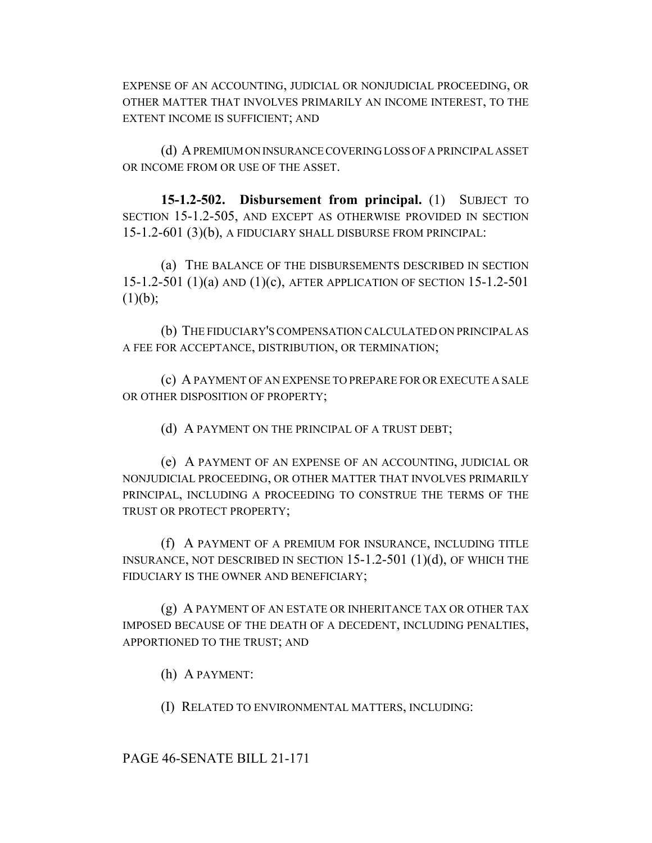EXPENSE OF AN ACCOUNTING, JUDICIAL OR NONJUDICIAL PROCEEDING, OR OTHER MATTER THAT INVOLVES PRIMARILY AN INCOME INTEREST, TO THE EXTENT INCOME IS SUFFICIENT; AND

(d) A PREMIUM ON INSURANCE COVERING LOSS OF A PRINCIPAL ASSET OR INCOME FROM OR USE OF THE ASSET.

**15-1.2-502. Disbursement from principal.** (1) SUBJECT TO SECTION 15-1.2-505, AND EXCEPT AS OTHERWISE PROVIDED IN SECTION 15-1.2-601 (3)(b), A FIDUCIARY SHALL DISBURSE FROM PRINCIPAL:

(a) THE BALANCE OF THE DISBURSEMENTS DESCRIBED IN SECTION 15-1.2-501 (1)(a) AND (1)(c), AFTER APPLICATION OF SECTION 15-1.2-501  $(1)(b);$ 

(b) THE FIDUCIARY'S COMPENSATION CALCULATED ON PRINCIPAL AS A FEE FOR ACCEPTANCE, DISTRIBUTION, OR TERMINATION;

(c) A PAYMENT OF AN EXPENSE TO PREPARE FOR OR EXECUTE A SALE OR OTHER DISPOSITION OF PROPERTY;

(d) A PAYMENT ON THE PRINCIPAL OF A TRUST DEBT;

(e) A PAYMENT OF AN EXPENSE OF AN ACCOUNTING, JUDICIAL OR NONJUDICIAL PROCEEDING, OR OTHER MATTER THAT INVOLVES PRIMARILY PRINCIPAL, INCLUDING A PROCEEDING TO CONSTRUE THE TERMS OF THE TRUST OR PROTECT PROPERTY;

(f) A PAYMENT OF A PREMIUM FOR INSURANCE, INCLUDING TITLE INSURANCE, NOT DESCRIBED IN SECTION 15-1.2-501 (1)(d), OF WHICH THE FIDUCIARY IS THE OWNER AND BENEFICIARY;

(g) A PAYMENT OF AN ESTATE OR INHERITANCE TAX OR OTHER TAX IMPOSED BECAUSE OF THE DEATH OF A DECEDENT, INCLUDING PENALTIES, APPORTIONED TO THE TRUST; AND

(h) A PAYMENT:

(I) RELATED TO ENVIRONMENTAL MATTERS, INCLUDING:

PAGE 46-SENATE BILL 21-171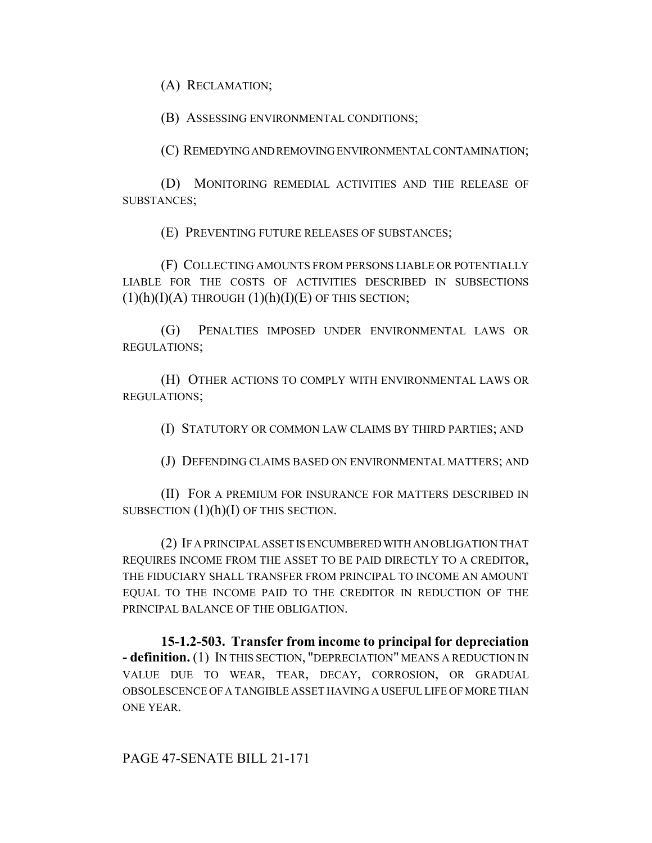(A) RECLAMATION;

(B) ASSESSING ENVIRONMENTAL CONDITIONS;

(C) REMEDYING AND REMOVING ENVIRONMENTAL CONTAMINATION;

(D) MONITORING REMEDIAL ACTIVITIES AND THE RELEASE OF SUBSTANCES;

(E) PREVENTING FUTURE RELEASES OF SUBSTANCES;

(F) COLLECTING AMOUNTS FROM PERSONS LIABLE OR POTENTIALLY LIABLE FOR THE COSTS OF ACTIVITIES DESCRIBED IN SUBSECTIONS  $(1)(h)(I)(A)$  THROUGH  $(1)(h)(I)(E)$  OF THIS SECTION;

(G) PENALTIES IMPOSED UNDER ENVIRONMENTAL LAWS OR REGULATIONS;

(H) OTHER ACTIONS TO COMPLY WITH ENVIRONMENTAL LAWS OR REGULATIONS;

(I) STATUTORY OR COMMON LAW CLAIMS BY THIRD PARTIES; AND

(J) DEFENDING CLAIMS BASED ON ENVIRONMENTAL MATTERS; AND

(II) FOR A PREMIUM FOR INSURANCE FOR MATTERS DESCRIBED IN SUBSECTION  $(1)(h)(I)$  OF THIS SECTION.

(2) IF A PRINCIPAL ASSET IS ENCUMBERED WITH AN OBLIGATION THAT REQUIRES INCOME FROM THE ASSET TO BE PAID DIRECTLY TO A CREDITOR, THE FIDUCIARY SHALL TRANSFER FROM PRINCIPAL TO INCOME AN AMOUNT EQUAL TO THE INCOME PAID TO THE CREDITOR IN REDUCTION OF THE PRINCIPAL BALANCE OF THE OBLIGATION.

**15-1.2-503. Transfer from income to principal for depreciation - definition.** (1) IN THIS SECTION, "DEPRECIATION" MEANS A REDUCTION IN VALUE DUE TO WEAR, TEAR, DECAY, CORROSION, OR GRADUAL OBSOLESCENCE OF A TANGIBLE ASSET HAVING A USEFUL LIFE OF MORE THAN ONE YEAR.

PAGE 47-SENATE BILL 21-171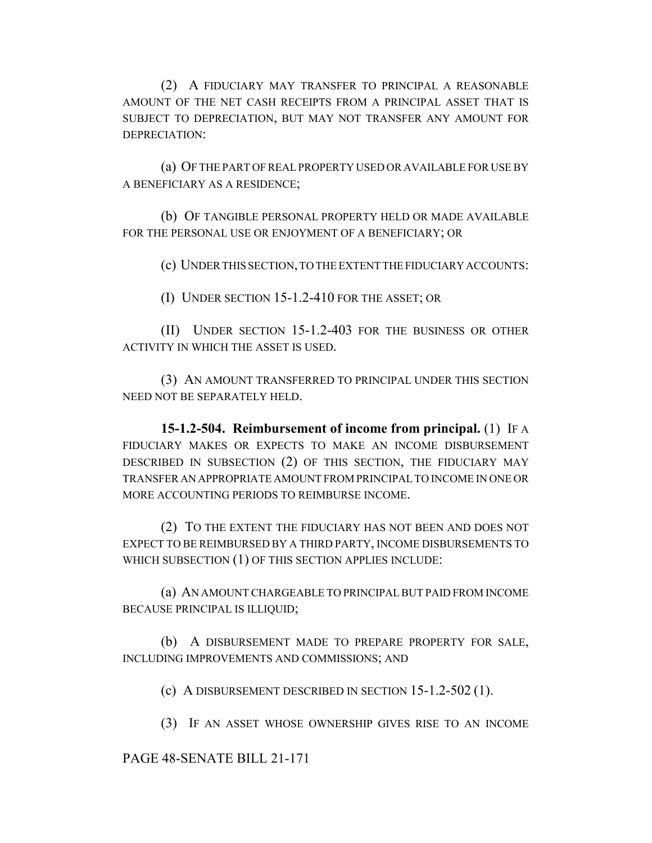(2) A FIDUCIARY MAY TRANSFER TO PRINCIPAL A REASONABLE AMOUNT OF THE NET CASH RECEIPTS FROM A PRINCIPAL ASSET THAT IS SUBJECT TO DEPRECIATION, BUT MAY NOT TRANSFER ANY AMOUNT FOR DEPRECIATION:

(a) OF THE PART OF REAL PROPERTY USED OR AVAILABLE FOR USE BY A BENEFICIARY AS A RESIDENCE;

(b) OF TANGIBLE PERSONAL PROPERTY HELD OR MADE AVAILABLE FOR THE PERSONAL USE OR ENJOYMENT OF A BENEFICIARY; OR

(c) UNDER THIS SECTION, TO THE EXTENT THE FIDUCIARY ACCOUNTS:

(I) UNDER SECTION 15-1.2-410 FOR THE ASSET; OR

(II) UNDER SECTION 15-1.2-403 FOR THE BUSINESS OR OTHER ACTIVITY IN WHICH THE ASSET IS USED.

(3) AN AMOUNT TRANSFERRED TO PRINCIPAL UNDER THIS SECTION NEED NOT BE SEPARATELY HELD.

**15-1.2-504. Reimbursement of income from principal.** (1) IF A FIDUCIARY MAKES OR EXPECTS TO MAKE AN INCOME DISBURSEMENT DESCRIBED IN SUBSECTION (2) OF THIS SECTION, THE FIDUCIARY MAY TRANSFER AN APPROPRIATE AMOUNT FROM PRINCIPAL TO INCOME IN ONE OR MORE ACCOUNTING PERIODS TO REIMBURSE INCOME.

(2) TO THE EXTENT THE FIDUCIARY HAS NOT BEEN AND DOES NOT EXPECT TO BE REIMBURSED BY A THIRD PARTY, INCOME DISBURSEMENTS TO WHICH SUBSECTION (1) OF THIS SECTION APPLIES INCLUDE:

(a) AN AMOUNT CHARGEABLE TO PRINCIPAL BUT PAID FROM INCOME BECAUSE PRINCIPAL IS ILLIQUID;

(b) A DISBURSEMENT MADE TO PREPARE PROPERTY FOR SALE, INCLUDING IMPROVEMENTS AND COMMISSIONS; AND

(c) A DISBURSEMENT DESCRIBED IN SECTION 15-1.2-502 (1).

(3) IF AN ASSET WHOSE OWNERSHIP GIVES RISE TO AN INCOME

#### PAGE 48-SENATE BILL 21-171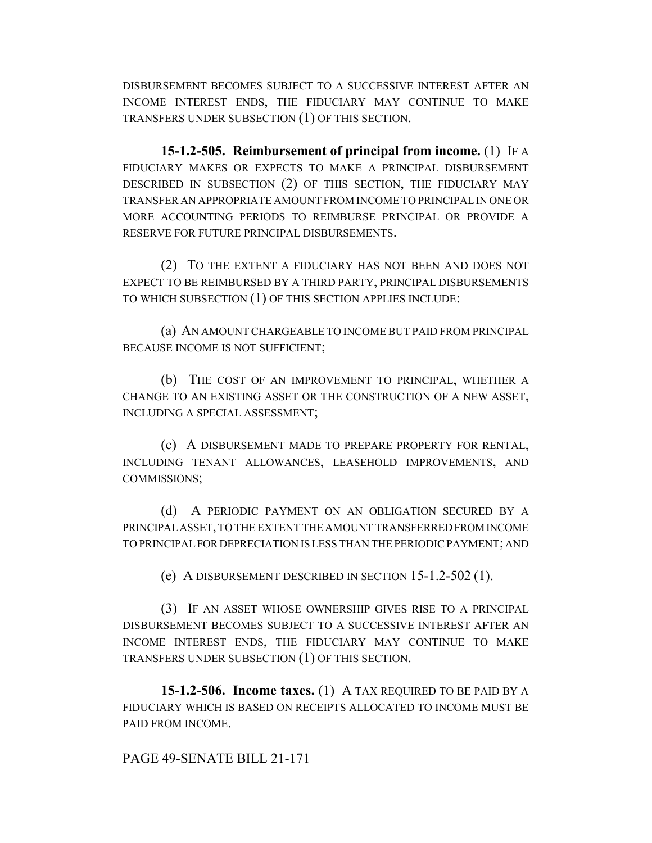DISBURSEMENT BECOMES SUBJECT TO A SUCCESSIVE INTEREST AFTER AN INCOME INTEREST ENDS, THE FIDUCIARY MAY CONTINUE TO MAKE TRANSFERS UNDER SUBSECTION (1) OF THIS SECTION.

**15-1.2-505. Reimbursement of principal from income.** (1) IF A FIDUCIARY MAKES OR EXPECTS TO MAKE A PRINCIPAL DISBURSEMENT DESCRIBED IN SUBSECTION (2) OF THIS SECTION, THE FIDUCIARY MAY TRANSFER AN APPROPRIATE AMOUNT FROM INCOME TO PRINCIPAL IN ONE OR MORE ACCOUNTING PERIODS TO REIMBURSE PRINCIPAL OR PROVIDE A RESERVE FOR FUTURE PRINCIPAL DISBURSEMENTS.

(2) TO THE EXTENT A FIDUCIARY HAS NOT BEEN AND DOES NOT EXPECT TO BE REIMBURSED BY A THIRD PARTY, PRINCIPAL DISBURSEMENTS TO WHICH SUBSECTION (1) OF THIS SECTION APPLIES INCLUDE:

(a) AN AMOUNT CHARGEABLE TO INCOME BUT PAID FROM PRINCIPAL BECAUSE INCOME IS NOT SUFFICIENT;

(b) THE COST OF AN IMPROVEMENT TO PRINCIPAL, WHETHER A CHANGE TO AN EXISTING ASSET OR THE CONSTRUCTION OF A NEW ASSET, INCLUDING A SPECIAL ASSESSMENT;

(c) A DISBURSEMENT MADE TO PREPARE PROPERTY FOR RENTAL, INCLUDING TENANT ALLOWANCES, LEASEHOLD IMPROVEMENTS, AND COMMISSIONS;

(d) A PERIODIC PAYMENT ON AN OBLIGATION SECURED BY A PRINCIPAL ASSET, TO THE EXTENT THE AMOUNT TRANSFERRED FROM INCOME TO PRINCIPAL FOR DEPRECIATION IS LESS THAN THE PERIODIC PAYMENT; AND

(e) A DISBURSEMENT DESCRIBED IN SECTION 15-1.2-502 (1).

(3) IF AN ASSET WHOSE OWNERSHIP GIVES RISE TO A PRINCIPAL DISBURSEMENT BECOMES SUBJECT TO A SUCCESSIVE INTEREST AFTER AN INCOME INTEREST ENDS, THE FIDUCIARY MAY CONTINUE TO MAKE TRANSFERS UNDER SUBSECTION (1) OF THIS SECTION.

**15-1.2-506. Income taxes.** (1) A TAX REQUIRED TO BE PAID BY A FIDUCIARY WHICH IS BASED ON RECEIPTS ALLOCATED TO INCOME MUST BE PAID FROM INCOME.

PAGE 49-SENATE BILL 21-171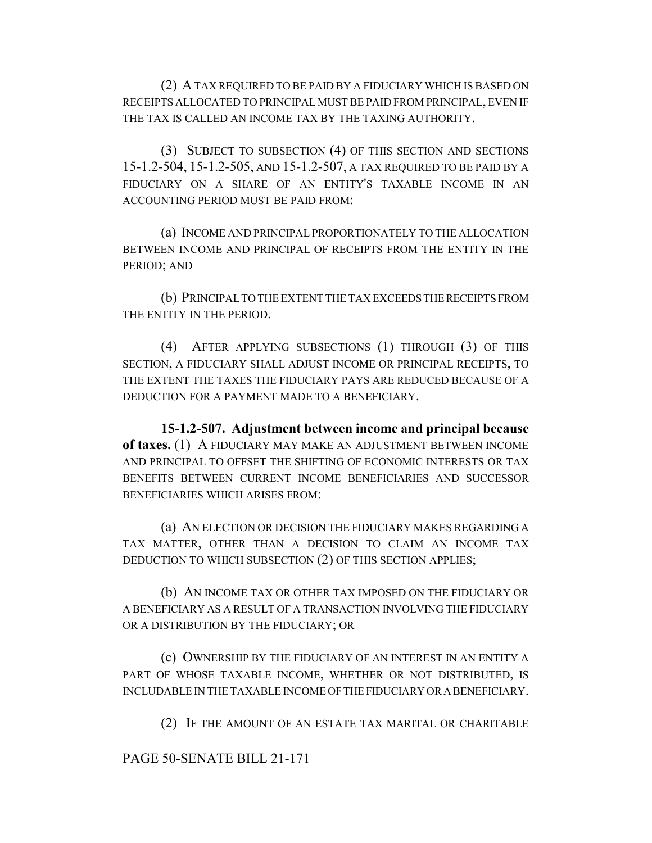(2) A TAX REQUIRED TO BE PAID BY A FIDUCIARY WHICH IS BASED ON RECEIPTS ALLOCATED TO PRINCIPAL MUST BE PAID FROM PRINCIPAL, EVEN IF THE TAX IS CALLED AN INCOME TAX BY THE TAXING AUTHORITY.

(3) SUBJECT TO SUBSECTION (4) OF THIS SECTION AND SECTIONS 15-1.2-504, 15-1.2-505, AND 15-1.2-507, A TAX REQUIRED TO BE PAID BY A FIDUCIARY ON A SHARE OF AN ENTITY'S TAXABLE INCOME IN AN ACCOUNTING PERIOD MUST BE PAID FROM:

(a) INCOME AND PRINCIPAL PROPORTIONATELY TO THE ALLOCATION BETWEEN INCOME AND PRINCIPAL OF RECEIPTS FROM THE ENTITY IN THE PERIOD; AND

(b) PRINCIPAL TO THE EXTENT THE TAX EXCEEDS THE RECEIPTS FROM THE ENTITY IN THE PERIOD.

(4) AFTER APPLYING SUBSECTIONS (1) THROUGH (3) OF THIS SECTION, A FIDUCIARY SHALL ADJUST INCOME OR PRINCIPAL RECEIPTS, TO THE EXTENT THE TAXES THE FIDUCIARY PAYS ARE REDUCED BECAUSE OF A DEDUCTION FOR A PAYMENT MADE TO A BENEFICIARY.

**15-1.2-507. Adjustment between income and principal because of taxes.** (1) A FIDUCIARY MAY MAKE AN ADJUSTMENT BETWEEN INCOME AND PRINCIPAL TO OFFSET THE SHIFTING OF ECONOMIC INTERESTS OR TAX BENEFITS BETWEEN CURRENT INCOME BENEFICIARIES AND SUCCESSOR BENEFICIARIES WHICH ARISES FROM:

(a) AN ELECTION OR DECISION THE FIDUCIARY MAKES REGARDING A TAX MATTER, OTHER THAN A DECISION TO CLAIM AN INCOME TAX DEDUCTION TO WHICH SUBSECTION (2) OF THIS SECTION APPLIES;

(b) AN INCOME TAX OR OTHER TAX IMPOSED ON THE FIDUCIARY OR A BENEFICIARY AS A RESULT OF A TRANSACTION INVOLVING THE FIDUCIARY OR A DISTRIBUTION BY THE FIDUCIARY; OR

(c) OWNERSHIP BY THE FIDUCIARY OF AN INTEREST IN AN ENTITY A PART OF WHOSE TAXABLE INCOME, WHETHER OR NOT DISTRIBUTED, IS INCLUDABLE IN THE TAXABLE INCOME OF THE FIDUCIARY OR A BENEFICIARY.

(2) IF THE AMOUNT OF AN ESTATE TAX MARITAL OR CHARITABLE

PAGE 50-SENATE BILL 21-171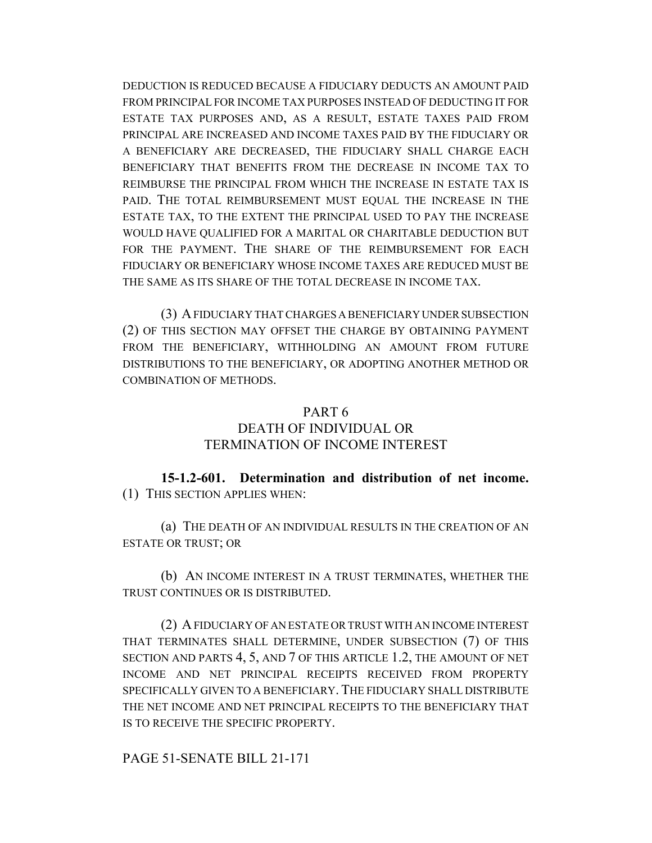DEDUCTION IS REDUCED BECAUSE A FIDUCIARY DEDUCTS AN AMOUNT PAID FROM PRINCIPAL FOR INCOME TAX PURPOSES INSTEAD OF DEDUCTING IT FOR ESTATE TAX PURPOSES AND, AS A RESULT, ESTATE TAXES PAID FROM PRINCIPAL ARE INCREASED AND INCOME TAXES PAID BY THE FIDUCIARY OR A BENEFICIARY ARE DECREASED, THE FIDUCIARY SHALL CHARGE EACH BENEFICIARY THAT BENEFITS FROM THE DECREASE IN INCOME TAX TO REIMBURSE THE PRINCIPAL FROM WHICH THE INCREASE IN ESTATE TAX IS PAID. THE TOTAL REIMBURSEMENT MUST EQUAL THE INCREASE IN THE ESTATE TAX, TO THE EXTENT THE PRINCIPAL USED TO PAY THE INCREASE WOULD HAVE QUALIFIED FOR A MARITAL OR CHARITABLE DEDUCTION BUT FOR THE PAYMENT. THE SHARE OF THE REIMBURSEMENT FOR EACH FIDUCIARY OR BENEFICIARY WHOSE INCOME TAXES ARE REDUCED MUST BE THE SAME AS ITS SHARE OF THE TOTAL DECREASE IN INCOME TAX.

(3) A FIDUCIARY THAT CHARGES A BENEFICIARY UNDER SUBSECTION (2) OF THIS SECTION MAY OFFSET THE CHARGE BY OBTAINING PAYMENT FROM THE BENEFICIARY, WITHHOLDING AN AMOUNT FROM FUTURE DISTRIBUTIONS TO THE BENEFICIARY, OR ADOPTING ANOTHER METHOD OR COMBINATION OF METHODS.

#### PART 6

### DEATH OF INDIVIDUAL OR TERMINATION OF INCOME INTEREST

**15-1.2-601. Determination and distribution of net income.** (1) THIS SECTION APPLIES WHEN:

(a) THE DEATH OF AN INDIVIDUAL RESULTS IN THE CREATION OF AN ESTATE OR TRUST; OR

(b) AN INCOME INTEREST IN A TRUST TERMINATES, WHETHER THE TRUST CONTINUES OR IS DISTRIBUTED.

(2) A FIDUCIARY OF AN ESTATE OR TRUST WITH AN INCOME INTEREST THAT TERMINATES SHALL DETERMINE, UNDER SUBSECTION (7) OF THIS SECTION AND PARTS 4, 5, AND 7 OF THIS ARTICLE 1.2, THE AMOUNT OF NET INCOME AND NET PRINCIPAL RECEIPTS RECEIVED FROM PROPERTY SPECIFICALLY GIVEN TO A BENEFICIARY. THE FIDUCIARY SHALL DISTRIBUTE THE NET INCOME AND NET PRINCIPAL RECEIPTS TO THE BENEFICIARY THAT IS TO RECEIVE THE SPECIFIC PROPERTY.

PAGE 51-SENATE BILL 21-171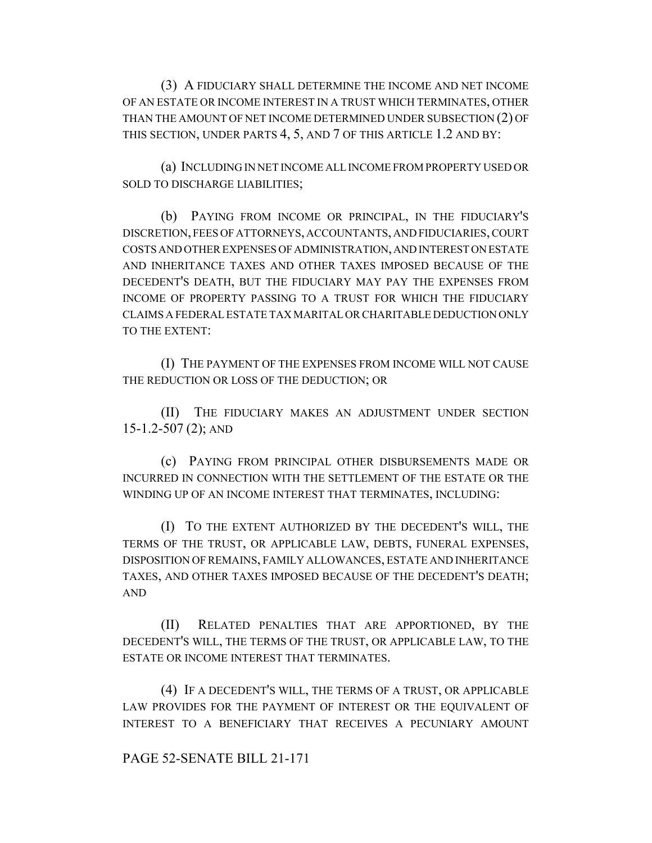(3) A FIDUCIARY SHALL DETERMINE THE INCOME AND NET INCOME OF AN ESTATE OR INCOME INTEREST IN A TRUST WHICH TERMINATES, OTHER THAN THE AMOUNT OF NET INCOME DETERMINED UNDER SUBSECTION (2) OF THIS SECTION, UNDER PARTS 4, 5, AND 7 OF THIS ARTICLE 1.2 AND BY:

(a) INCLUDING IN NET INCOME ALL INCOME FROM PROPERTY USED OR SOLD TO DISCHARGE LIABILITIES;

(b) PAYING FROM INCOME OR PRINCIPAL, IN THE FIDUCIARY'S DISCRETION, FEES OF ATTORNEYS, ACCOUNTANTS, AND FIDUCIARIES, COURT COSTS AND OTHER EXPENSES OF ADMINISTRATION, AND INTEREST ON ESTATE AND INHERITANCE TAXES AND OTHER TAXES IMPOSED BECAUSE OF THE DECEDENT'S DEATH, BUT THE FIDUCIARY MAY PAY THE EXPENSES FROM INCOME OF PROPERTY PASSING TO A TRUST FOR WHICH THE FIDUCIARY CLAIMS A FEDERAL ESTATE TAX MARITAL OR CHARITABLE DEDUCTION ONLY TO THE EXTENT:

(I) THE PAYMENT OF THE EXPENSES FROM INCOME WILL NOT CAUSE THE REDUCTION OR LOSS OF THE DEDUCTION; OR

(II) THE FIDUCIARY MAKES AN ADJUSTMENT UNDER SECTION 15-1.2-507 (2); AND

(c) PAYING FROM PRINCIPAL OTHER DISBURSEMENTS MADE OR INCURRED IN CONNECTION WITH THE SETTLEMENT OF THE ESTATE OR THE WINDING UP OF AN INCOME INTEREST THAT TERMINATES, INCLUDING:

(I) TO THE EXTENT AUTHORIZED BY THE DECEDENT'S WILL, THE TERMS OF THE TRUST, OR APPLICABLE LAW, DEBTS, FUNERAL EXPENSES, DISPOSITION OF REMAINS, FAMILY ALLOWANCES, ESTATE AND INHERITANCE TAXES, AND OTHER TAXES IMPOSED BECAUSE OF THE DECEDENT'S DEATH; AND

(II) RELATED PENALTIES THAT ARE APPORTIONED, BY THE DECEDENT'S WILL, THE TERMS OF THE TRUST, OR APPLICABLE LAW, TO THE ESTATE OR INCOME INTEREST THAT TERMINATES.

(4) IF A DECEDENT'S WILL, THE TERMS OF A TRUST, OR APPLICABLE LAW PROVIDES FOR THE PAYMENT OF INTEREST OR THE EQUIVALENT OF INTEREST TO A BENEFICIARY THAT RECEIVES A PECUNIARY AMOUNT

#### PAGE 52-SENATE BILL 21-171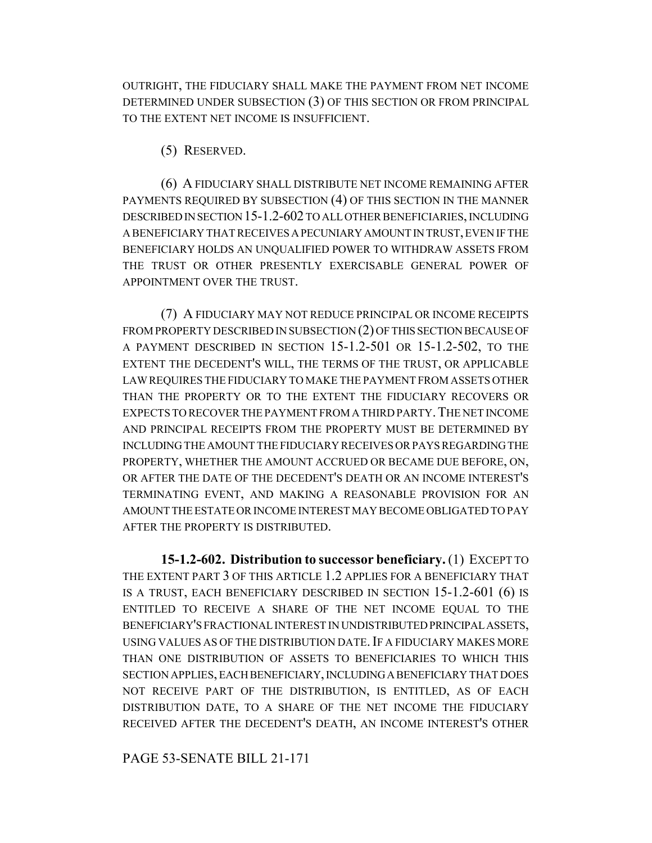OUTRIGHT, THE FIDUCIARY SHALL MAKE THE PAYMENT FROM NET INCOME DETERMINED UNDER SUBSECTION (3) OF THIS SECTION OR FROM PRINCIPAL TO THE EXTENT NET INCOME IS INSUFFICIENT.

(5) RESERVED.

(6) A FIDUCIARY SHALL DISTRIBUTE NET INCOME REMAINING AFTER PAYMENTS REQUIRED BY SUBSECTION (4) OF THIS SECTION IN THE MANNER DESCRIBED IN SECTION 15-1.2-602 TO ALL OTHER BENEFICIARIES, INCLUDING A BENEFICIARY THAT RECEIVES A PECUNIARY AMOUNT IN TRUST, EVEN IF THE BENEFICIARY HOLDS AN UNQUALIFIED POWER TO WITHDRAW ASSETS FROM THE TRUST OR OTHER PRESENTLY EXERCISABLE GENERAL POWER OF APPOINTMENT OVER THE TRUST.

(7) A FIDUCIARY MAY NOT REDUCE PRINCIPAL OR INCOME RECEIPTS FROM PROPERTY DESCRIBED IN SUBSECTION (2) OF THIS SECTION BECAUSE OF A PAYMENT DESCRIBED IN SECTION 15-1.2-501 OR 15-1.2-502, TO THE EXTENT THE DECEDENT'S WILL, THE TERMS OF THE TRUST, OR APPLICABLE LAW REQUIRES THE FIDUCIARY TO MAKE THE PAYMENT FROM ASSETS OTHER THAN THE PROPERTY OR TO THE EXTENT THE FIDUCIARY RECOVERS OR EXPECTS TO RECOVER THE PAYMENT FROM A THIRD PARTY. THE NET INCOME AND PRINCIPAL RECEIPTS FROM THE PROPERTY MUST BE DETERMINED BY INCLUDING THE AMOUNT THE FIDUCIARY RECEIVES OR PAYS REGARDING THE PROPERTY, WHETHER THE AMOUNT ACCRUED OR BECAME DUE BEFORE, ON, OR AFTER THE DATE OF THE DECEDENT'S DEATH OR AN INCOME INTEREST'S TERMINATING EVENT, AND MAKING A REASONABLE PROVISION FOR AN AMOUNT THE ESTATE OR INCOME INTEREST MAY BECOME OBLIGATED TO PAY AFTER THE PROPERTY IS DISTRIBUTED.

**15-1.2-602. Distribution to successor beneficiary.** (1) EXCEPT TO THE EXTENT PART 3 OF THIS ARTICLE 1.2 APPLIES FOR A BENEFICIARY THAT IS A TRUST, EACH BENEFICIARY DESCRIBED IN SECTION 15-1.2-601 (6) IS ENTITLED TO RECEIVE A SHARE OF THE NET INCOME EQUAL TO THE BENEFICIARY'S FRACTIONAL INTEREST IN UNDISTRIBUTED PRINCIPAL ASSETS, USING VALUES AS OF THE DISTRIBUTION DATE. IF A FIDUCIARY MAKES MORE THAN ONE DISTRIBUTION OF ASSETS TO BENEFICIARIES TO WHICH THIS SECTION APPLIES, EACH BENEFICIARY, INCLUDING A BENEFICIARY THAT DOES NOT RECEIVE PART OF THE DISTRIBUTION, IS ENTITLED, AS OF EACH DISTRIBUTION DATE, TO A SHARE OF THE NET INCOME THE FIDUCIARY RECEIVED AFTER THE DECEDENT'S DEATH, AN INCOME INTEREST'S OTHER

PAGE 53-SENATE BILL 21-171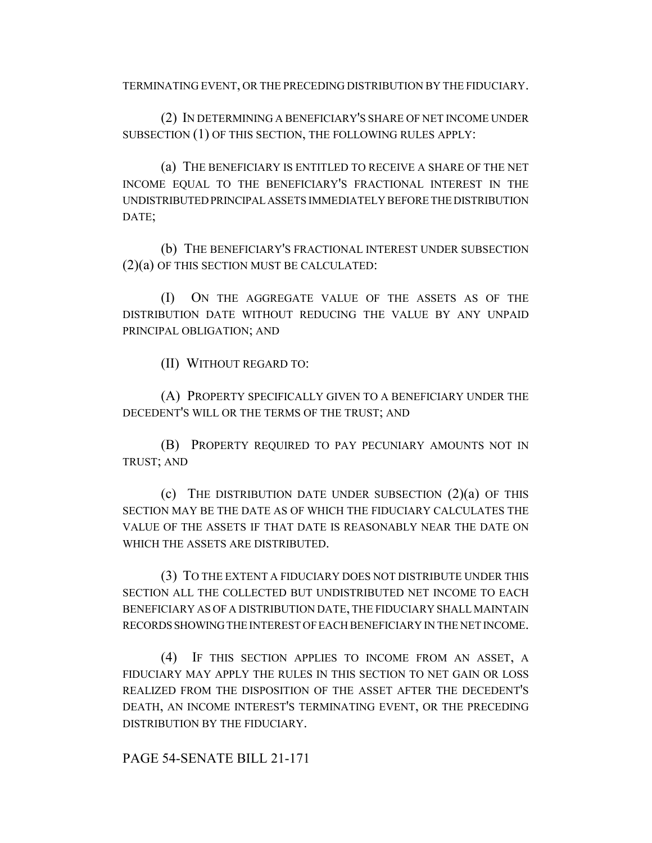TERMINATING EVENT, OR THE PRECEDING DISTRIBUTION BY THE FIDUCIARY.

(2) IN DETERMINING A BENEFICIARY'S SHARE OF NET INCOME UNDER SUBSECTION (1) OF THIS SECTION, THE FOLLOWING RULES APPLY:

(a) THE BENEFICIARY IS ENTITLED TO RECEIVE A SHARE OF THE NET INCOME EQUAL TO THE BENEFICIARY'S FRACTIONAL INTEREST IN THE UNDISTRIBUTED PRINCIPAL ASSETS IMMEDIATELY BEFORE THE DISTRIBUTION DATE;

(b) THE BENEFICIARY'S FRACTIONAL INTEREST UNDER SUBSECTION (2)(a) OF THIS SECTION MUST BE CALCULATED:

(I) ON THE AGGREGATE VALUE OF THE ASSETS AS OF THE DISTRIBUTION DATE WITHOUT REDUCING THE VALUE BY ANY UNPAID PRINCIPAL OBLIGATION; AND

(II) WITHOUT REGARD TO:

(A) PROPERTY SPECIFICALLY GIVEN TO A BENEFICIARY UNDER THE DECEDENT'S WILL OR THE TERMS OF THE TRUST; AND

(B) PROPERTY REQUIRED TO PAY PECUNIARY AMOUNTS NOT IN TRUST; AND

(c) THE DISTRIBUTION DATE UNDER SUBSECTION (2)(a) OF THIS SECTION MAY BE THE DATE AS OF WHICH THE FIDUCIARY CALCULATES THE VALUE OF THE ASSETS IF THAT DATE IS REASONABLY NEAR THE DATE ON WHICH THE ASSETS ARE DISTRIBUTED.

(3) TO THE EXTENT A FIDUCIARY DOES NOT DISTRIBUTE UNDER THIS SECTION ALL THE COLLECTED BUT UNDISTRIBUTED NET INCOME TO EACH BENEFICIARY AS OF A DISTRIBUTION DATE, THE FIDUCIARY SHALL MAINTAIN RECORDS SHOWING THE INTEREST OF EACH BENEFICIARY IN THE NET INCOME.

(4) IF THIS SECTION APPLIES TO INCOME FROM AN ASSET, A FIDUCIARY MAY APPLY THE RULES IN THIS SECTION TO NET GAIN OR LOSS REALIZED FROM THE DISPOSITION OF THE ASSET AFTER THE DECEDENT'S DEATH, AN INCOME INTEREST'S TERMINATING EVENT, OR THE PRECEDING DISTRIBUTION BY THE FIDUCIARY.

PAGE 54-SENATE BILL 21-171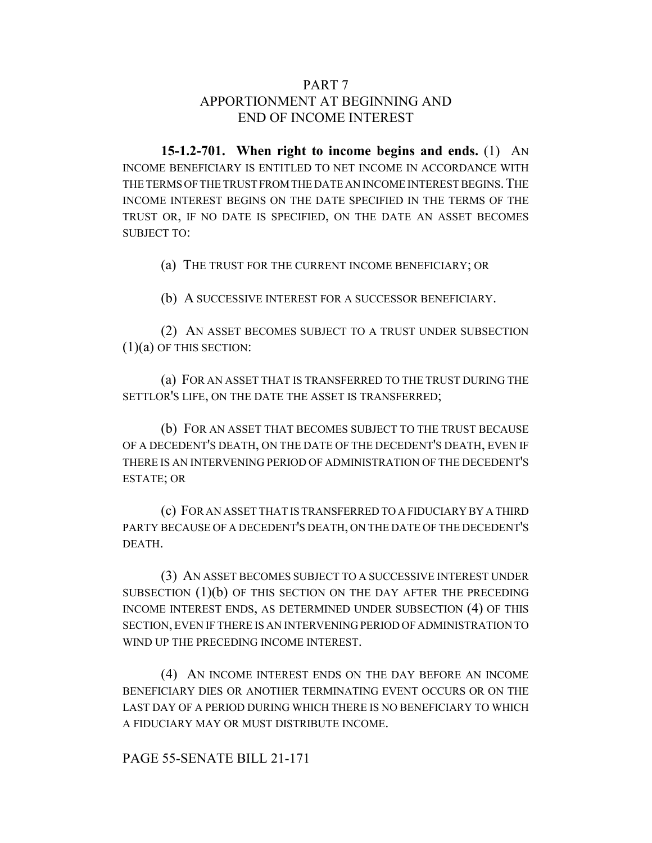### PART 7 APPORTIONMENT AT BEGINNING AND END OF INCOME INTEREST

**15-1.2-701. When right to income begins and ends.** (1) AN INCOME BENEFICIARY IS ENTITLED TO NET INCOME IN ACCORDANCE WITH THE TERMS OF THE TRUST FROM THE DATE AN INCOME INTEREST BEGINS. THE INCOME INTEREST BEGINS ON THE DATE SPECIFIED IN THE TERMS OF THE TRUST OR, IF NO DATE IS SPECIFIED, ON THE DATE AN ASSET BECOMES SUBJECT TO:

(a) THE TRUST FOR THE CURRENT INCOME BENEFICIARY; OR

(b) A SUCCESSIVE INTEREST FOR A SUCCESSOR BENEFICIARY.

(2) AN ASSET BECOMES SUBJECT TO A TRUST UNDER SUBSECTION (1)(a) OF THIS SECTION:

(a) FOR AN ASSET THAT IS TRANSFERRED TO THE TRUST DURING THE SETTLOR'S LIFE, ON THE DATE THE ASSET IS TRANSFERRED;

(b) FOR AN ASSET THAT BECOMES SUBJECT TO THE TRUST BECAUSE OF A DECEDENT'S DEATH, ON THE DATE OF THE DECEDENT'S DEATH, EVEN IF THERE IS AN INTERVENING PERIOD OF ADMINISTRATION OF THE DECEDENT'S ESTATE; OR

(c) FOR AN ASSET THAT IS TRANSFERRED TO A FIDUCIARY BY A THIRD PARTY BECAUSE OF A DECEDENT'S DEATH, ON THE DATE OF THE DECEDENT'S DEATH.

(3) AN ASSET BECOMES SUBJECT TO A SUCCESSIVE INTEREST UNDER SUBSECTION  $(1)(b)$  OF THIS SECTION ON THE DAY AFTER THE PRECEDING INCOME INTEREST ENDS, AS DETERMINED UNDER SUBSECTION (4) OF THIS SECTION, EVEN IF THERE IS AN INTERVENING PERIOD OF ADMINISTRATION TO WIND UP THE PRECEDING INCOME INTEREST.

(4) AN INCOME INTEREST ENDS ON THE DAY BEFORE AN INCOME BENEFICIARY DIES OR ANOTHER TERMINATING EVENT OCCURS OR ON THE LAST DAY OF A PERIOD DURING WHICH THERE IS NO BENEFICIARY TO WHICH A FIDUCIARY MAY OR MUST DISTRIBUTE INCOME.

PAGE 55-SENATE BILL 21-171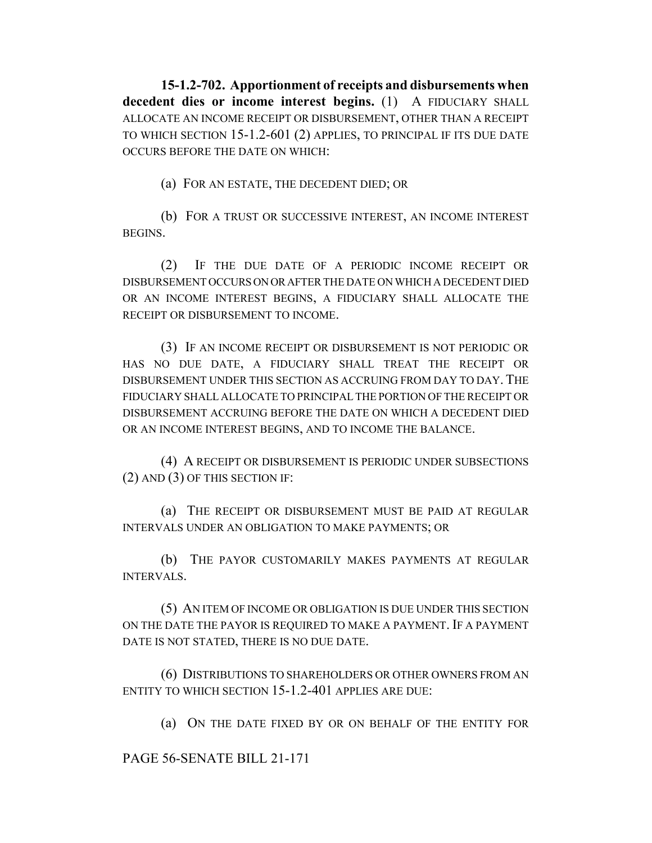**15-1.2-702. Apportionment of receipts and disbursements when decedent dies or income interest begins.** (1) A FIDUCIARY SHALL ALLOCATE AN INCOME RECEIPT OR DISBURSEMENT, OTHER THAN A RECEIPT TO WHICH SECTION 15-1.2-601 (2) APPLIES, TO PRINCIPAL IF ITS DUE DATE OCCURS BEFORE THE DATE ON WHICH:

(a) FOR AN ESTATE, THE DECEDENT DIED; OR

(b) FOR A TRUST OR SUCCESSIVE INTEREST, AN INCOME INTEREST BEGINS.

(2) IF THE DUE DATE OF A PERIODIC INCOME RECEIPT OR DISBURSEMENT OCCURS ON OR AFTER THE DATE ON WHICH A DECEDENT DIED OR AN INCOME INTEREST BEGINS, A FIDUCIARY SHALL ALLOCATE THE RECEIPT OR DISBURSEMENT TO INCOME.

(3) IF AN INCOME RECEIPT OR DISBURSEMENT IS NOT PERIODIC OR HAS NO DUE DATE, A FIDUCIARY SHALL TREAT THE RECEIPT OR DISBURSEMENT UNDER THIS SECTION AS ACCRUING FROM DAY TO DAY. THE FIDUCIARY SHALL ALLOCATE TO PRINCIPAL THE PORTION OF THE RECEIPT OR DISBURSEMENT ACCRUING BEFORE THE DATE ON WHICH A DECEDENT DIED OR AN INCOME INTEREST BEGINS, AND TO INCOME THE BALANCE.

(4) A RECEIPT OR DISBURSEMENT IS PERIODIC UNDER SUBSECTIONS (2) AND (3) OF THIS SECTION IF:

(a) THE RECEIPT OR DISBURSEMENT MUST BE PAID AT REGULAR INTERVALS UNDER AN OBLIGATION TO MAKE PAYMENTS; OR

(b) THE PAYOR CUSTOMARILY MAKES PAYMENTS AT REGULAR INTERVALS.

(5) AN ITEM OF INCOME OR OBLIGATION IS DUE UNDER THIS SECTION ON THE DATE THE PAYOR IS REQUIRED TO MAKE A PAYMENT. IF A PAYMENT DATE IS NOT STATED, THERE IS NO DUE DATE.

(6) DISTRIBUTIONS TO SHAREHOLDERS OR OTHER OWNERS FROM AN ENTITY TO WHICH SECTION 15-1.2-401 APPLIES ARE DUE:

(a) ON THE DATE FIXED BY OR ON BEHALF OF THE ENTITY FOR

PAGE 56-SENATE BILL 21-171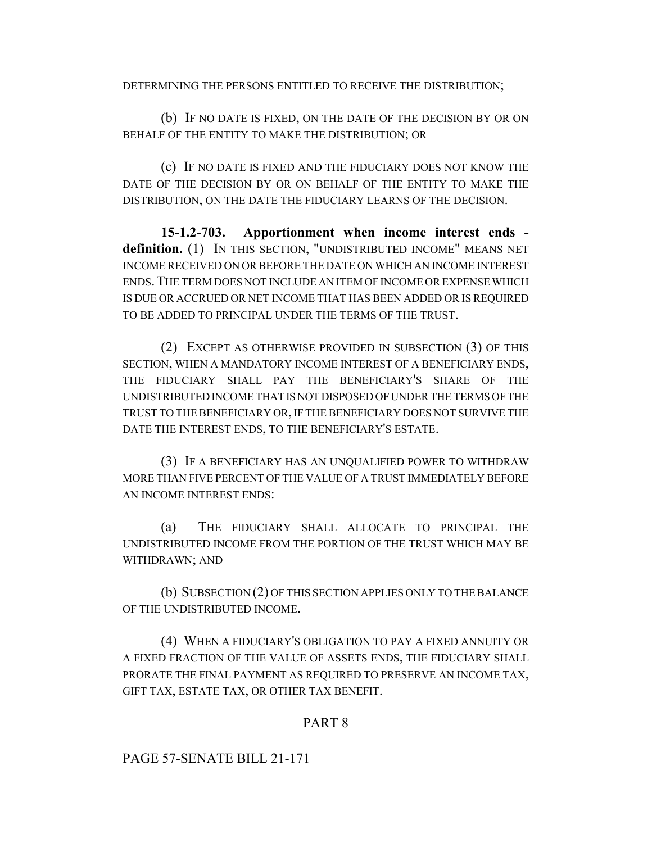DETERMINING THE PERSONS ENTITLED TO RECEIVE THE DISTRIBUTION;

(b) IF NO DATE IS FIXED, ON THE DATE OF THE DECISION BY OR ON BEHALF OF THE ENTITY TO MAKE THE DISTRIBUTION; OR

(c) IF NO DATE IS FIXED AND THE FIDUCIARY DOES NOT KNOW THE DATE OF THE DECISION BY OR ON BEHALF OF THE ENTITY TO MAKE THE DISTRIBUTION, ON THE DATE THE FIDUCIARY LEARNS OF THE DECISION.

**15-1.2-703. Apportionment when income interest ends definition.** (1) IN THIS SECTION, "UNDISTRIBUTED INCOME" MEANS NET INCOME RECEIVED ON OR BEFORE THE DATE ON WHICH AN INCOME INTEREST ENDS.THE TERM DOES NOT INCLUDE AN ITEM OF INCOME OR EXPENSE WHICH IS DUE OR ACCRUED OR NET INCOME THAT HAS BEEN ADDED OR IS REQUIRED TO BE ADDED TO PRINCIPAL UNDER THE TERMS OF THE TRUST.

(2) EXCEPT AS OTHERWISE PROVIDED IN SUBSECTION (3) OF THIS SECTION, WHEN A MANDATORY INCOME INTEREST OF A BENEFICIARY ENDS, THE FIDUCIARY SHALL PAY THE BENEFICIARY'S SHARE OF THE UNDISTRIBUTED INCOME THAT IS NOT DISPOSED OF UNDER THE TERMS OF THE TRUST TO THE BENEFICIARY OR, IF THE BENEFICIARY DOES NOT SURVIVE THE DATE THE INTEREST ENDS, TO THE BENEFICIARY'S ESTATE.

(3) IF A BENEFICIARY HAS AN UNQUALIFIED POWER TO WITHDRAW MORE THAN FIVE PERCENT OF THE VALUE OF A TRUST IMMEDIATELY BEFORE AN INCOME INTEREST ENDS:

(a) THE FIDUCIARY SHALL ALLOCATE TO PRINCIPAL THE UNDISTRIBUTED INCOME FROM THE PORTION OF THE TRUST WHICH MAY BE WITHDRAWN; AND

(b) SUBSECTION (2) OF THIS SECTION APPLIES ONLY TO THE BALANCE OF THE UNDISTRIBUTED INCOME.

(4) WHEN A FIDUCIARY'S OBLIGATION TO PAY A FIXED ANNUITY OR A FIXED FRACTION OF THE VALUE OF ASSETS ENDS, THE FIDUCIARY SHALL PRORATE THE FINAL PAYMENT AS REQUIRED TO PRESERVE AN INCOME TAX, GIFT TAX, ESTATE TAX, OR OTHER TAX BENEFIT.

### PART 8

PAGE 57-SENATE BILL 21-171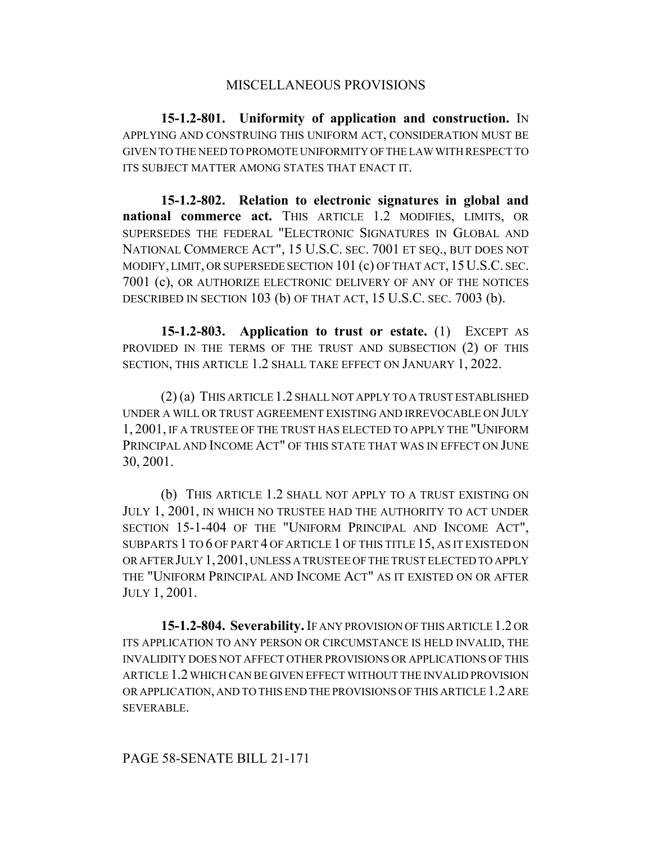#### MISCELLANEOUS PROVISIONS

**15-1.2-801. Uniformity of application and construction.** IN APPLYING AND CONSTRUING THIS UNIFORM ACT, CONSIDERATION MUST BE GIVEN TO THE NEED TO PROMOTE UNIFORMITY OF THE LAW WITH RESPECT TO ITS SUBJECT MATTER AMONG STATES THAT ENACT IT.

**15-1.2-802. Relation to electronic signatures in global and national commerce act.** THIS ARTICLE 1.2 MODIFIES, LIMITS, OR SUPERSEDES THE FEDERAL "ELECTRONIC SIGNATURES IN GLOBAL AND NATIONAL COMMERCE ACT", 15 U.S.C. SEC. 7001 ET SEQ., BUT DOES NOT MODIFY, LIMIT, OR SUPERSEDE SECTION 101 (c) OF THAT ACT, 15U.S.C. SEC. 7001 (c), OR AUTHORIZE ELECTRONIC DELIVERY OF ANY OF THE NOTICES DESCRIBED IN SECTION 103 (b) OF THAT ACT, 15 U.S.C. SEC. 7003 (b).

**15-1.2-803. Application to trust or estate.** (1) EXCEPT AS PROVIDED IN THE TERMS OF THE TRUST AND SUBSECTION (2) OF THIS SECTION, THIS ARTICLE 1.2 SHALL TAKE EFFECT ON JANUARY 1, 2022.

(2) (a) THIS ARTICLE 1.2 SHALL NOT APPLY TO A TRUST ESTABLISHED UNDER A WILL OR TRUST AGREEMENT EXISTING AND IRREVOCABLE ON JULY 1, 2001, IF A TRUSTEE OF THE TRUST HAS ELECTED TO APPLY THE "UNIFORM PRINCIPAL AND INCOME ACT" OF THIS STATE THAT WAS IN EFFECT ON JUNE 30, 2001.

(b) THIS ARTICLE 1.2 SHALL NOT APPLY TO A TRUST EXISTING ON JULY 1, 2001, IN WHICH NO TRUSTEE HAD THE AUTHORITY TO ACT UNDER SECTION 15-1-404 OF THE "UNIFORM PRINCIPAL AND INCOME ACT", SUBPARTS 1 TO 6 OF PART 4 OF ARTICLE 1 OF THIS TITLE 15, AS IT EXISTED ON OR AFTER JULY 1,2001, UNLESS A TRUSTEE OF THE TRUST ELECTED TO APPLY THE "UNIFORM PRINCIPAL AND INCOME ACT" AS IT EXISTED ON OR AFTER JULY 1, 2001.

**15-1.2-804. Severability.** IF ANY PROVISION OF THIS ARTICLE 1.2 OR ITS APPLICATION TO ANY PERSON OR CIRCUMSTANCE IS HELD INVALID, THE INVALIDITY DOES NOT AFFECT OTHER PROVISIONS OR APPLICATIONS OF THIS ARTICLE 1.2 WHICH CAN BE GIVEN EFFECT WITHOUT THE INVALID PROVISION OR APPLICATION, AND TO THIS END THE PROVISIONS OF THIS ARTICLE 1.2 ARE SEVERABLE.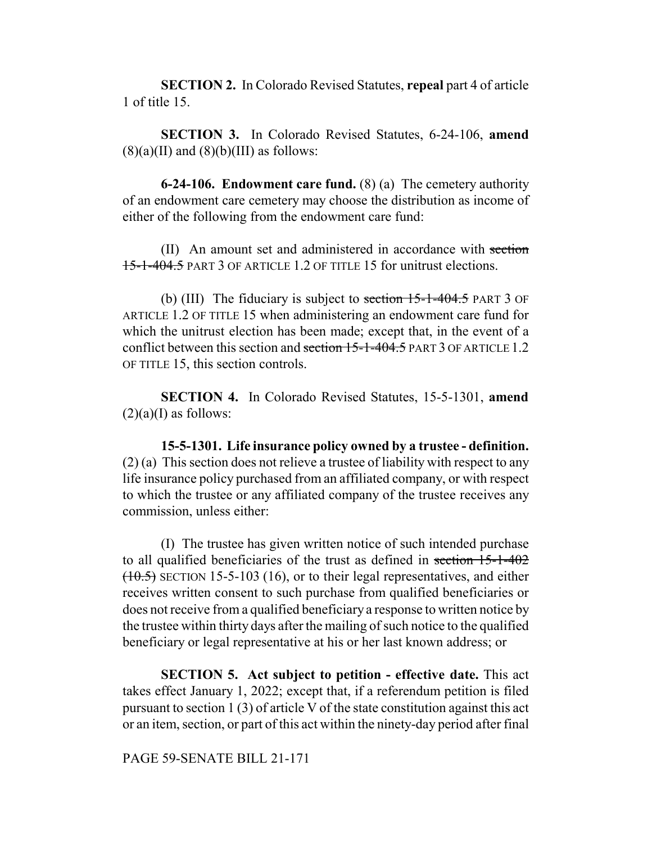**SECTION 2.** In Colorado Revised Statutes, **repeal** part 4 of article 1 of title 15.

**SECTION 3.** In Colorado Revised Statutes, 6-24-106, **amend**  $(8)(a)(II)$  and  $(8)(b)(III)$  as follows:

**6-24-106. Endowment care fund.** (8) (a) The cemetery authority of an endowment care cemetery may choose the distribution as income of either of the following from the endowment care fund:

(II) An amount set and administered in accordance with section 15-1-404.5 PART 3 OF ARTICLE 1.2 OF TITLE 15 for unitrust elections.

(b) (III) The fiduciary is subject to section  $15$ -1-404.5 PART 3 OF ARTICLE 1.2 OF TITLE 15 when administering an endowment care fund for which the unitrust election has been made; except that, in the event of a conflict between this section and section 15-1-404.5 PART 3 OF ARTICLE 1.2 OF TITLE 15, this section controls.

**SECTION 4.** In Colorado Revised Statutes, 15-5-1301, **amend**  $(2)(a)$ (I) as follows:

**15-5-1301. Life insurance policy owned by a trustee - definition.** (2) (a) This section does not relieve a trustee of liability with respect to any life insurance policy purchased from an affiliated company, or with respect to which the trustee or any affiliated company of the trustee receives any commission, unless either:

(I) The trustee has given written notice of such intended purchase to all qualified beneficiaries of the trust as defined in section 15-1-402  $(10.5)$  SECTION 15-5-103 (16), or to their legal representatives, and either receives written consent to such purchase from qualified beneficiaries or does not receive from a qualified beneficiary a response to written notice by the trustee within thirty days after the mailing of such notice to the qualified beneficiary or legal representative at his or her last known address; or

**SECTION 5. Act subject to petition - effective date.** This act takes effect January 1, 2022; except that, if a referendum petition is filed pursuant to section 1 (3) of article V of the state constitution against this act or an item, section, or part of this act within the ninety-day period after final

PAGE 59-SENATE BILL 21-171